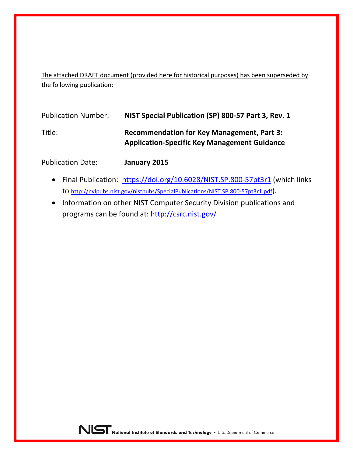The attached DRAFT document (provided here for historical purposes) has been superseded by the following publication:

| <b>Publication Number:</b> | NIST Special Publication (SP) 800-57 Part 3, Rev. 1                                                      |
|----------------------------|----------------------------------------------------------------------------------------------------------|
| Title:                     | <b>Recommendation for Key Management, Part 3:</b><br><b>Application-Specific Key Management Guidance</b> |

Publication Date: **January 2015**

- Final Publication: <https://doi.org/10.6028/NIST.SP.800-57pt3r1> (which links to [http://nvlpubs.nist.gov/nistpubs/SpecialPublications/NIST.SP.800-57pt3r1.pdf\)](http://nvlpubs.nist.gov/nistpubs/SpecialPublications/NIST.SP.800-57pt3r1.pdf)*.*
- Information on other NIST Computer Security Division publications and programs can be found at:<http://csrc.nist.gov/>

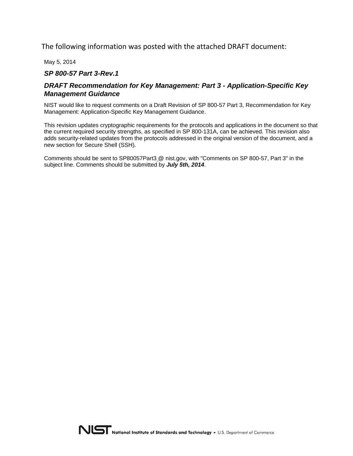The following information was posted with the attached DRAFT document:

May 5, 2014

#### *SP 800-57 Part 3-Rev.1*

#### *DRAFT Recommendation for Key Management: Part 3 - Application-Specific Key Management Guidance*

NIST would like to request comments on a Draft Revision of SP 800-57 Part 3, Recommendation for Key Management: Application-Specific Key Management Guidance.

This revision updates cryptographic requirements for the protocols and applications in the document so that the current required security strengths, as specified in SP 800-131A, can be achieved. This revision also adds security-related updates from the protocols addressed in the original version of the document, and a new section for Secure Shell (SSH).

Comments should be sent to SP80057Part3 @ nist.gov, with "Comments on SP 800-57, Part 3" in the subject line. Comments should be submitted by *July 5th, 2014*.

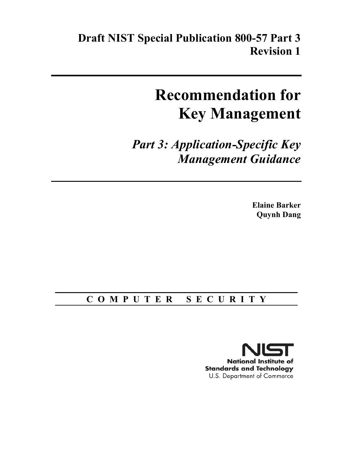**Draft NIST Special Publication 800-57 Part 3 Revision 1** 

# **Recommendation for Key Management**

 *Part 3: Application-Specific Key Management Guidance* 

> **Quynh Dang Elaine Barker**

## **C O M P U T E R S E C U R I T Y**

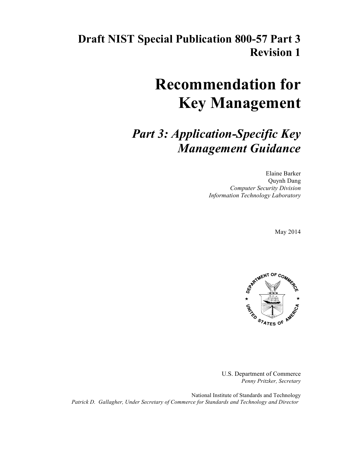## **Draft NIST Special Publication 800-57 Part 3 Revision 1**

# **Recommendation for Key Management**

## *Part 3: Application-Specific Key Management Guidance*

 *Computer Security Division Information Technology Laboratory*  Elaine Barker Quynh Dang

May 2014



 U.S. Department of Commerce *Penny Pritzker, Secretary* 

 National Institute of Standards and Technology *Patrick D. Gallagher, Under Secretary of Commerce for Standards and Technology and Director*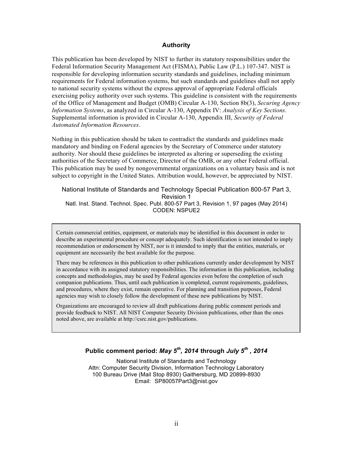#### **Authority**

 This publication has been developed by NIST to further its statutory responsibilities under the Federal Information Security Management Act (FISMA), Public Law (P.L.) 107-347. NIST is responsible for developing information security standards and guidelines, including minimum requirements for Federal information systems, but such standards and guidelines shall not apply to national security systems without the express approval of appropriate Federal officials exercising policy authority over such systems. This guideline is consistent with the requirements of the Office of Management and Budget (OMB) Circular A-130, Section 8b(3), *Securing Agency Information Systems*, as analyzed in Circular A-130, Appendix IV: *Analysis of Key Sections*. Supplemental information is provided in Circular A-130, Appendix III, *Security of Federal Automated Information Resources*.

 Nothing in this publication should be taken to contradict the standards and guidelines made mandatory and binding on Federal agencies by the Secretary of Commerce under statutory authority. Nor should these guidelines be interpreted as altering or superseding the existing authorities of the Secretary of Commerce, Director of the OMB, or any other Federal official. This publication may be used by nongovernmental organizations on a voluntary basis and is not subject to copyright in the United States. Attribution would, however, be appreciated by NIST.

#### National Institute of Standards and Technology Special Publication 800-57 Part 3, Natl. Inst. Stand. Technol. Spec. Publ. 800-57 Part 3, Revision 1, 97 pages (May 2014) Revision 1 CODEN: NSPUE2

Certain commercial entities, equipment, or materials may be identified in this document in order to describe an experimental procedure or concept adequately. Such identification is not intended to imply recommendation or endorsement by NIST, nor is it intended to imply that the entities, materials, or equipment are necessarily the best available for the purpose.

 There may be references in this publication to other publications currently under development by NIST concepts and methodologies, may be used by Federal agencies even before the completion of such companion publications. Thus, until each publication is completed, current requirements, guidelines, and procedures, where they exist, remain operative. For planning and transition purposes, Federal agencies may wish to closely follow the development of these new publications by NIST. in accordance with its assigned statutory responsibilities. The information in this publication, including

 Organizations are encouraged to review all draft publications during public comment periods and provide feedback to NIST. All NIST Computer Security Division publications, other than the ones noted above, are available at http://csrc.nist.gov/publications.

#### **Public comment period:** *May 5th, 2014* **through** *July 5th , 2014*

 National Institute of Standards and Technology Attn: Computer Security Division, Information Technology Laboratory 100 Bureau Drive (Mail Stop 8930) Gaithersburg, MD 20899-8930 Email: SP80057Part3@nist.gov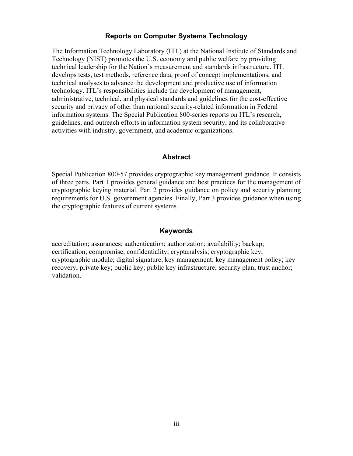#### **Reports on Computer Systems Technology**

The Information Technology Laboratory (ITL) at the National Institute of Standards and Technology (NIST) promotes the U.S. economy and public welfare by providing technical leadership for the Nation's measurement and standards infrastructure. ITL develops tests, test methods, reference data, proof of concept implementations, and technical analyses to advance the development and productive use of information technology. ITL's responsibilities include the development of management, administrative, technical, and physical standards and guidelines for the cost-effective security and privacy of other than national security-related information in Federal information systems. The Special Publication 800-series reports on ITL's research, guidelines, and outreach efforts in information system security, and its collaborative activities with industry, government, and academic organizations.

#### **Abstract**

 Special Publication 800-57 provides cryptographic key management guidance. It consists of three parts. Part 1 provides general guidance and best practices for the management of cryptographic keying material. Part 2 provides guidance on policy and security planning requirements for U.S. government agencies. Finally, Part 3 provides guidance when using the cryptographic features of current systems.

#### **Keywords**

accreditation; assurances; authentication; authorization; availability; backup; certification; compromise; confidentiality; cryptanalysis; cryptographic key; cryptographic module; digital signature; key management; key management policy; key recovery; private key; public key; public key infrastructure; security plan; trust anchor; validation.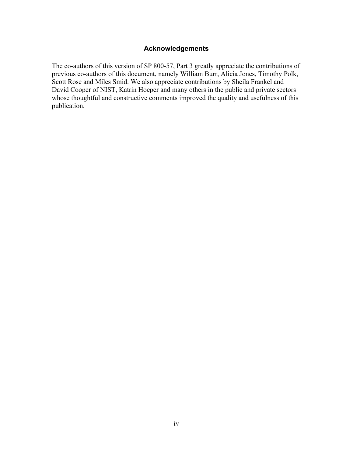#### **Acknowledgements**

 The co-authors of this version of SP 800-57, Part 3 greatly appreciate the contributions of previous co-authors of this document, namely William Burr, Alicia Jones, Timothy Polk, David Cooper of NIST, Katrin Hoeper and many others in the public and private sectors Scott Rose and Miles Smid. We also appreciate contributions by Sheila Frankel and whose thoughtful and constructive comments improved the quality and usefulness of this publication.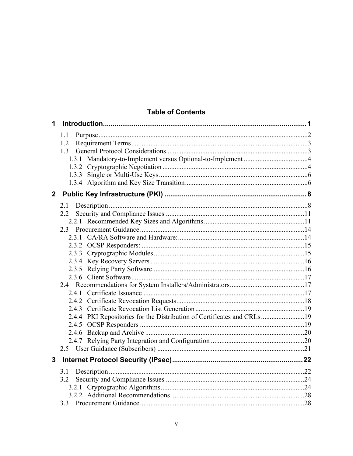#### **Table of Contents**

| 1            |                                                                        |  |
|--------------|------------------------------------------------------------------------|--|
|              | 1.1                                                                    |  |
|              | 1.2                                                                    |  |
|              |                                                                        |  |
|              |                                                                        |  |
|              |                                                                        |  |
|              |                                                                        |  |
|              |                                                                        |  |
| $\mathbf{2}$ |                                                                        |  |
|              | 2.1                                                                    |  |
|              | 2.2                                                                    |  |
|              |                                                                        |  |
|              |                                                                        |  |
|              |                                                                        |  |
|              |                                                                        |  |
|              |                                                                        |  |
|              |                                                                        |  |
|              |                                                                        |  |
|              |                                                                        |  |
|              |                                                                        |  |
|              |                                                                        |  |
|              |                                                                        |  |
|              | 2.4.4 PKI Repositories for the Distribution of Certificates and CRLs19 |  |
|              |                                                                        |  |
|              |                                                                        |  |
|              |                                                                        |  |
|              |                                                                        |  |
| 3            |                                                                        |  |
|              | 3.1                                                                    |  |
|              | 3.2                                                                    |  |
|              |                                                                        |  |
|              |                                                                        |  |
|              |                                                                        |  |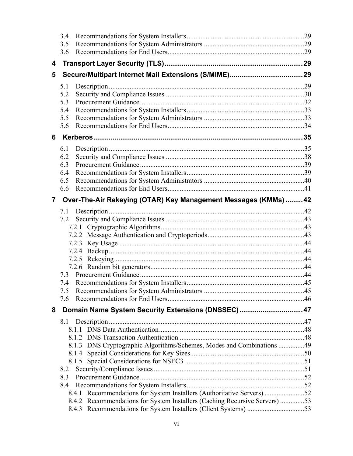|   | 3.4                                                                                                                                                  |  |
|---|------------------------------------------------------------------------------------------------------------------------------------------------------|--|
|   | 3.5                                                                                                                                                  |  |
|   | 3.6                                                                                                                                                  |  |
| 4 |                                                                                                                                                      |  |
| 5 |                                                                                                                                                      |  |
|   | 5.1                                                                                                                                                  |  |
|   | 5.2                                                                                                                                                  |  |
|   | 5.3                                                                                                                                                  |  |
|   | 5.4                                                                                                                                                  |  |
|   | 5.5                                                                                                                                                  |  |
|   | 5.6                                                                                                                                                  |  |
| 6 |                                                                                                                                                      |  |
|   | 6.1                                                                                                                                                  |  |
|   | 6.2                                                                                                                                                  |  |
|   | 6.3                                                                                                                                                  |  |
|   | 6.4                                                                                                                                                  |  |
|   | 6.5                                                                                                                                                  |  |
|   | 6.6                                                                                                                                                  |  |
| 7 | Over-The-Air Rekeying (OTAR) Key Management Messages (KMMs)  42                                                                                      |  |
|   |                                                                                                                                                      |  |
|   |                                                                                                                                                      |  |
|   |                                                                                                                                                      |  |
|   |                                                                                                                                                      |  |
|   |                                                                                                                                                      |  |
|   |                                                                                                                                                      |  |
|   |                                                                                                                                                      |  |
|   |                                                                                                                                                      |  |
|   |                                                                                                                                                      |  |
|   | 7.4                                                                                                                                                  |  |
|   | 7.6                                                                                                                                                  |  |
|   |                                                                                                                                                      |  |
| 8 | Domain Name System Security Extensions (DNSSEC)47                                                                                                    |  |
|   |                                                                                                                                                      |  |
|   |                                                                                                                                                      |  |
|   |                                                                                                                                                      |  |
|   | 8.1.3 DNS Cryptographic Algorithms/Schemes, Modes and Combinations 49                                                                                |  |
|   |                                                                                                                                                      |  |
|   | 8.1.5                                                                                                                                                |  |
|   | 8.2                                                                                                                                                  |  |
|   | 8.3                                                                                                                                                  |  |
|   | 8.4                                                                                                                                                  |  |
|   | 8.4.1 Recommendations for System Installers (Authoritative Servers) 52<br>8.4.2 Recommendations for System Installers (Caching Recursive Servers) 53 |  |
|   |                                                                                                                                                      |  |
|   |                                                                                                                                                      |  |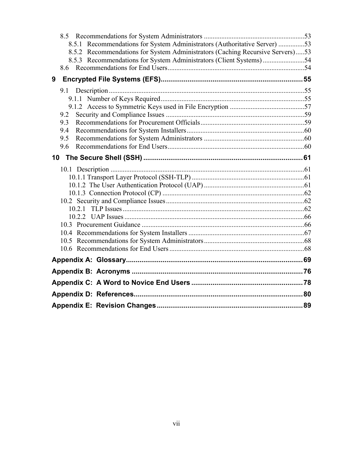|   | 8.5.1 Recommendations for System Administrators (Authoritative Server) 53     |  |
|---|-------------------------------------------------------------------------------|--|
|   | 8.5.2 Recommendations for System Administrators (Caching Recursive Servers)53 |  |
|   |                                                                               |  |
|   |                                                                               |  |
| 9 |                                                                               |  |
|   |                                                                               |  |
|   |                                                                               |  |
|   |                                                                               |  |
|   | 9.2                                                                           |  |
|   | 9.3                                                                           |  |
|   | 9.4                                                                           |  |
|   | 9.5                                                                           |  |
|   | 9.6                                                                           |  |
|   |                                                                               |  |
|   |                                                                               |  |
|   |                                                                               |  |
|   |                                                                               |  |
|   |                                                                               |  |
|   |                                                                               |  |
|   |                                                                               |  |
|   |                                                                               |  |
|   |                                                                               |  |
|   |                                                                               |  |
|   |                                                                               |  |
|   |                                                                               |  |
|   |                                                                               |  |
|   |                                                                               |  |
|   |                                                                               |  |
|   |                                                                               |  |
|   |                                                                               |  |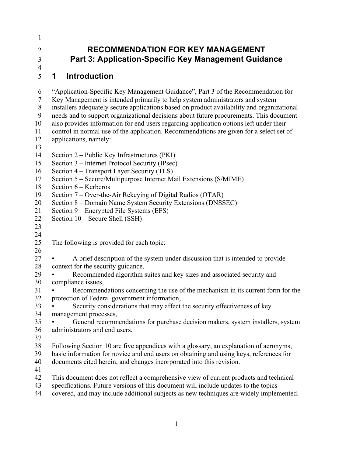| <b>RECOMMEND</b>            |
|-----------------------------|
| <b>Part 3: Application-</b> |

# **RECOMMENDATION FOR KEY MANAGEMENT<br>Part 3: Application-Specific Key Management Guida<br>1 Introduction Part 3: Application-Specific Key Management Guidance**

#### $\mathbf 1$ 5 **Introduction**

1

2 3 4

 Section 6 – Kerberos 6 7 8 9 10 11 12 13 14 15 16 17 18 19 20 21 22 23 24 25 26 27 28 29 30 31 32 33 34 35 36 37 38 39 40 41 42 43 44 "Application-Specific Key Management Guidance", Part 3 of the Recommendation for Key Management is intended primarily to help system administrators and system installers adequately secure applications based on product availability and organizational needs and to support organizational decisions about future procurements. This document also provides information for end users regarding application options left under their control in normal use of the application. Recommendations are given for a select set of applications, namely: Section 2 – Public Key Infrastructures (PKI) Section 3 – Internet Protocol Security (IPsec) Section 4 – Transport Layer Security (TLS) Section 5 – Secure/Multipurpose Internet Mail Extensions (S/MIME) Section 7 – Over-the-Air Rekeying of Digital Radios (OTAR) Section 8 – Domain Name System Security Extensions (DNSSEC) Section 9 – Encrypted File Systems (EFS) Section 10 – Secure Shell (SSH) The following is provided for each topic: • A brief description of the system under discussion that is intended to provide context for the security guidance, • Recommended algorithm suites and key sizes and associated security and compliance issues, • Recommendations concerning the use of the mechanism in its current form for the protection of Federal government information, Security considerations that may affect the security effectiveness of key management processes, General recommendations for purchase decision makers, system installers, system administrators and end users. Following Section 10 are five appendices with a glossary, an explanation of acronyms, basic information for novice and end users on obtaining and using keys, references for documents cited herein, and changes incorporated into this revision. This document does not reflect a comprehensive view of current products and technical specifications. Future versions of this document will include updates to the topics covered, and may include additional subjects as new techniques are widely implemented.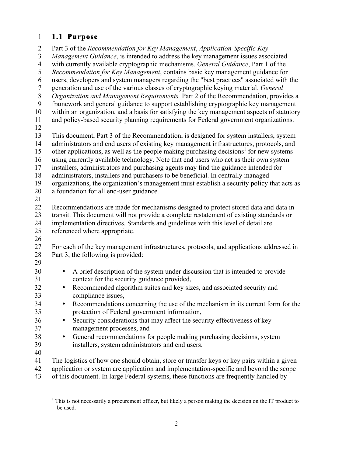#### 1 **1.1 Purpose**

 $\overline{a}$ 

 31 context for the security guidance provided, 33 compliance issues, 37 management processes, and 2 Part 3 of the *Recommendation for Key Management*, *Application-Specific Key*  3 *Management Guidance*, is intended to address the key management issues associated 4 with currently available cryptographic mechanisms. *General Guidance*, Part 1 of the 5 *Recommendation for Key Management*, contains basic key management guidance for 6 users, developers and system managers regarding the "best practices" associated with the 7 generation and use of the various classes of cryptographic keying material. *General*  8 *Organization and Management Requirements,* Part 2 of the Recommendation, provides a 9 framework and general guidance to support establishing cryptographic key management 10 within an organization, and a basis for satisfying the key management aspects of statutory 11 and policy-based security planning requirements for Federal government organizations. 12 13 This document, Part 3 of the Recommendation, is designed for system installers, system 14 administrators and end users of existing key management infrastructures, protocols, and 15 other applications, as well as the people making purchasing decisions<sup>1</sup> for new systems 16 using currently available technology. Note that end users who act as their own system 17 installers, administrators and purchasing agents may find the guidance intended for 18 administrators, installers and purchasers to be beneficial. In centrally managed 19 organizations, the organization's management must establish a security policy that acts as 20 a foundation for all end-user guidance. 21 22 Recommendations are made for mechanisms designed to protect stored data and data in 23 transit. This document will not provide a complete restatement of existing standards or 24 implementation directives. Standards and guidelines with this level of detail are 25 referenced where appropriate. 26 27 For each of the key management infrastructures, protocols, and applications addressed in 28 Part 3, the following is provided: 29 <sup>30</sup> • A brief description of the system under discussion that is intended to provide<br><sup>31</sup> • context for the security guidance provided. <sup>32</sup> • Recommended algorithm suites and key sizes, and associated security and compliance issues. <sup>34</sup> • Recommendations concerning the use of the mechanism in its current form for the protection of Federal government information, protection of Federal government information, <sup>36</sup> • Security considerations that may affect the security effectiveness of key management processes, and <sup>38</sup> • General recommendations for people making purchasing decisions, system installers, system administrators and end users. installers, system administrators and end users. 40 41 The logistics of how one should obtain, store or transfer keys or key pairs within a given 42 application or system are application and implementation-specific and beyond the scope

43 of this document. In large Federal systems, these functions are frequently handled by

 $1$  This is not necessarily a procurement officer, but likely a person making the decision on the IT product to be used.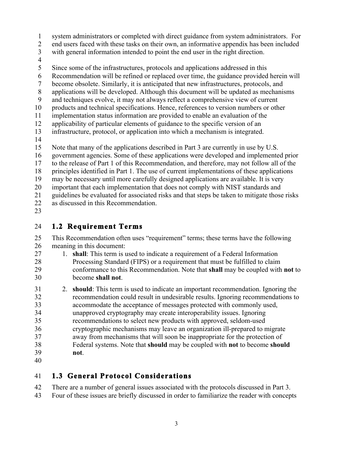- 1 system administrators or completed with direct guidance from system administrators. For
- 2 end users faced with these tasks on their own, an informative appendix has been included
- 3 with general information intended to point the end user in the right direction.
- 4
- 5 Since some of the infrastructures, protocols and applications addressed in this
- 6 Recommendation will be refined or replaced over time, the guidance provided herein will
- 7 become obsolete. Similarly, it is anticipated that new infrastructures, protocols, and
- 8 applications will be developed. Although this document will be updated as mechanisms
- 9 and techniques evolve, it may not always reflect a comprehensive view of current
- 10 products and technical specifications. Hence, references to version numbers or other
- 11 implementation status information are provided to enable an evaluation of the
- 12 applicability of particular elements of guidance to the specific version of an
- 13 infrastructure, protocol, or application into which a mechanism is integrated.
- 14
- 15 Note that many of the applications described in Part 3 are currently in use by U.S.
- 16 government agencies. Some of these applications were developed and implemented prior
- 17 to the release of Part 1 of this Recommendation, and therefore, may not follow all of the
- 18 principles identified in Part 1. The use of current implementations of these applications
- 19 may be necessary until more carefully designed applications are available. It is very
- 20 important that each implementation that does not comply with NIST standards and
- 21 guidelines be evaluated for associated risks and that steps be taken to mitigate those risks
- 22 as discussed in this Recommendation.
- 23

#### 24 **1.2 Requirement Terms**

- 25 This Recommendation often uses "requirement" terms; these terms have the following 26 meaning in this document:
- 29 conformance to this Recommendation. Note that **shall** may be coupled with **not** to become **shall not**. 30 27 1. **shall**: This term is used to indicate a requirement of a Federal Information 28 Processing Standard (FIPS) or a requirement that must be fulfilled to claim
- 31 2. **should**: This term is used to indicate an important recommendation. Ignoring the 38 Federal systems. Note that **should** may be coupled with **not** to become **should**  35 32 recommendation could result in undesirable results. Ignoring recommendations to 33 accommodate the acceptance of messages protected with commonly used, 34 unapproved cryptography may create interoperability issues. Ignoring recommendations to select new products with approved, seldom-used 36 cryptographic mechanisms may leave an organization ill-prepared to migrate 37 away from mechanisms that will soon be inappropriate for the protection of 39 **not**.
- 40

#### **41 1.3 General Protocol Considerations**

- 42 There are a number of general issues associated with the protocols discussed in Part 3.
- 43 Four of these issues are briefly discussed in order to familiarize the reader with concepts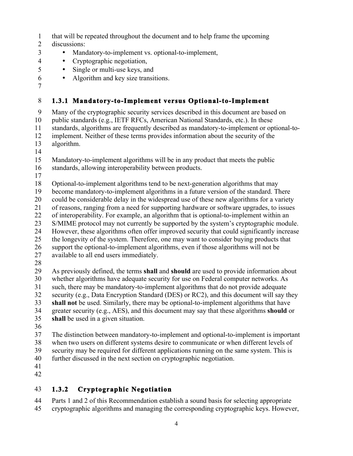- 1 that will be repeated throughout the document and to help frame the upcoming
- 2 discussions:
- 3 Mandatory-to-implement vs. optional-to-implement,
- 4 Cryptographic negotiation,
	- Single or multi-use keys, and
- 6 Algorithm and key size transitions.
- 7

5

#### 8 **1.3.1 Mandatory-to-Implement versus Optional-to-Implement**

 public standards (e.g., IETF RFCs, American National Standards, etc.). In these 10 9 Many of the cryptographic security services described in this document are based on 11 standards, algorithms are frequently described as mandatory-to-implement or optional-to-12 implement. Neither of these terms provides information about the security of the 13 algorithm.

14

15 Mandatory-to-implement algorithms will be in any product that meets the public 16 standards, allowing interoperability between products.

17

18 Optional-to-implement algorithms tend to be next-generation algorithms that may

19 become mandatory-to-implement algorithms in a future version of the standard. There

20 could be considerable delay in the widespread use of these new algorithms for a variety

21 of reasons, ranging from a need for supporting hardware or software upgrades, to issues

22 of interoperability. For example, an algorithm that is optional-to-implement within an

23 S/MIME protocol may not currently be supported by the system's cryptographic module.

25 24 However, these algorithms often offer improved security that could significantly increase the longevity of the system. Therefore, one may want to consider buying products that

26 support the optional-to-implement algorithms, even if those algorithms will not be 27 available to all end users immediately.

28

 29 As previously defined, the terms **shall** and **should** are used to provide information about 32 security (e.g., Data Encryption Standard (DES) or RC2), and this document will say they 33 **shall not** be used. Similarly, there may be optional-to-implement algorithms that have 34 greater security (e.g., AES), and this document may say that these algorithms **should** or 30 35 whether algorithms have adequate security for use on Federal computer networks. As 31 such, there may be mandatory-to-implement algorithms that do not provide adequate **shall** be used in a given situation.

36

 39 security may be required for different applications running on the same system. This is 40 37 The distinction between mandatory-to-implement and optional-to-implement is important 38 when two users on different systems desire to communicate or when different levels of further discussed in the next section on cryptographic negotiation.

41

42

### 43 **1.3.2 Cryptographic Negotiation**

45 44 Parts 1 and 2 of this Recommendation establish a sound basis for selecting appropriate cryptographic algorithms and managing the corresponding cryptographic keys. However,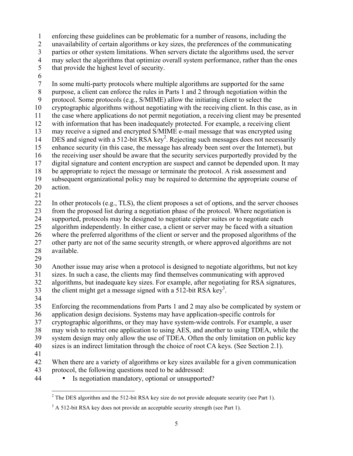1 enforcing these guidelines can be problematic for a number of reasons, including the

2 unavailability of certain algorithms or key sizes, the preferences of the communicating

3 parties or other system limitations. When servers dictate the algorithms used, the server

4 may select the algorithms that optimize overall system performance, rather than the ones

- 5 that provide the highest level of security.
- 6

20 action.<br>21 7 In some multi-party protocols where multiple algorithms are supported for the same 8 purpose, a client can enforce the rules in Parts 1 and 2 through negotiation within the 9 protocol. Some protocols (e.g., S/MIME) allow the initiating client to select the 10 cryptographic algorithms without negotiating with the receiving client. In this case, as in 11 the case where applications do not permit negotiation, a receiving client may be presented 12 with information that has been inadequately protected. For example, a receiving client 13 14 may receive a signed and encrypted S/MIME e-mail message that was encrypted using DES and signed with a 512-bit RSA key<sup>2</sup>. Rejecting such messages does not necessarily 15 enhance security (in this case, the message has already been sent over the Internet), but 16 the receiving user should be aware that the security services purportedly provided by the 17 digital signature and content encryption are suspect and cannot be depended upon. It may 18 be appropriate to reject the message or terminate the protocol. A risk assessment and 19 subsequent organizational policy may be required to determine the appropriate course of

 27 other party are not of the same security strength, or where approved algorithms are not 22 In other protocols (e.g., TLS), the client proposes a set of options, and the server chooses 23 from the proposed list during a negotiation phase of the protocol. Where negotiation is 24 supported, protocols may be designed to negotiate cipher suites or to negotiate each 25 algorithm independently. In either case, a client or server may be faced with a situation 26 where the preferred algorithms of the client or server and the proposed algorithms of the 28 available.

29

30 Another issue may arise when a protocol is designed to negotiate algorithms, but not key 31 sizes. In such a case, the clients may find themselves communicating with approved

the client might get a message signed with a  $512$ -bit RSA key<sup>3</sup>.

algorithms, but inadequate key sizes. For example, after negotiating for RSA signatures,

- 32 33
- 34

35 Enforcing the recommendations from Parts 1 and 2 may also be complicated by system or 36 application design decisions. Systems may have application-specific controls for 37 cryptographic algorithms, or they may have system-wide controls. For example, a user

38 may wish to restrict one application to using AES, and another to using TDEA, while the

39 system design may only allow the use of TDEA. Often the only limitation on public key 40 sizes is an indirect limitation through the choice of root CA keys. (See Section 2.1).

41

42 When there are a variety of algorithms or key sizes available for a given communication 43 protocol, the following questions need to be addressed:

Is negotiation mandatory, optional or unsupported?

<sup>1</sup> • Is negotiation mandatory, optional or unsupported?<br> $\frac{1}{2}$ The DES algorithm and the 512-bit RSA key size do not provide adequate security (see Part 1).

 $3 \text{ A } 512$ -bit RSA key does not provide an acceptable security strength (see Part 1).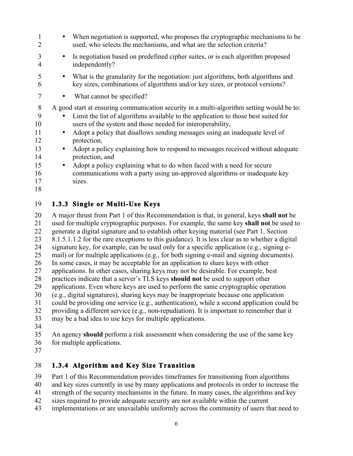| 1<br>2                               | $\bullet$           | When negotiation is supported, who proposes the cryptographic mechanisms to be<br>used, who selects the mechanisms, and what are the selection criteria?                                                                                                                                                                                                                                                                                         |
|--------------------------------------|---------------------|--------------------------------------------------------------------------------------------------------------------------------------------------------------------------------------------------------------------------------------------------------------------------------------------------------------------------------------------------------------------------------------------------------------------------------------------------|
| 3<br>4                               |                     | Is negotiation based on predefined cipher suites, or is each algorithm proposed<br>independently?                                                                                                                                                                                                                                                                                                                                                |
| 5<br>6                               | $\bullet$           | What is the granularity for the negotiation: just algorithms, both algorithms and<br>key sizes, combinations of algorithms and/or key sizes, or protocol versions?                                                                                                                                                                                                                                                                               |
| 7                                    |                     | What cannot be specified?                                                                                                                                                                                                                                                                                                                                                                                                                        |
| 8<br>9<br>10<br>11<br>12<br>13<br>14 |                     | A good start at ensuring communication security in a multi-algorithm setting would be to:<br>Limit the list of algorithms available to the application to those best suited for<br>users of the system and those needed for interoperability,<br>Adopt a policy that disallows sending messages using an inadequate level of<br>protection,<br>Adopt a policy explaining how to respond to messages received without adequate<br>protection, and |
| 15<br>16<br>17<br>18                 | $\bullet$<br>sizes. | Adopt a policy explaining what to do when faced with a need for secure<br>communications with a party using un-approved algorithms or inadequate key                                                                                                                                                                                                                                                                                             |
| 19                                   |                     | 1.3.3 Single or Multi-Use Keys                                                                                                                                                                                                                                                                                                                                                                                                                   |

 A major thrust from Part 1 of this Recommendation is that, in general, keys **shall not** be 28 practices indicate that a server's TLS keys **should not** be used to support other 20 25 30 21 used for multiple cryptographic purposes. For example, the same key **shall not** be used to 22 generate a digital signature and to establish other keying material (see Part 1, Section 23 8.1.5.1.1.2 for the rare exceptions to this guidance). It is less clear as to whether a digital 24 signature key, for example, can be used only for a specific application (e.g., signing email) or for multiple applications (e.g., for both signing e-mail and signing documents). 26 In some cases, it may be acceptable for an application to share keys with other 27 applications. In other cases, sharing keys may not be desirable. For example, best 29 applications. Even where keys are used to perform the same cryptographic operation (e.g., digital signatures), sharing keys may be inappropriate because one application 31 could be providing one service (e.g., authentication), while a second application could be 32 providing a different service (e.g., non-repudiation). It is important to remember that it 33 may be a bad idea to use keys for multiple applications. 34

35 An agency **should** perform a risk assessment when considering the use of the same key 36 for multiple applications.

37

#### 38 **1.3.4 Algorithm and Key Size Transition**

39 Part 1 of this Recommendation provides timeframes for transitioning from algorithms

40 and key sizes currently in use by many applications and protocols in order to increase the

- 41 strength of the security mechanisms in the future. In many cases, the algorithms and key
- 42 sizes required to provide adequate security are not available within the current
- 43 implementations or are unavailable uniformly across the community of users that need to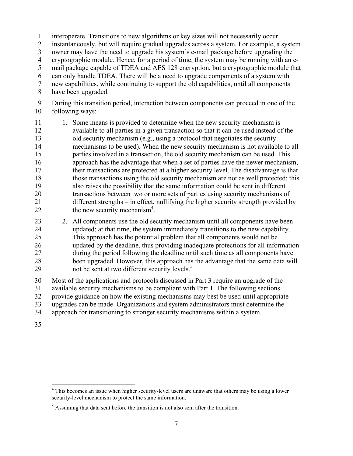1 interoperate. Transitions to new algorithms or key sizes will not necessarily occur

2 instantaneously, but will require gradual upgrades across a system. For example, a system

3 owner may have the need to upgrade his system's e-mail package before upgrading the

4 cryptographic module. Hence, for a period of time, the system may be running with an e-

5 mail package capable of TDEA and AES 128 encryption, but a cryptographic module that

6 can only handle TDEA. There will be a need to upgrade components of a system with

7 new capabilities, while continuing to support the old capabilities, until all components

8 have been upgraded.

9 During this transition period, interaction between components can proceed in one of the 10 following ways:

- 21 different strengths in effect, nullifying the higher security strength provided by 11 1. Some means is provided to determine when the new security mechanism is 12 available to all parties in a given transaction so that it can be used instead of the 13 old security mechanism (e.g., using a protocol that negotiates the security 14 mechanisms to be used). When the new security mechanism is not available to all 15 parties involved in a transaction, the old security mechanism can be used. This 16 approach has the advantage that when a set of parties have the newer mechanism, 17 their transactions are protected at a higher security level. The disadvantage is that 18 those transactions using the old security mechanism are not as well protected; this 19 also raises the possibility that the same information could be sent in different 20 transactions between two or more sets of parties using security mechanisms of 22 the new security mechanism<sup>4</sup>.
- 23 2. All components use the old security mechanism until all components have been 24 updated; at that time, the system immediately transitions to the new capability. 25 This approach has the potential problem that all components would not be 26 updated by the deadline, thus providing inadequate protections for all information 27 during the period following the deadline until such time as all components have 28 been upgraded. However, this approach has the advantage that the same data will 29 not be sent at two different security levels.<sup>5</sup>
- 30 Most of the applications and protocols discussed in Part 3 require an upgrade of the 31 available security mechanisms to be compliant with Part 1. The following sections 32 provide guidance on how the existing mechanisms may best be used until appropriate 33 upgrades can be made. Organizations and system administrators must determine the 34 approach for transitioning to stronger security mechanisms within a system.
- 35

 $\overline{a}$ 

<sup>&</sup>lt;sup>4</sup> This becomes an issue when higher security-level users are unaware that others may be using a lower security-level mechanism to protect the same information.

 $<sup>5</sup>$  Assuming that data sent before the transition is not also sent after the transition.</sup>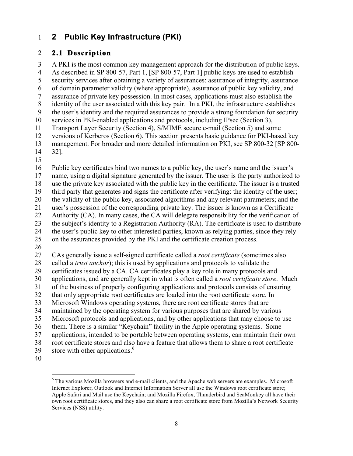#### 1 **2 Public Key Infrastructure (PKI)**

#### 2 **2.1 Description**

 8 identity of the user associated with this key pair. In a PKI, the infrastructure establishes 13 management. For broader and more detailed information on PKI, see SP 800-32 [SP 800- 14 32]. 15 3 A PKI is the most common key management approach for the distribution of public keys. 4 As described in SP 800-57, Part 1, [SP 800-57, Part 1] public keys are used to establish 5 security services after obtaining a variety of assurances: assurance of integrity, assurance 6 of domain parameter validity (where appropriate), assurance of public key validity, and 7 assurance of private key possession. In most cases, applications must also establish the 9 the user's identity and the required assurances to provide a strong foundation for security 10 services in PKI-enabled applications and protocols, including IPsec (Section 3), 11 Transport Layer Security (Section 4), S/MIME secure e-mail (Section 5) and some 12 versions of Kerberos (Section 6). This section presents basic guidance for PKI-based key

16 Public key certificates bind two names to a public key, the user's name and the issuer's

17 name, using a digital signature generated by the issuer. The user is the party authorized to 18 use the private key associated with the public key in the certificate. The issuer is a trusted

19 third party that generates and signs the certificate after verifying: the identity of the user;

20 the validity of the public key, associated algorithms and any relevant parameters; and the

21 user's possession of the corresponding private key. The issuer is known as a Certificate 22 Authority (CA). In many cases, the CA will delegate responsibility for the verification of

23 the subject's identity to a Registration Authority (RA). The certificate is used to distribute 24 the user's public key to other interested parties, known as relying parties, since they rely

25 on the assurances provided by the PKI and the certificate creation process.<br>26

 30 applications, and are generally kept in what is often called a *root certificate store*. Much 36 them. There is a similar "Keychain" facility in the Apple operating systems. Some 38 root certificate stores and also have a feature that allows them to share a root certificate 39 store with other applications. $6$ 27 CAs generally issue a self-signed certificate called a *root certificate* (sometimes also 28 called a *trust anchor*); this is used by applications and protocols to validate the 29 certificates issued by a CA. CA certificates play a key role in many protocols and 31 of the business of properly configuring applications and protocols consists of ensuring 32 that only appropriate root certificates are loaded into the root certificate store. In 33 Microsoft Windows operating systems, there are root certificate stores that are 34 maintained by the operating system for various purposes that are shared by various 35 Microsoft protocols and applications, and by other applications that may choose to use 37 applications, intended to be portable between operating systems, can maintain their own

40

 $\overline{a}$ 

 Internet Explorer, Outlook and Internet Information Server all use the Windows root certificate store; Apple Safari and Mail use the Keychain; and Mozilla Firefox, Thunderbird and SeaMonkey all have their own root certificate stores, and they also can share a root certificate store from Mozilla's Network Security Services (NSS) utility.  $6$  The various Mozilla browsers and e-mail clients, and the Apache web servers are examples. Microsoft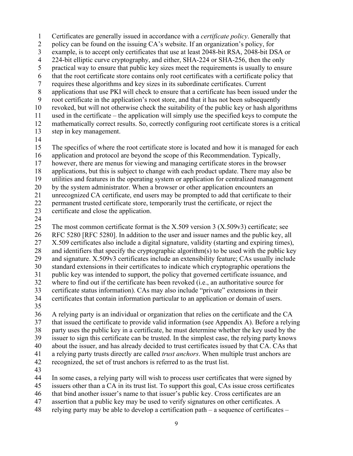requires these algorithms and key sizes in its subordinate certificates. Current used in the certificate – the application will simply use the specified keys to compute the 1 2 3 4 5 6 7 8 9 10 11 12 Certificates are generally issued in accordance with a *certificate policy*. Generally that policy can be found on the issuing CA's website. If an organization's policy, for example, is to accept only certificates that use at least 2048-bit RSA, 2048-bit DSA or 224-bit elliptic curve cryptography, and either, SHA-224 or SHA-256, then the only practical way to ensure that public key sizes meet the requirements is usually to ensure that the root certificate store contains only root certificates with a certificate policy that applications that use PKI will check to ensure that a certificate has been issued under the root certificate in the application's root store, and that it has not been subsequently revoked, but will not otherwise check the suitability of the public key or hash algorithms mathematically correct results. So, correctly configuring root certificate stores is a critical

- 13 step in key management.
- 14

15 16 17 18 19 20 21 22 23 The specifics of where the root certificate store is located and how it is managed for each application and protocol are beyond the scope of this Recommendation. Typically, however, there are menus for viewing and managing certificate stores in the browser applications, but this is subject to change with each product update. There may also be utilities and features in the operating system or application for centralized management by the system administrator. When a browser or other application encounters an unrecognized CA certificate, end users may be prompted to add that certificate to their permanent trusted certificate store, temporarily trust the certificate, or reject the certificate and close the application.

24

25 26 27 28 29 30 31 32 33 34 The most common certificate format is the X.509 version 3 (X.509v3) certificate; see RFC 5280 [RFC 5280]. In addition to the user and issuer names and the public key, all X.509 certificates also include a digital signature, validity (starting and expiring times), and identifiers that specify the cryptographic algorithm(s) to be used with the public key and signature. X.509v3 certificates include an extensibility feature; CAs usually include standard extensions in their certificates to indicate which cryptographic operations the public key was intended to support, the policy that governed certificate issuance, and where to find out if the certificate has been revoked (i.e., an authoritative source for certificate status information). CAs may also include "private" extensions in their certificates that contain information particular to an application or domain of users.

35

 about the issuer, and has already decided to trust certificates issued by that CA. CAs that 36 37 38 39 40 41 42 A relying party is an individual or organization that relies on the certificate and the CA that issued the certificate to provide valid information (see Appendix A). Before a relying party uses the public key in a certificate, he must determine whether the key used by the issuer to sign this certificate can be trusted. In the simplest case, the relying party knows a relying party trusts directly are called *trust anchors*. When multiple trust anchors are recognized, the set of trust anchors is referred to as the trust list.

43

 In some cases, a relying party will wish to process user certificates that were signed by 44

- 45 issuers other than a CA in its trust list. To support this goal, CAs issue cross certificates
- 46 that bind another issuer's name to that issuer's public key. Cross certificates are an
- 47 assertion that a public key may be used to verify signatures on other certificates. A
- relying party may be able to develop a certification path a sequence of certificates 48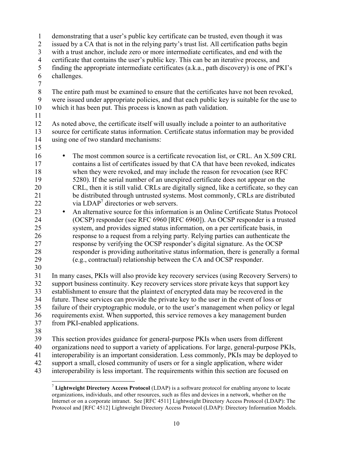24 (OCSP) responder (see RFC 6960 [RFC 6960]). An OCSP responder is a trusted 34 future. These services can provide the private key to the user in the event of loss or 1 demonstrating that a user's public key certificate can be trusted, even though it was 2 issued by a CA that is not in the relying party's trust list. All certification paths begin 3 with a trust anchor, include zero or more intermediate certificates, and end with the 4 certificate that contains the user's public key. This can be an iterative process, and 5 finding the appropriate intermediate certificates (a.k.a., path discovery) is one of PKI's 6 challenges. 7 8 The entire path must be examined to ensure that the certificates have not been revoked, 9 were issued under appropriate policies, and that each public key is suitable for the use to 10 which it has been put. This process is known as path validation. 11 12 As noted above, the certificate itself will usually include a pointer to an authoritative 13 source for certificate status information. Certificate status information may be provided 14 using one of two standard mechanisms: 15 <sup>16</sup> • The most common source is a certificate revocation list, or CRL. An X.509 CRL contains a list of certificates issued by that CA that have been revoked, indicates contains a list of certificates issued by that CA that have been revoked, indicates 18 when they were revoked, and may include the reason for revocation (see RFC 19 5280). If the serial number of an unexpired certificate does not appear on the 20 CRL, then it is still valid. CRLs are digitally signed, like a certificate, so they can 21 be distributed through untrusted systems. Most commonly, CRLs are distributed 22 via  $LDAP<sup>7</sup>$  directories or web servers. <sup>23</sup> • An alternative source for this information is an Online Certificate Status Protocol<br><sup>24</sup> (OCSP) responder (see RFC 6960 [RFC 6960]). An OCSP responder is a trusted 25 system, and provides signed status information, on a per certificate basis, in 26 response to a request from a relying party. Relying parties can authenticate the 27 response by verifying the OCSP responder's digital signature. As the OCSP 28 responder is providing authoritative status information, there is generally a formal 29 (e.g., contractual) relationship between the CA and OCSP responder. 30 31 In many cases, PKIs will also provide key recovery services (using Recovery Servers) to 32 support business continuity. Key recovery services store private keys that support key 33 establishment to ensure that the plaintext of encrypted data may be recovered in the 35 failure of their cryptographic module, or to the user's management when policy or legal 36 requirements exist. When supported, this service removes a key management burden 37 from PKI-enabled applications. 38 39 This section provides guidance for general-purpose PKIs when users from different 40 organizations need to support a variety of applications. For large, general-purpose PKIs, 41 interoperability is an important consideration. Less commonly, PKIs may be deployed to 42 support a small, closed community of users or for a single application, where wider

43 interoperability is less important. The requirements within this section are focused on

<u>.</u>

 organizations, individuals, and other resources, such as files and devices in a network, whether on the Internet or on a corporate intranet. See [RFC 4511] Lightweight Directory Access Protocol (LDAP): The Protocol and [RFC 4512] Lightweight Directory Access Protocol (LDAP): Directory Information Models. <sup>7</sup>**Lightweight Directory Access Protocol** (LDAP) is a software protocol for enabling anyone to locate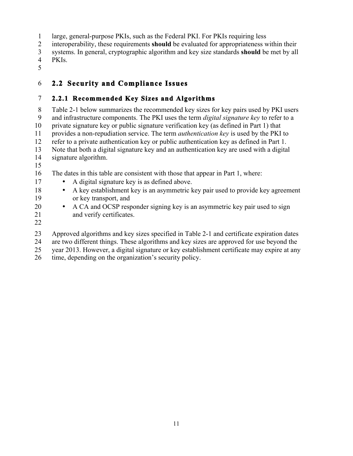1 large, general-purpose PKIs, such as the Federal PKI. For PKIs requiring less

2 interoperability, these requirements **should** be evaluated for appropriateness within their

- 3 systems. In general, cryptographic algorithm and key size standards **should** be met by all
- PKIs.
- 5

# 4 PKIs. 6 **2.2 Security and Compliance Issues**

#### 7 **2.2.1 Recommended Key Sizes and Algorithms**

 9 and infrastructure components. The PKI uses the term *digital signature key* to refer to a 10 8 Table 2-1 below summarizes the recommended key sizes for key pairs used by PKI users private signature key or public signature verification key (as defined in Part 1) that 11 provides a non-repudiation service. The term *authentication key* is used by the PKI to 12 refer to a private authentication key or public authentication key as defined in Part 1. 13 Note that both a digital signature key and an authentication key are used with a digital 14 signature algorithm.

15

16 The dates in this table are consistent with those that appear in Part 1, where:

- 17 A digital signature key is as defined above.
- 18 A key establishment key is an asymmetric key pair used to provide key agreement 19 or key transport, and
- A CA and OCSP responder signing key is an asymmetric key pair used to sign 21 and verify certificates.
- 22

20

23 Approved algorithms and key sizes specified in Table 2-1 and certificate expiration dates

24 are two different things. These algorithms and key sizes are approved for use beyond the

25 year 2013. However, a digital signature or key establishment certificate may expire at any

26 time, depending on the organization's security policy.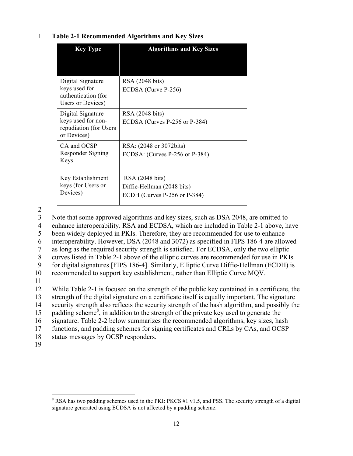#### 1 **Table 2-1 Recommended Algorithms and Key Sizes**

| <b>Key Type</b>                                                                  | <b>Algorithms and Key Sizes</b>                                               |
|----------------------------------------------------------------------------------|-------------------------------------------------------------------------------|
| Digital Signature<br>keys used for<br>authentication (for<br>Users or Devices)   | RSA (2048 bits)<br>ECDSA (Curve P-256)                                        |
| Digital Signature<br>keys used for non-<br>repudiation (for Users<br>or Devices) | RSA (2048 bits)<br>ECDSA (Curves P-256 or P-384)                              |
| CA and OCSP<br>Responder Signing<br>Keys                                         | RSA: (2048 or 3072bits)<br>ECDSA: (Curves P-256 or P-384)                     |
| Key Establishment<br>keys (for Users or<br>Devices)                              | RSA (2048 bits)<br>Diffie-Hellman (2048 bits)<br>ECDH (Curves P-256 or P-384) |

2

3 Note that some approved algorithms and key sizes, such as DSA 2048, are omitted to

4 enhance interoperability. RSA and ECDSA, which are included in Table 2-1 above, have

5 been widely deployed in PKIs. Therefore, they are recommended for use to enhance

6 interoperability. However, DSA (2048 and 3072) as specified in FIPS 186-4 are allowed

7 as long as the required security strength is satisfied. For ECDSA, only the two elliptic

8 curves listed in Table 2-1 above of the elliptic curves are recommended for use in PKIs

9 for digital signatures [FIPS 186-4]. Similarly, Elliptic Curve Diffie-Hellman (ECDH) is

10 recommended to support key establishment, rather than Elliptic Curve MQV.

11

12 While Table 2-1 is focused on the strength of the public key contained in a certificate, the 13 strength of the digital signature on a certificate itself is equally important. The signature

14 security strength also reflects the security strength of the hash algorithm, and possibly the

15 padding scheme<sup>8</sup>, in addition to the strength of the private key used to generate the

16 signature. Table 2-2 below summarizes the recommended algorithms, key sizes, hash

17 functions, and padding schemes for signing certificates and CRLs by CAs, and OCSP

- 18 status messages by OCSP responders.
- 19

 $\overline{a}$ 

 signature generated using ECDSA is not affected by a padding scheme. <sup>8</sup> RSA has two padding schemes used in the PKI: PKCS #1 v1.5, and PSS. The security strength of a digital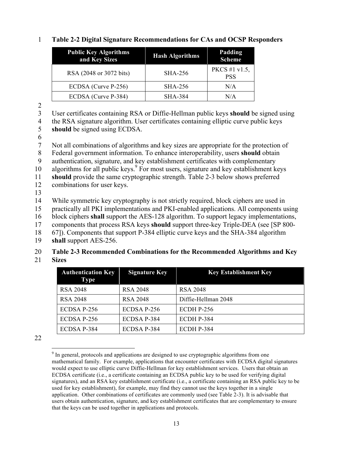| <b>Public Key Algorithms</b><br>and Key Sizes | <b>Hash Algorithms</b> | Padding<br><b>Scheme</b>    |
|-----------------------------------------------|------------------------|-----------------------------|
| RSA (2048 or 3072 bits)                       | SHA-256                | PKCS #1 v1.5,<br><b>PSS</b> |
| ECDSA (Curve P-256)                           | <b>SHA-256</b>         | N/A                         |
| ECDSA (Curve P-384)                           | <b>SHA-384</b>         | N/A                         |

#### 1 **Table 2-2 Digital Signature Recommendations for CAs and OCSP Responders**

2

3 User certificates containing RSA or Diffie-Hellman public keys **should** be signed using

4 the RSA signature algorithm. User certificates containing elliptic curve public keys

5 **should** be signed using ECDSA.

6

7 Not all combinations of algorithms and key sizes are appropriate for the protection of

8 Federal government information. To enhance interoperability, users **should** obtain

9 authentication, signature, and key establishment certificates with complementary

10 algorithms for all public keys.<sup>9</sup> For most users, signature and key establishment keys

11 **should** provide the same cryptographic strength. Table 2-3 below shows preferred

- 12 combinations for user keys. 13
- 

14 While symmetric key cryptography is not strictly required, block ciphers are used in

15 practically all PKI implementations and PKI-enabled applications. All components using

16 block ciphers **shall** support the AES-128 algorithm. To support legacy implementations,

17 components that process RSA keys **should** support three-key Triple-DEA (see [SP 800-

18 67]). Components that support P-384 elliptic curve keys and the SHA-384 algorithm

19 **shall** support AES-256.

#### 20 **Table 2-3 Recommended Combinations for the Recommended Algorithms and Key**  21 **Sizes**

| <b>Authentication Key</b><br><b>Type</b> | <b>Signature Key</b> | <b>Key Establishment Key</b> |
|------------------------------------------|----------------------|------------------------------|
| RSA 2048                                 | RSA 2048             | RSA 2048                     |
| <b>RSA 2048</b>                          | RSA 2048             | Diffie-Hellman 2048          |
| ECDSA P-256                              | ECDSA P-256          | $ECDH$ P-256                 |
| ECDSA P-256                              | ECDSA P-384          | ECDH P-384                   |
| ECDSA P-384                              | ECDSA P-384          | ECDH P-384                   |

22

 $\overline{a}$  $9<sup>9</sup>$  In general, protocols and applications are designed to use cryptographic algorithms from one mathematical family. For example, applications that encounter certificates with ECDSA digital signatures would expect to use elliptic curve Diffie-Hellman for key establishment services. Users that obtain an ECDSA certificate (i.e., a certificate containing an ECDSA public key to be used for verifying digital signatures), and an RSA key establishment certificate (i.e., a certificate containing an RSA public key to be used for key establishment), for example, may find they cannot use the keys together in a single application. Other combinations of certificates are commonly used (see Table 2-3). It is advisable that users obtain authentication, signature, and key establishment certificates that are complementary to ensure that the keys can be used together in applications and protocols.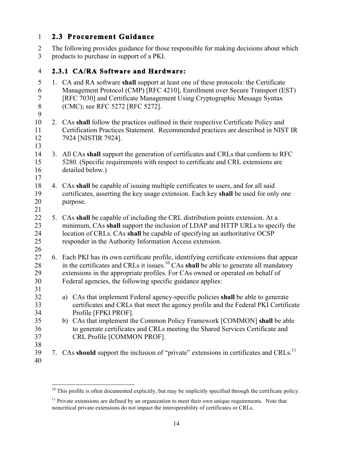#### 1 **2.3 Procurement Guidance**

<u>.</u>

2 The following provides guidance for those responsible for making decisions about which 3 products to purchase in support of a PKI.

#### 4 **2.3.1 CA/RA Software and Hardware:**

5 1. CA and RA software **shall** support at least one of these protocols: the Certificate 7 [RFC 7030] and Certificate Management Using Cryptographic Message Syntax 8 (CMC); see RFC 5272 [RFC 5272]. 10 2. CAs **shall** follow the practices outlined in their respective Certificate Policy and 14 3. All CAs **shall** support the generation of certificates and CRLs that conform to RFC 15 18 4. CAs **shall** be capable of issuing multiple certificates to users, and for all said 20 22 5. CAs **shall** be capable of including the CRL distribution points extension. At a 23 minimum, CAs **shall** support the inclusion of LDAP and HTTP URLs to specify the 24 location of CRLs. CAs **shall** be capable of specifying an authoritative OCSP 25 28 in the certificates and CRLs it issues.<sup>10</sup> CAs **shall** be able to generate all mandatory 30 32 a) CAs that implement Federal agency-specific policies **shall** be able to generate 35 b) CAs that implement the Common Policy Framework [COMMON] **shall** be able 39 7. CAs **should** support the inclusion of "private" extensions in certificates and CRLs.<sup>11</sup> 40 6 Management Protocol (CMP) [RFC 4210], Enrollment over Secure Transport (EST) 11 Certification Practices Statement. Recommended practices are described in NIST IR 12 7924 [NISTIR 7924]. 13 5280. (Specific requirements with respect to certificate and CRL extensions are 16 detailed below.) 17 19 certificates, asserting the key usage extension. Each key **shall** be used for only one purpose. 21 responder in the Authority Information Access extension. 26 27 6. Each PKI has its own certificate profile, identifying certificate extensions that appear 29 extensions in the appropriate profiles. For CAs owned or operated on behalf of Federal agencies, the following specific guidance applies: 31 33 certificates and CRLs that meet the agency profile and the Federal PKI Certificate 34 Profile [FPKI PROF]. 36 to generate certificates and CRLs meeting the Shared Services Certificate and 37 CRL Profile [COMMON PROF]. 38

 $10$  This profile is often documented explicitly, but may be implicitly specified through the certificate policy.

<sup>&</sup>lt;sup>11</sup> Private extensions are defined by an organization to meet their own unique requirements. Note that noncritical private extensions do not impact the interoperability of certificates or CRLs.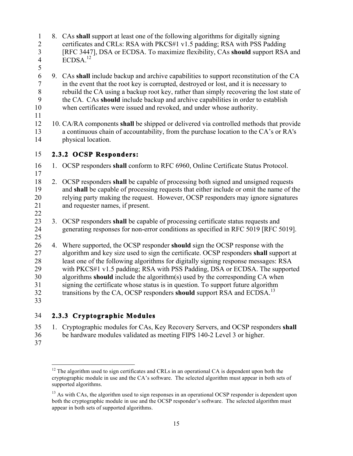| $\mathbf{1}$<br>$\overline{2}$<br>$\overline{3}$<br>$\overline{\mathcal{A}}$<br>5 |    | 8. CAs shall support at least one of the following algorithms for digitally signing<br>certificates and CRLs: RSA with PKCS#1 v1.5 padding; RSA with PSS Padding<br>[RFC 3447], DSA or ECDSA. To maximize flexibility, CAs should support RSA and<br>ECDSA. <sup>12</sup>                                                                                                                                                                                                                                                                                                                             |
|-----------------------------------------------------------------------------------|----|-------------------------------------------------------------------------------------------------------------------------------------------------------------------------------------------------------------------------------------------------------------------------------------------------------------------------------------------------------------------------------------------------------------------------------------------------------------------------------------------------------------------------------------------------------------------------------------------------------|
| 6<br>$\overline{7}$<br>8<br>9<br>10<br>11                                         |    | 9. CAs shall include backup and archive capabilities to support reconstitution of the CA<br>in the event that the root key is corrupted, destroyed or lost, and it is necessary to<br>rebuild the CA using a backup root key, rather than simply recovering the lost state of<br>the CA. CAs should include backup and archive capabilities in order to establish<br>when certificates were issued and revoked, and under whose authority.                                                                                                                                                            |
| 12<br>13<br>14                                                                    |    | 10. CA/RA components shall be shipped or delivered via controlled methods that provide<br>a continuous chain of accountability, from the purchase location to the CA's or RA's<br>physical location.                                                                                                                                                                                                                                                                                                                                                                                                  |
| 15                                                                                |    | 2.3.2 OCSP Responders:                                                                                                                                                                                                                                                                                                                                                                                                                                                                                                                                                                                |
| 16<br>17                                                                          |    | 1. OCSP responders shall conform to RFC 6960, Online Certificate Status Protocol.                                                                                                                                                                                                                                                                                                                                                                                                                                                                                                                     |
| 18<br>19<br>20<br>21<br>22                                                        |    | 2. OCSP responders shall be capable of processing both signed and unsigned requests<br>and shall be capable of processing requests that either include or omit the name of the<br>relying party making the request. However, OCSP responders may ignore signatures<br>and requester names, if present.                                                                                                                                                                                                                                                                                                |
| 23<br>24<br>25                                                                    | 3. | OCSP responders shall be capable of processing certificate status requests and<br>generating responses for non-error conditions as specified in RFC 5019 [RFC 5019].                                                                                                                                                                                                                                                                                                                                                                                                                                  |
| 26<br>27<br>28<br>29<br>30<br>31<br>32<br>33                                      |    | 4. Where supported, the OCSP responder should sign the OCSP response with the<br>algorithm and key size used to sign the certificate. OCSP responders shall support at<br>least one of the following algorithms for digitally signing response messages: RSA<br>with PKCS#1 v1.5 padding; RSA with PSS Padding, DSA or ECDSA. The supported<br>algorithms should include the algorithm(s) used by the corresponding CA when<br>signing the certificate whose status is in question. To support future algorithm<br>transitions by the CA, OCSP responders should support RSA and ECDSA. <sup>13</sup> |
| 34                                                                                |    | 2.3.3 Cryptographic Modules                                                                                                                                                                                                                                                                                                                                                                                                                                                                                                                                                                           |

- 35 1. Cryptographic modules for CAs, Key Recovery Servers, and OCSP responders **shall**  36 be hardware modules validated as meeting FIPS 140-2 Level 3 or higher.
- 37

 $\overline{a}$ 

 $12$  The algorithm used to sign certificates and CRLs in an operational CA is dependent upon both the cryptographic module in use and the CA's software. The selected algorithm must appear in both sets of supported algorithms.

<sup>&</sup>lt;sup>13</sup> As with CAs, the algorithm used to sign responses in an operational OCSP responder is dependent upon both the cryptographic module in use and the OCSP responder's software. The selected algorithm must appear in both sets of supported algorithms.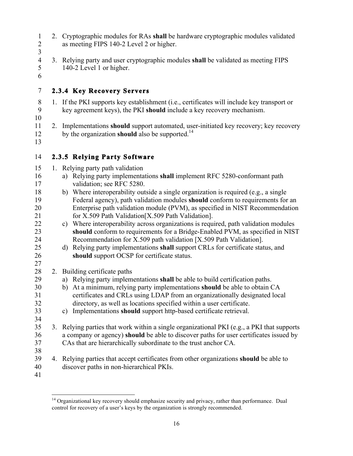- 
- 1 2. Cryptographic modules for RAs **shall** be hardware cryptographic modules validated 2 as meeting FIPS 140-2 Level 2 or higher.
- 3
- 4 3. Relying party and user cryptographic modules **shall** be validated as meeting FIPS 140-2 Level 1 or higher.
- 5 6

#### 7 **2.3.4 Key Recovery Servers**

- 10 11 2. Implementations **should** support automated, user-initiated key recovery; key recovery 12 by the organization **should** also be supported.14 8 1. If the PKI supports key establishment (i.e., certificates will include key transport or 9 key agreement keys), the PKI **should** include a key recovery mechanism.
- 13

#### 14 **2.3.5 Relying Party Software**

- 15 1. Relying party path validation
- 16 a) Relying party implementations **shall** implement RFC 5280-conformant path 17 validation; see RFC 5280.
- 18 b) Where interoperability outside a single organization is required (e.g., a single 19 Federal agency), path validation modules **should** conform to requirements for an 20 Enterprise path validation module (PVM), as specified in NIST Recommendation 21 for X.509 Path Validation[X.509 Path Validation].
- 22 c) Where interoperability across organizations is required, path validation modules 23 **should** conform to requirements for a Bridge-Enabled PVM, as specified in NIST 24 Recommendation for X.509 path validation [X.509 Path Validation].
- 25 d) Relying party implementations **shall** support CRLs for certificate status, and 26 **should** support OCSP for certificate status.
- 28 2. Building certificate paths<br>29 a) Relying party implement
	- 29 a) Relying party implementations **shall** be able to build certification paths.
- 30 b) At a minimum, relying party implementations **should** be able to obtain CA 31 certificates and CRLs using LDAP from an organizationally designated local 32 directory, as well as locations specified within a user certificate.
- 33 c) Implementations **should** support http-based certificate retrieval.
- 35 37 CAs that are hierarchically subordinate to the trust anchor CA. 38 3. Relying parties that work within a single organizational PKI (e.g., a PKI that supports 36 a company or agency) **should** be able to discover paths for user certificates issued by
- 39 4. Relying parties that accept certificates from other organizations **should** be able to 40 discover paths in non-hierarchical PKIs.
- 41

27

34

 $\overline{a}$  control for recovery of a user's keys by the organization is strongly recommended. <sup>14</sup> Organizational key recovery should emphasize security and privacy, rather than performance. Dual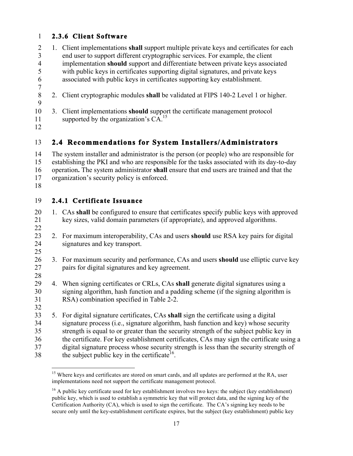#### 1 **2.3.6 Client Software**

- 2 1. Client implementations **shall** support multiple private keys and certificates for each 3 end user to support different cryptographic services. For example, the client 4 implementation **should** support and differentiate between private keys associated 5 with public keys in certificates supporting digital signatures, and private keys 6 associated with public keys in certificates supporting key establishment.
- 7
- 8 2. Client cryptographic modules **shall** be validated at FIPS 140-2 Level 1 or higher. 9
- 10 3. Client implementations **should** support the certificate management protocol 11 supported by the organization's  $CA$ <sup>15</sup>
- 12

#### 13 **2.4 Recommendations for System Installers/Administrators**

14 The system installer and administrator is the person (or people) who are responsible for 15 establishing the PKI and who are responsible for the tasks associated with its day-to-day 16 operation**.** The system administrator **shall** ensure that end users are trained and that the 17 organization's security policy is enforced.

18

#### 19 **2.4.1 Certificate Issuance**

- 20 1. CAs **shall** be configured to ensure that certificates specify public keys with approved 21 key sizes, valid domain parameters (if appropriate), and approved algorithms. 22
- 23 2. For maximum interoperability, CAs and users **should** use RSA key pairs for digital 24 signatures and key transport. 25
- 26 3. For maximum security and performance, CAs and users **should** use elliptic curve key 27 pairs for digital signatures and key agreement.
- 28
- 29 4. When signing certificates or CRLs, CAs **shall** generate digital signatures using a 30 signing algorithm, hash function and a padding scheme (if the signing algorithm is 31 RSA) combination specified in Table 2-2.
- 33 5. For digital signature certificates, CAs **shall** sign the certificate using a digital the subject public key in the certificate<sup>16</sup>. 32 34 signature process (i.e., signature algorithm, hash function and key) whose security 35 strength is equal to or greater than the security strength of the subject public key in 36 the certificate. For key establishment certificates, CAs may sign the certificate using a 37 digital signature process whose security strength is less than the security strength of

 $\overline{a}$ 38 the subject public key in the certificate<sup>16</sup>.<br><sup>15</sup> Where keys and certificates are stored on smart cards, and all updates are performed at the RA, user implementations need not support the certificate management protocol.

 $16$  A public key certificate used for key establishment involves two keys: the subject (key establishment) public key, which is used to establish a symmetric key that will protect data, and the signing key of the Certification Authority (CA), which is used to sign the certificate. The CA's signing key needs to be secure only until the key-establishment certificate expires, but the subject (key establishment) public key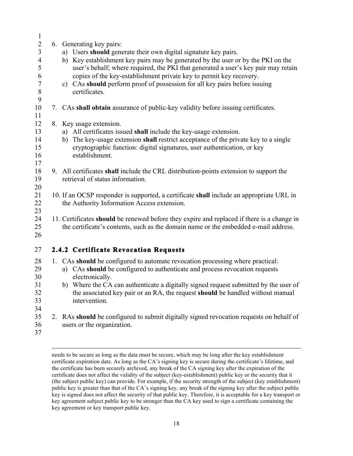| $\mathbf{1}$                                   |                                                                                                                                                                                 |
|------------------------------------------------|---------------------------------------------------------------------------------------------------------------------------------------------------------------------------------|
| $\sqrt{2}$<br>$\mathfrak{Z}$<br>$\overline{4}$ | 6. Generating key pairs:<br>a) Users should generate their own digital signature key pairs.<br>b) Key establishment key pairs may be generated by the user or by the PKI on the |
| 5<br>6                                         | user's behalf; where required, the PKI that generated a user's key pair may retain<br>copies of the key-establishment private key to permit key recovery.                       |
| $\tau$<br>$\,8\,$                              | c) CAs should perform proof of possession for all key pairs before issuing<br>certificates.                                                                                     |
| 9                                              |                                                                                                                                                                                 |
| $10\,$<br>11                                   | 7. CAs shall obtain assurance of public-key validity before issuing certificates.                                                                                               |
| 12                                             | 8. Key usage extension.                                                                                                                                                         |
| 13                                             | a) All certificates issued shall include the key-usage extension.                                                                                                               |
| 14                                             | b) The key-usage extension shall restrict acceptance of the private key to a single                                                                                             |
| 15                                             | cryptographic function: digital signatures, user authentication, or key                                                                                                         |
| 16                                             | establishment.                                                                                                                                                                  |
| 17<br>18                                       | 9. All certificates shall include the CRL distribution-points extension to support the                                                                                          |
| 19                                             | retrieval of status information.                                                                                                                                                |
| 20                                             |                                                                                                                                                                                 |
| 21                                             | 10. If an OCSP responder is supported, a certificate shall include an appropriate URL in                                                                                        |
| 22                                             | the Authority Information Access extension.                                                                                                                                     |
| 23                                             |                                                                                                                                                                                 |
| 24                                             | 11. Certificates should be renewed before they expire and replaced if there is a change in                                                                                      |
| 25                                             | the certificate's contents, such as the domain name or the embedded e-mail address.                                                                                             |
| 26                                             |                                                                                                                                                                                 |
| 27                                             | 2.4.2 Certificate Revocation Requests                                                                                                                                           |
| 28                                             | 1. CAs should be configured to automate revocation processing where practical:                                                                                                  |
| 29                                             | a) CAs should be configured to authenticate and process revocation requests                                                                                                     |
| 30                                             | electronically.                                                                                                                                                                 |
| 31                                             | b) Where the CA can authenticate a digitally signed request submitted by the user of                                                                                            |
| 32<br>33                                       | the associated key pair or an RA, the request should be handled without manual<br>intervention.                                                                                 |
| 34                                             |                                                                                                                                                                                 |
| 35                                             | 2. RAs should be configured to submit digitally signed revocation requests on behalf of                                                                                         |
| 36                                             | users or the organization.                                                                                                                                                      |

37

1

 needs to be secure as long as the data must be secure, which may be long after the key establishment certificate expiration date. As long as the CA's signing key is secure during the certificate's lifetime, and certificate does not affect the validity of the subject (key-establishment) public key or the security that it (the subject public key) can provide. For example, if the security strength of the subject (key establishment) public key is greater than that of the CA's signing key, any break of the signing key after the subject public key is signed does not affect the security of that public key. Therefore, it is acceptable for a key transport or key agreement subject public key to be stronger than the CA key used to sign a certificate containing the key agreement or key transport public key. the certificate has been securely archived, any break of the CA signing key after the expiration of the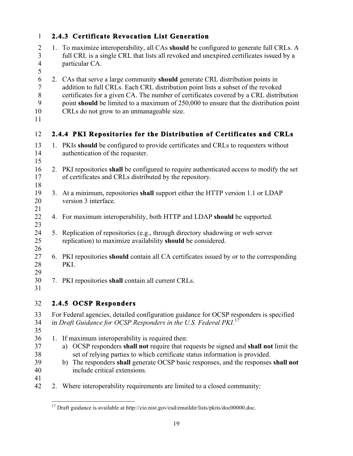| $\mathbf{1}$                                            |    | 2.4.3 Certificate Revocation List Generation                                                                                                                                                                                                                                                                                                                                                      |
|---------------------------------------------------------|----|---------------------------------------------------------------------------------------------------------------------------------------------------------------------------------------------------------------------------------------------------------------------------------------------------------------------------------------------------------------------------------------------------|
| $\overline{2}$<br>$\overline{3}$<br>$\overline{4}$<br>5 |    | 1. To maximize interoperability, all CAs should be configured to generate full CRLs. A<br>full CRL is a single CRL that lists all revoked and unexpired certificates issued by a<br>particular CA.                                                                                                                                                                                                |
| 6<br>$\sqrt{ }$<br>$\, 8$<br>9<br>10<br>11              |    | 2. CAs that serve a large community should generate CRL distribution points in<br>addition to full CRLs. Each CRL distribution point lists a subset of the revoked<br>certificates for a given CA. The number of certificates covered by a CRL distribution<br>point should be limited to a maximum of 250,000 to ensure that the distribution point<br>CRLs do not grow to an unmanageable size. |
| 12                                                      |    | 2.4.4 PKI Repositories for the Distribution of Certificates and CRLs                                                                                                                                                                                                                                                                                                                              |
| 13<br>14<br>15                                          |    | 1. PKIs should be configured to provide certificates and CRLs to requesters without<br>authentication of the requester.                                                                                                                                                                                                                                                                           |
| 16<br>17<br>18                                          |    | 2. PKI repositories shall be configured to require authenticated access to modify the set<br>of certificates and CRLs distributed by the repository.                                                                                                                                                                                                                                              |
| 19<br>20<br>21                                          |    | 3. At a minimum, repositories shall support either the HTTP version 1.1 or LDAP<br>version 3 interface.                                                                                                                                                                                                                                                                                           |
| 22<br>23                                                |    | 4. For maximum interoperability, both HTTP and LDAP should be supported.                                                                                                                                                                                                                                                                                                                          |
| 24<br>25<br>26                                          |    | 5. Replication of repositories (e.g., through directory shadowing or web server<br>replication) to maximize availability should be considered.                                                                                                                                                                                                                                                    |
| 27<br>28<br>29                                          |    | 6. PKI repositories should contain all CA certificates issued by or to the corresponding<br>PKI.                                                                                                                                                                                                                                                                                                  |
| 30<br>31                                                | 7. | PKI repositories shall contain all current CRLs.                                                                                                                                                                                                                                                                                                                                                  |
| 32                                                      |    | 2.4.5 OCSP Responders                                                                                                                                                                                                                                                                                                                                                                             |
| 33<br>34<br>35                                          |    | For Federal agencies, detailed configuration guidance for OCSP responders is specified<br>in Draft Guidance for OCSP Responders in the U.S. Federal PKI. <sup>17</sup>                                                                                                                                                                                                                            |
| 36<br>37<br>38<br>39<br>40<br>41                        |    | 1. If maximum interoperability is required then:<br>a) OCSP responders shall not require that requests be signed and shall not limit the<br>set of relying parties to which certificate status information is provided.<br>b) The responders shall generate OCSP basic responses, and the responses shall not<br>include critical extensions.                                                     |
| 42                                                      |    | 2. Where interoperability requirements are limited to a closed community:                                                                                                                                                                                                                                                                                                                         |

 $\overline{\phantom{0}}$ 

<sup>1</sup> <sup>17</sup> Draft guidance is available at http://cio.nist.gov/esd/emaildir/lists/pkits/doc00000.doc.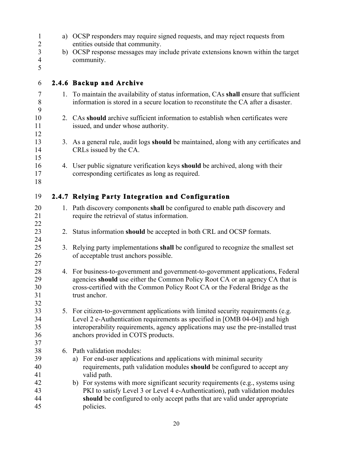| $\mathbf{1}$<br>$\overline{c}$ |    | a) OCSP responders may require signed requests, and may reject requests from<br>entities outside that community.                                                  |  |  |  |
|--------------------------------|----|-------------------------------------------------------------------------------------------------------------------------------------------------------------------|--|--|--|
| $\overline{\mathbf{3}}$        |    | b) OCSP response messages may include private extensions known within the target                                                                                  |  |  |  |
| $\overline{\mathcal{A}}$<br>5  |    | community.                                                                                                                                                        |  |  |  |
| 6                              |    | 2.4.6 Backup and Archive                                                                                                                                          |  |  |  |
| $\tau$                         |    | 1. To maintain the availability of status information, CAs shall ensure that sufficient                                                                           |  |  |  |
| $8\,$<br>9                     |    | information is stored in a secure location to reconstitute the CA after a disaster.                                                                               |  |  |  |
| 10                             |    | 2. CAs should archive sufficient information to establish when certificates were                                                                                  |  |  |  |
| 11                             |    | issued, and under whose authority.                                                                                                                                |  |  |  |
| 12                             |    |                                                                                                                                                                   |  |  |  |
| 13<br>14                       |    | 3. As a general rule, audit logs should be maintained, along with any certificates and<br>CRLs issued by the CA.                                                  |  |  |  |
| 15                             |    |                                                                                                                                                                   |  |  |  |
| 16                             |    | 4. User public signature verification keys should be archived, along with their                                                                                   |  |  |  |
| 17                             |    | corresponding certificates as long as required.                                                                                                                   |  |  |  |
| 18                             |    |                                                                                                                                                                   |  |  |  |
| 19                             |    | 2.4.7 Relying Party Integration and Configuration                                                                                                                 |  |  |  |
| 20                             |    | 1. Path discovery components shall be configured to enable path discovery and                                                                                     |  |  |  |
| 21                             |    | require the retrieval of status information.                                                                                                                      |  |  |  |
| 22                             |    |                                                                                                                                                                   |  |  |  |
| 23                             | 2. | Status information should be accepted in both CRL and OCSP formats.                                                                                               |  |  |  |
| 24<br>25                       |    | 3. Relying party implementations shall be configured to recognize the smallest set                                                                                |  |  |  |
| 26                             |    | of acceptable trust anchors possible.                                                                                                                             |  |  |  |
| 27                             |    |                                                                                                                                                                   |  |  |  |
| 28                             |    | 4. For business-to-government and government-to-government applications, Federal                                                                                  |  |  |  |
| 29                             |    | agencies should use either the Common Policy Root CA or an agency CA that is                                                                                      |  |  |  |
| 30                             |    | cross-certified with the Common Policy Root CA or the Federal Bridge as the                                                                                       |  |  |  |
| 31                             |    | trust anchor.                                                                                                                                                     |  |  |  |
| 32<br>33                       |    |                                                                                                                                                                   |  |  |  |
| 34                             |    | 5. For citizen-to-government applications with limited security requirements (e.g.<br>Level 2 e-Authentication requirements as specified in [OMB 04-04]) and high |  |  |  |
| 35                             |    | interoperability requirements, agency applications may use the pre-installed trust                                                                                |  |  |  |
| 36                             |    | anchors provided in COTS products.                                                                                                                                |  |  |  |
| 37                             |    |                                                                                                                                                                   |  |  |  |
| 38                             |    | 6. Path validation modules:                                                                                                                                       |  |  |  |
| 39                             |    | a) For end-user applications and applications with minimal security                                                                                               |  |  |  |
| 40                             |    | requirements, path validation modules should be configured to accept any                                                                                          |  |  |  |
| 41                             |    | valid path.                                                                                                                                                       |  |  |  |
| 42                             |    | b) For systems with more significant security requirements (e.g., systems using                                                                                   |  |  |  |
| 43                             |    | PKI to satisfy Level 3 or Level 4 e-Authentication), path validation modules                                                                                      |  |  |  |
| 44<br>45                       |    | should be configured to only accept paths that are valid under appropriate<br>policies.                                                                           |  |  |  |
|                                |    |                                                                                                                                                                   |  |  |  |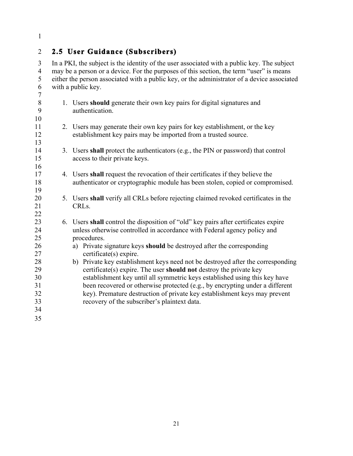1

#### 2 **2.5** User Guidance (Subscribers)

 3 In a PKI, the subject is the identity of the user associated with a public key. The subject 4 may be a person or a device. For the purposes of this section, the term "user" is means 5 either the person associated with a public key, or the administrator of a device associated 6 with a public key.

 8 1. Users **should** generate their own key pairs for digital signatures and 11 2. Users may generate their own key pairs for key establishment, or the key 14 3. Users **shall** protect the authenticators (e.g., the PIN or password) that control 17 4. Users **shall** request the revocation of their certificates if they believe the 5. Users **shall** verify all CRLs before rejecting claimed revoked certificates in the 23 6. Users **shall** control the disposition of "old" key pairs after certificates expire procedures. procedures. 26 a) Private signature keys **should** be destroyed after the corresponding 29 certificate(s) expire. The user **should not** destroy the private key 10 15 20 25 30 35 7 9 authentication. 12 establishment key pairs may be imported from a trusted source. 13 access to their private keys. 16 18 authenticator or cryptographic module has been stolen, copied or compromised. 19 21 CRLs. 22 24 unless otherwise controlled in accordance with Federal agency policy and 27 certificate(s) expire. 28 b) Private key establishment keys need not be destroyed after the corresponding establishment key until all symmetric keys established using this key have 31 been recovered or otherwise protected (e.g., by encrypting under a different 32 key). Premature destruction of private key establishment keys may prevent 33 recovery of the subscriber's plaintext data. 34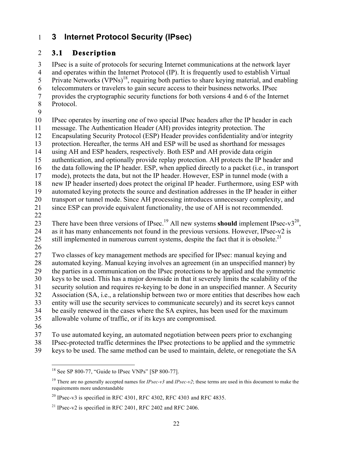#### 1 **3 Internet Protocol Security (IPsec)**

#### 2 **3.1 Description**

 6 telecommuters or travelers to gain secure access to their business networks. IPsec 11 message. The Authentication Header (AH) provides integrity protection. The 3 IPsec is a suite of protocols for securing Internet communications at the network layer 4 5 and operates within the Internet Protocol (IP). It is frequently used to establish Virtual Private Networks (VPNs)<sup>18</sup>, requiring both parties to share keying material, and enabling 7 provides the cryptographic security functions for both versions 4 and 6 of the Internet 8 Protocol. 9 10 IPsec operates by inserting one of two special IPsec headers after the IP header in each

12 Encapsulating Security Protocol (ESP) Header provides confidentiality and/or integrity

13 protection. Hereafter, the terms AH and ESP will be used as shorthand for messages

14 using AH and ESP headers, respectively. Both ESP and AH provide data origin

15 authentication, and optionally provide replay protection. AH protects the IP header and

16 the data following the IP header. ESP, when applied directly to a packet (i.e., in transport

17 mode), protects the data, but not the IP header. However, ESP in tunnel mode (with a

18 new IP header inserted) does protect the original IP header. Furthermore, using ESP with

19 automated keying protects the source and destination addresses in the IP header in either 20 transport or tunnel mode. Since AH processing introduces unnecessary complexity, and

21 since ESP can provide equivalent functionality, the use of AH is not recommended.

22

23 There have been three versions of IPsec.<sup>19</sup> All new systems **should** implement IPsec-v3<sup>20</sup>, 24 as it has many enhancements not found in the previous versions. However, IPsec-v2 is

25 still implemented in numerous current systems, despite the fact that it is obsolete.<sup>21</sup>

26

 33 entity will use the security services to communicate securely) and its secret keys cannot 27 Two classes of key management methods are specified for IPsec: manual keying and 28 automated keying. Manual keying involves an agreement (in an unspecified manner) by 29 the parties in a communication on the IPsec protections to be applied and the symmetric 30 keys to be used. This has a major downside in that it severely limits the scalability of the 31 security solution and requires re-keying to be done in an unspecified manner. A Security 32 Association (SA, i.e., a relationship between two or more entities that describes how each 34 be easily renewed in the cases where the SA expires, has been used for the maximum 35 allowable volume of traffic, or if its keys are compromised.

36

37 To use automated keying, an automated negotiation between peers prior to exchanging

38 IPsec-protected traffic determines the IPsec protections to be applied and the symmetric

39 keys to be used. The same method can be used to maintain, delete, or renegotiate the SA

 $^{20}$  IPsec-v3 is specified in RFC 4301, RFC 4302, RFC 4303 and RFC 4835.

 $\overline{a}$  $18$  See SP 800-77, "Guide to IPsec VNPs" [SP 800-77].

 19 There are no generally accepted names for *IPsec-v3* and *IPsec-v2*; these terms are used in this document to make the requirements more understandable

<sup>&</sup>lt;sup>21</sup> IPsec-v2 is specified in RFC 2401, RFC 2402 and RFC 2406.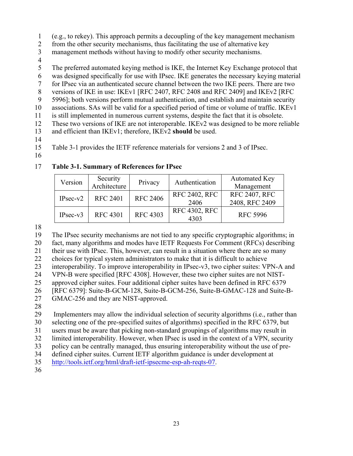- 1 (e.g., to rekey). This approach permits a decoupling of the key management mechanism
- 2 from the other security mechanisms, thus facilitating the use of alternative key
- 3 management methods without having to modify other security mechanisms.
- 4
- 5 The preferred automated keying method is IKE, the Internet Key Exchange protocol that
- 6 was designed specifically for use with IPsec. IKE generates the necessary keying material
- 7 for IPsec via an authenticated secure channel between the two IKE peers. There are two
- 8 versions of IKE in use: IKEv1 [RFC 2407, RFC 2408 and RFC 2409] and IKEv2 [RFC
- 9 5996]; both versions perform mutual authentication, and establish and maintain security
- 10 associations. SAs will be valid for a specified period of time or volume of traffic. IKEv1
- 11 is still implemented in numerous current systems, despite the fact that it is obsolete.
- 13 and efficient than IKEv1; therefore, IKEv2 **should** be used. 12 These two versions of IKE are not interoperable. IKEv2 was designed to be more reliable
- 14
- 15 Table 3-1 provides the IETF reference materials for versions 2 and 3 of IPsec.
- 16

#### 17 **Table 3-1. Summary of References for IPsec**

| Version    | Security<br>Architecture | Privacy         | Authentication       | <b>Automated Key</b><br>Management |
|------------|--------------------------|-----------------|----------------------|------------------------------------|
| $IPsec-v2$ | <b>RFC 2401</b>          | <b>RFC 2406</b> | <b>RFC 2402, RFC</b> | <b>RFC 2407, RFC</b>               |
|            |                          |                 | 2406                 | 2408, RFC 2409                     |
| $IPsec-v3$ | <b>RFC 4301</b>          | <b>RFC 4303</b> | <b>RFC 4302, RFC</b> | <b>RFC 5996</b>                    |
|            |                          |                 | 4303                 |                                    |

18

19 The IPsec security mechanisms are not tied to any specific cryptographic algorithms; in 20 fact, many algorithms and modes have IETF Requests For Comment (RFCs) describing 21 their use with IPsec. This, however, can result in a situation where there are so many 22 choices for typical system administrators to make that it is difficult to achieve

23 interoperability. To improve interoperability in IPsec-v3, two cipher suites: VPN-A and

24 VPN-B were specified [RFC 4308]. However, these two cipher suites are not NIST-

25 approved cipher suites. Four additional cipher suites have been defined in RFC 6379

26 [RFC 6379]: Suite-B-GCM-128, Suite-B-GCM-256, Suite-B-GMAC-128 and Suite-B-

- 27 GMAC-256 and they are NIST-approved.
- 28

29 Implementers may allow the individual selection of security algorithms (i.e., rather than

30 selecting one of the pre-specified suites of algorithms) specified in the RFC 6379, but

31 users must be aware that picking non-standard groupings of algorithms may result in

32 limited interoperability. However, when IPsec is used in the context of a VPN, security

33 policy can be centrally managed, thus ensuring interoperability without the use of pre-

34 defined cipher suites. Current IETF algorithm guidance is under development at

36

<sup>35</sup> http://tools.ietf.org/html/draft-ietf-ipsecme-esp-ah-reqts-07.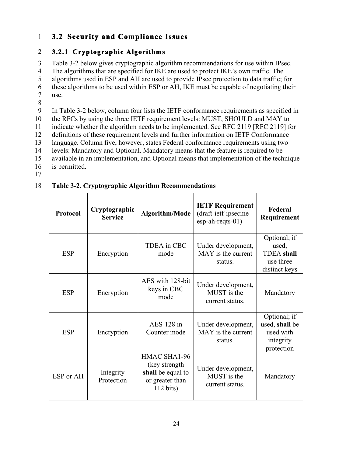#### **1 3.2 Security and Compliance Issues**

#### 2 **3.2.1 Cryptographic Algorithms**

3 Table 3-2 below gives cryptographic algorithm recommendations for use within IPsec.

4 The algorithms that are specified for IKE are used to protect IKE's own traffic. The

5 algorithms used in ESP and AH are used to provide IPsec protection to data traffic; for

6 these algorithms to be used within ESP or AH, IKE must be capable of negotiating their

7 use.<br>8

9 In Table 3-2 below, column four lists the IETF conformance requirements as specified in

10 the RFCs by using the three IETF requirement levels: MUST, SHOULD and MAY to

11 indicate whether the algorithm needs to be implemented. See RFC 2119 [RFC 2119] for

12 definitions of these requirement levels and further information on IETF Conformance

13 language. Column five, however, states Federal conformance requirements using two

14 levels: Mandatory and Optional. Mandatory means that the feature is required to be

- 15 available in an implementation, and Optional means that implementation of the technique
- 16 is permitted.
- 17

#### 18 **Table 3-2. Cryptographic Algorithm Recommendations**

| Protocol   | Cryptographic<br><b>Service</b> | Algorithm/Mode                                                                               | <b>IETF Requirement</b><br>(draft-ietf-ipsecme-<br>esp-ah-reqts-01) | Federal<br>Requirement                                                   |
|------------|---------------------------------|----------------------------------------------------------------------------------------------|---------------------------------------------------------------------|--------------------------------------------------------------------------|
| <b>ESP</b> | Encryption                      | <b>TDEA</b> in CBC<br>mode                                                                   | Under development,<br>MAY is the current<br>status.                 | Optional; if<br>used,<br><b>TDEA</b> shall<br>use three<br>distinct keys |
| <b>ESP</b> | Encryption                      | AES with 128-bit<br>keys in CBC<br>mode                                                      | Under development,<br>MUST is the<br>current status.                | Mandatory                                                                |
| <b>ESP</b> | Encryption                      | $AES-128$ in<br>Counter mode                                                                 | Under development,<br>MAY is the current<br>status.                 | Optional; if<br>used, shall be<br>used with<br>integrity<br>protection   |
| ESP or AH  | Integrity<br>Protection         | HMAC SHA1-96<br>(key strength)<br>shall be equal to<br>or greater than<br>$112 \text{ bits}$ | Under development,<br>MUST is the<br>current status.                | Mandatory                                                                |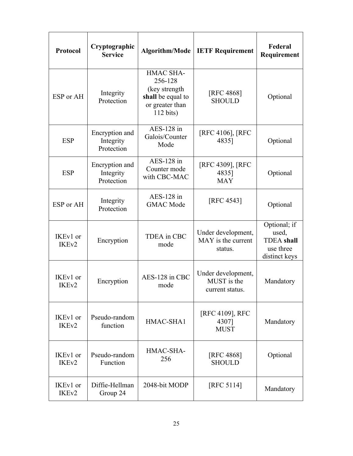| Protocol                      | Cryptographic<br><b>Service</b>           | Algorithm/Mode                                                                                             | <b>IETF Requirement</b>                             | Federal<br>Requirement                                                   |
|-------------------------------|-------------------------------------------|------------------------------------------------------------------------------------------------------------|-----------------------------------------------------|--------------------------------------------------------------------------|
| ESP or AH                     | Integrity<br>Protection                   | <b>HMAC SHA-</b><br>256-128<br>(key strength<br>shall be equal to<br>or greater than<br>$112 \text{ bits}$ | [RFC 4868]<br><b>SHOULD</b>                         | Optional                                                                 |
| <b>ESP</b>                    | Encryption and<br>Integrity<br>Protection | AES-128 in<br>Galois/Counter<br>Mode                                                                       | [RFC 4106], [RFC<br>4835]                           | Optional                                                                 |
| <b>ESP</b>                    | Encryption and<br>Integrity<br>Protection | $AES-128$ in<br>Counter mode<br>with CBC-MAC                                                               | [RFC 4309], [RFC<br>4835]<br><b>MAY</b>             | Optional                                                                 |
| ESP or AH                     | Integrity<br>Protection                   | $AES-128$ in<br><b>GMAC</b> Mode                                                                           | [RFC 4543]                                          | Optional                                                                 |
| IKEv1 or<br>IKE <sub>v2</sub> | Encryption                                | <b>TDEA</b> in CBC<br>mode                                                                                 | Under development,<br>MAY is the current<br>status. | Optional; if<br>used,<br><b>TDEA</b> shall<br>use three<br>distinct keys |
| IKEv1 or<br>IKE <sub>v2</sub> | Encryption                                | AES-128 in CBC<br>mode                                                                                     | Under development,<br>MUST is the<br>current status | Mandatory                                                                |
| IKEv1 or<br>IKE <sub>v2</sub> | Pseudo-random<br>function                 | HMAC-SHA1                                                                                                  | [RFC 4109], RFC<br>4307]<br><b>MUST</b>             | Mandatory                                                                |
| IKEv1 or<br>IKE <sub>v2</sub> | Pseudo-random<br>Function                 | HMAC-SHA-<br>256                                                                                           | <b>[RFC 4868]</b><br><b>SHOULD</b>                  | Optional                                                                 |
| IKEv1 or<br>IKE <sub>v2</sub> | Diffie-Hellman<br>Group 24                | 2048-bit MODP                                                                                              | [RFC 5114]                                          | Mandatory                                                                |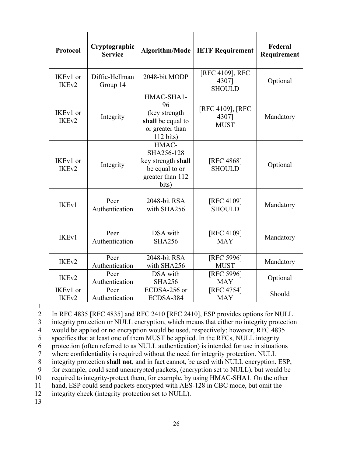| Protocol                      | Cryptographic<br><b>Service</b> |                                                                                                 | Algorithm/Mode   IETF Requirement         | Federal<br>Requirement |
|-------------------------------|---------------------------------|-------------------------------------------------------------------------------------------------|-------------------------------------------|------------------------|
| IKEv1 or<br>IKE <sub>v2</sub> | Diffie-Hellman<br>Group 14      | 2048-bit MODP                                                                                   | [RFC 4109], RFC<br>4307]<br><b>SHOULD</b> | Optional               |
| IKEv1 or<br>IKE <sub>v2</sub> | Integrity                       | HMAC-SHA1-<br>96<br>(key strength<br>shall be equal to<br>or greater than<br>$112 \text{ bits}$ | [RFC 4109], [RFC<br>4307]<br><b>MUST</b>  | Mandatory              |
| IKEv1 or<br>IKE <sub>v2</sub> | Integrity                       | HMAC-<br>SHA256-128<br>key strength shall<br>be equal to or<br>greater than 112<br>bits)        | [RFC 4868]<br><b>SHOULD</b>               | Optional               |
| IKE <sub>v1</sub>             | Peer<br>Authentication          | 2048-bit RSA<br>with SHA256                                                                     | [RFC 4109]<br><b>SHOULD</b>               | Mandatory              |
| <b>IKEv1</b>                  | Peer<br>Authentication          | DSA with<br><b>SHA256</b>                                                                       | [RFC 4109]<br><b>MAY</b>                  | Mandatory              |
| IKE <sub>v2</sub>             | Peer<br>Authentication          | 2048-bit RSA<br>with SHA256                                                                     | [RFC 5996]<br><b>MUST</b>                 | Mandatory              |
| IKE <sub>v2</sub>             | Peer<br>Authentication          | DSA with<br><b>SHA256</b>                                                                       | [RFC 5996]<br><b>MAY</b>                  | Optional               |
| IKEv1 or<br>IKE <sub>v2</sub> | Peer<br>Authentication          | ECDSA-256 or<br>ECDSA-384                                                                       | [RFC 4754]<br><b>MAY</b>                  | Should                 |

1

2 In RFC 4835 [RFC 4835] and RFC 2410 [RFC 2410], ESP provides options for NULL

3 integrity protection or NULL encryption, which means that either no integrity protection

4 would be applied or no encryption would be used, respectively; however, RFC 4835

5 specifies that at least one of them MUST be applied. In the RFCs, NULL integrity

6 protection (often referred to as NULL authentication) is intended for use in situations

7 where confidentiality is required without the need for integrity protection. NULL

8 integrity protection **shall not**, and in fact cannot, be used with NULL encryption. ESP,

9 for example, could send unencrypted packets, (encryption set to NULL), but would be

10 required to integrity-protect them, for example, by using HMAC-SHA1. On the other

11 hand, ESP could send packets encrypted with AES-128 in CBC mode, but omit the

12 integrity check (integrity protection set to NULL).

13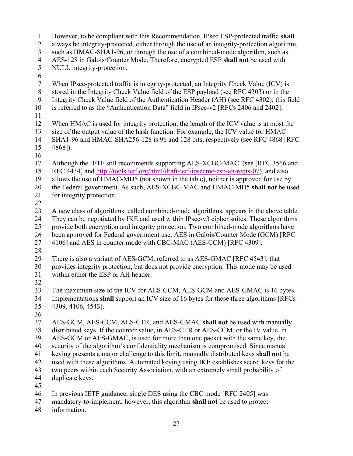1 However, to be compliant with this Recommendation, IPsec ESP-protected traffic **shall**  2 3 such as HMAC-SHA1-96, or through the use of a combined-mode algorithm, such as 4 AES-128 in Galois/Counter Mode. Therefore, encrypted ESP **shall not** be used with 5 6 7 8 stored in the Integrity Check Value field of the ESP payload (see RFC 4303) or in the 9 10 is referred to as the "Authentication Data" field in IPsec-v2 [RFCs 2406 and 2402]. 11 12 13 14 SHA1-96 and HMAC-SHA256-128 is 96 and 128 bits, respectively (see RFC 4868 [RFC 15 4868]). 16 15 4868]).<br>16<br>17 Although the IETF still recommends supporting AES-XCBC-MAC (see [RFC 3566 and 18 RFC 4434] and http://tools.ietf.org/html/draft-ietf-ipsecme-esp-ah-reqts-07), and also 19 20 21 22 23 24 25 26 27 4106] and AES in counter mode with CBC-MAC (AES-CCM) [RFC 4309]. 28 29 30 provides integrity protection, but does not provide encryption. This mode may be used 31 within either the ESP or AH header. 32 33 34 Implementations **shall** support an ICV size of 16 bytes for these three algorithms [RFCs 35 4309, 4106, 4543]. 36 37 38 39 40 41 keying presents a major challenge to this limit, manually distributed keys **shall not** be 42 43 44 duplicate keys. 45 46 47 mandatory-to-implement; however, this algorithm **shall not** be used to protect 48 always be integrity-protected, either through the use of an integrity-protection algorithm, NULL integrity-protection. When IPsec-protected traffic is integrity-protected, an Integrity Check Value (ICV) is Integrity Check Value field of the Authentication Header (AH) (see RFC 4302); this field When HMAC is used for integrity protection, the length of the ICV value is at most the size of the output value of the hash function. For example, the ICV value for HMACallows the use of HMAC-MD5 (not shown in the table), neither is approved for use by the Federal government. As such, AES-XCBC-MAC and HMAC-MD5 **shall not** be used for integrity protection. A new class of algorithms, called combined-mode algorithms, appears in the above table. They can be negotiated by IKE and used within IPsec-v3 cipher suites. These algorithms provide both encryption and integrity protection. Two combined-mode algorithms have been approved for Federal government use: AES in Galois/Counter Mode (GCM) [RFC There is also a variant of AES-GCM, referred to as AES-GMAC [RFC 4543], that The maximum size of the ICV for AES-CCM, AES-GCM and AES-GMAC is 16 bytes. AES-GCM, AES-CCM, AES-CTR, and AES-GMAC shall not be used with manually distributed keys. If the counter value, in AES-CTR or AES-CCM, or the IV value, in AES-GCM or AES-GMAC, is used for more than one packet with the same key, the security of the algorithm's confidentiality mechanism is compromised. Since manual used with these algorithms. Automated keying using IKE establishes secret keys for the two peers within each Security Association, with an extremely small probability of In previous IETF guidance, single DES using the CBC mode [RFC 2405] was information.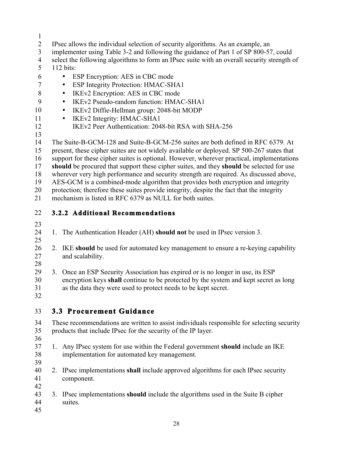- 1
- 2 IPsec allows the individual selection of security algorithms. As an example, an
- 3 implementer using Table 3-2 and following the guidance of Part 1 of SP 800-57, could
- 4 select the following algorithms to form an IPsec suite with an overall security strength of
- 5 112 bits:
- 6 ESP Encryption: AES in CBC mode
- 7 ESP Integrity Protection: HMAC-SHA1
- 8 IKEv2 Encryption: AES in CBC mode
- 9 IKEv2 Pseudo-random function: HMAC-SHA1
- 10 • IKEv2 Diffie-Hellman group: 2048-bit MODP
- 11 IKEv2 Integrity: HMAC-SHA1
- 12 IKEv2 Peer Authentication: 2048-bit RSA with SHA-256
- 13

14 The Suite-B-GCM-128 and Suite-B-GCM-256 suites are both defined in RFC 6379. At

- 15 present, these cipher suites are not widely available or deployed. SP 500-267 states that
- 16 support for these cipher suites is optional. However, wherever practical, implementations
- 17 **should** be procured that support these cipher suites, and they **should** be selected for use
- 18 wherever very high performance and security strength are required. As discussed above,
- 19 AES-GCM is a combined-mode algorithm that provides both encryption and integrity

 protection; therefore these suites provide integrity, despite the fact that the integrity 20 21 mechanism is listed in RFC 6379 as NULL for both suites.

- 22 **3.2.2 Additional Recommendations**
- 23
- 24 1. The Authentication Header (AH) **should not** be used in IPsec version 3.
- 25
- 26 2. IKE **should** be used for automated key management to ensure a re-keying capability 27 and scalability.
- encryption keys **shall** continue to be protected by the system and kept secret as long 30 28 29 3. Once an ESP Security Association has expired or is no longer in use, its ESP 31 as the data they were used to protect needs to be kept secret.
- 32

# 33 **3.3 Procurement Guidance**

- 35 34 These recommendations are written to assist individuals responsible for selecting security products that include IPsec for the security of the IP layer. 36
- 37 1. Any IPsec system for use within the Federal government **should** include an IKE 38 implementation for automated key management.
- 39
- 2. IPsec implementations **shall** include approved algorithms for each IPsec security 41 component. 42 40
- 43 3. IPsec implementations **should** include the algorithms used in the Suite B cipher 44 suites.
- 45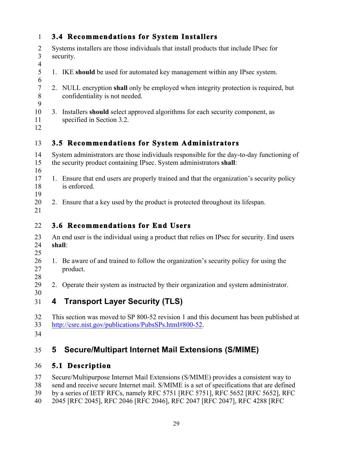| $\mathbf{1}$                                       | <b>3.4 Recommendations for System Installers</b>                                                                                                                 |  |
|----------------------------------------------------|------------------------------------------------------------------------------------------------------------------------------------------------------------------|--|
| $\overline{2}$<br>$\overline{3}$<br>$\overline{4}$ | Systems installers are those individuals that install products that include IPsec for<br>security.                                                               |  |
| 5<br>6                                             | 1. IKE should be used for automated key management within any IPsec system.                                                                                      |  |
| $\tau$<br>$\, 8$<br>9                              | 2. NULL encryption shall only be employed when integrity protection is required, but<br>confidentiality is not needed.                                           |  |
| 10<br>11<br>12                                     | Installers should select approved algorithms for each security component, as<br>3 <sub>1</sub><br>specified in Section 3.2.                                      |  |
| 13                                                 | 3.5 Recommendations for System Administrators                                                                                                                    |  |
| 14<br>15<br>16                                     | System administrators are those individuals responsible for the day-to-day functioning of<br>the security product containing IPsec. System administrators shall: |  |
| 17<br>18<br>19                                     | 1. Ensure that end users are properly trained and that the organization's security policy<br>is enforced.                                                        |  |
| 20<br>21                                           | 2. Ensure that a key used by the product is protected throughout its lifespan.                                                                                   |  |
| 22                                                 | 3.6 Recommendations for End Users                                                                                                                                |  |
| 23<br>24<br>25                                     | An end user is the individual using a product that relies on IPsec for security. End users<br>shall:                                                             |  |
| 26<br>27<br>28                                     | 1. Be aware of and trained to follow the organization's security policy for using the<br>product.                                                                |  |
| 29<br>30                                           | 2. Operate their system as instructed by their organization and system administrator.                                                                            |  |

# 31 **4 Transport Layer Security (TLS)**

32 33 This section was moved to SP 800-52 revision 1 and this document has been published at http://csrc.nist.gov/publications/PubsSPs.html#800-52.

34

#### 35 **5 Secure/Multipart Internet Mail Extensions (S/MIME)**

#### 36 **5.1 Description**

37 Secure/Multipurpose Internet Mail Extensions (S/MIME) provides a consistent way to

38 send and receive secure Internet mail. S/MIME is a set of specifications that are defined

- 39 by a series of IETF RFCs, namely RFC 5751 [RFC 5751], RFC 5652 [RFC 5652], RFC
- 40 2045 [RFC 2045], RFC 2046 [RFC 2046], RFC 2047 [RFC 2047], RFC 4288 [RFC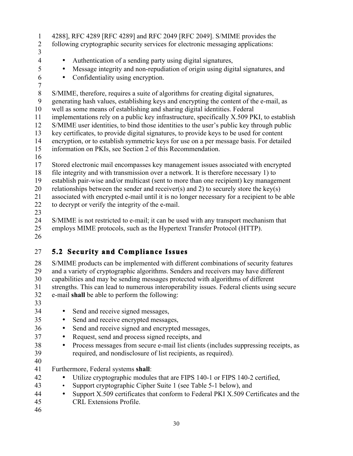- 1 4288], RFC 4289 [RFC 4289] and RFC 2049 [RFC 2049]. S/MIME provides the
- 2 following cryptographic security services for electronic messaging applications:
- 3

- 4 Authentication of a sending party using digital signatures,
	- Message integrity and non-repudiation of origin using digital signatures, and
- 6 Confidentiality using encryption.

 8 S/MIME, therefore, requires a suite of algorithms for creating digital signatures, well as some means of establishing and sharing digital identities. Federal information on PKIs, see Section 2 of this Recommendation. 10 15 20 7 9 generating hash values, establishing keys and encrypting the content of the e-mail, as 11 implementations rely on a public key infrastructure, specifically X.509 PKI, to establish 12 S/MIME user identities, to bind those identities to the user's public key through public 13 key certificates, to provide digital signatures, to provide keys to be used for content 14 encryption, or to establish symmetric keys for use on a per message basis. For detailed 16 17 Stored electronic mail encompasses key management issues associated with encrypted 18 file integrity and with transmission over a network. It is therefore necessary 1) to 19 establish pair-wise and/or multicast (sent to more than one recipient) key management relationships between the sender and receiver(s) and 2) to securely store the key(s) 21 associated with encrypted e-mail until it is no longer necessary for a recipient to be able 22 to decrypt or verify the integrity of the e-mail.

23

25 24 S/MIME is not restricted to e-mail; it can be used with any transport mechanism that employs MIME protocols, such as the Hypertext Transfer Protocol (HTTP).

26

# 27 **5.2 Security and Compliance Issues**

30 28 S/MIME products can be implemented with different combinations of security features 29 and a variety of cryptographic algorithms. Senders and receivers may have different capabilities and may be sending messages protected with algorithms of different 31 strengths. This can lead to numerous interoperability issues. Federal clients using secure 32 e-mail **shall** be able to perform the following:

33

- 34 Send and receive signed messages,
	- Send and receive encrypted messages,
- 36 Send and receive signed and encrypted messages,
- 37 Request, send and process signed receipts, and
- 38 Process messages from secure e-mail list clients (includes suppressing receipts, as 39 required, and nondisclosure of list recipients, as required). 40
- 41 Furthermore, Federal systems **shall**:
- 42 Utilize cryptographic modules that are FIPS 140-1 or FIPS 140-2 certified,
- 43 Support cryptographic Cipher Suite 1 (see Table 5-1 below), and
- 45 44 • Support X.509 certificates that conform to Federal PKI X.509 Certificates and the CRL Extensions Profile.
- 46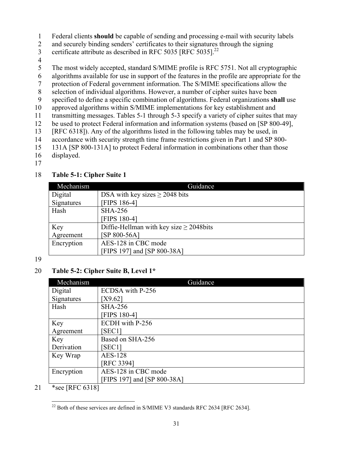- 1 Federal clients **should** be capable of sending and processing e-mail with security labels
- 2 and securely binding senders' certificates to their signatures through the signing
- certificate attribute as described in RFC 5035  $[RFC 5035]^{22}$ 3
- 4
- 5 The most widely accepted, standard S/MIME profile is RFC 5751. Not all cryptographic
- 6 algorithms available for use in support of the features in the profile are appropriate for the
- 7 protection of Federal government information. The S/MIME specifications allow the
- 8 selection of individual algorithms. However, a number of cipher suites have been
- 9 specified to define a specific combination of algorithms. Federal organizations **shall** use
- 10 approved algorithms within S/MIME implementations for key establishment and
- 11 transmitting messages. Tables 5-1 through 5-3 specify a variety of cipher suites that may
- 12 be used to protect Federal information and information systems (based on [SP 800-49],
- 13 [RFC 6318]). Any of the algorithms listed in the following tables may be used, in
- 14 accordance with security strength time frame restrictions given in Part 1 and SP 800-
- 15 131A [SP 800-131A] to protect Federal information in combinations other than those
- 16 displayed.
- 17

### 18 **Table 5-1: Cipher Suite 1**

| Mechanism  | Guidance                                     |  |  |
|------------|----------------------------------------------|--|--|
| Digital    | DSA with key sizes $\geq$ 2048 bits          |  |  |
| Signatures | <b>FIPS 186-41</b>                           |  |  |
| Hash       | <b>SHA-256</b>                               |  |  |
|            | <b>FIPS 180-41</b>                           |  |  |
| Key        | Diffie-Hellman with key size $\geq$ 2048bits |  |  |
| Agreement  | [SP 800-56A]                                 |  |  |
| Encryption | AES-128 in CBC mode                          |  |  |
|            | FIPS 197] and [SP 800-38A]                   |  |  |

19

### 20 **Table 5-2: Cipher Suite B, Level 1\***

| Mechanism  | Guidance                    |
|------------|-----------------------------|
| Digital    | ECDSA with P-256            |
| Signatures | [X9.62]                     |
| Hash       | <b>SHA-256</b>              |
|            | [FIPS 180-4]                |
| Key        | ECDH with P-256             |
| Agreement  | SEC <sub>1</sub>            |
| Key        | Based on SHA-256            |
| Derivation | SEC <sub>1</sub>            |
| Key Wrap   | <b>AES-128</b>              |
|            | [RFC 3394]                  |
| Encryption | AES-128 in CBC mode         |
|            | [FIPS 197] and [SP 800-38A] |

21 \*see [RFC 6318]

<sup>1</sup>  $^{22}$  Both of these services are defined in S/MIME V3 standards RFC 2634 [RFC 2634].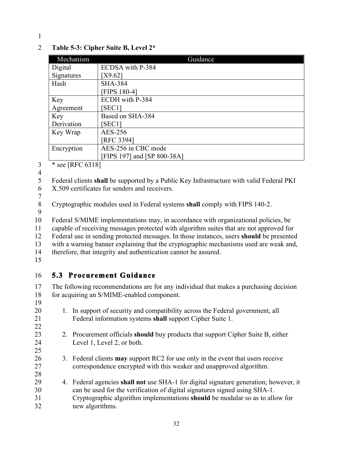### 2 **Table 5-3: Cipher Suite B, Level 2\***

| Mechanism        | Guidance                    |
|------------------|-----------------------------|
| Digital          | ECDSA with P-384            |
| Signatures       | [X9.62]                     |
| Hash             | <b>SHA-384</b>              |
|                  | <b>FIPS 180-41</b>          |
| Key              | ECDH with P-384             |
| Agreement        | [SEC1]                      |
| Key              | Based on SHA-384            |
| Derivation       | [SEC1]                      |
| Key Wrap         | AES-256                     |
|                  | [RFC 3394]                  |
| Encryption       | AES-256 in CBC mode         |
|                  | [FIPS 197] and [SP 800-38A] |
| * see [RFC 6318] |                             |

4

 5 Federal clients **shall** be supported by a Public Key Infrastructure with valid Federal PKI 6 X.509 certificates for senders and receivers.

 8 Cryptographic modules used in Federal systems **shall** comply with FIPS 140-2.  $\frac{7}{8}$ 

9

 12 Federal use in sending protected messages. In those instances, users **should** be presented 10 Federal S/MIME implementations may, in accordance with organizational policies, be 11 capable of receiving messages protected with algorithm suites that are not approved for 13 with a warning banner explaining that the cryptographic mechanisms used are weak and, 14 therefore, that integrity and authentication cannot be assured.

15

19

25

### 16 5.3 Procurement Guidance

17 The following recommendations are for any individual that makes a purchasing decision 18 for acquiring an S/MIME-enabled component.

- 21 Federal information systems **shall** support Cipher Suite 1. 20 1. In support of security and compatibility across the Federal government, all 22
- 23 2. Procurement officials **should** buy products that support Cipher Suite B, either 24 Level 1, Level 2, or both.
- 26 3. Federal clients **may** support RC2 for use only in the event that users receive 27 correspondence encrypted with this weaker and unapproved algorithm.
- 29 4. Federal agencies **shall not** use SHA-1 for digital signature generation; however, it 31 Cryptographic algorithm implementations **should** be modular so as to allow for 28 30 can be used for the verification of digital signatures signed using SHA-1. 32 new algorithms.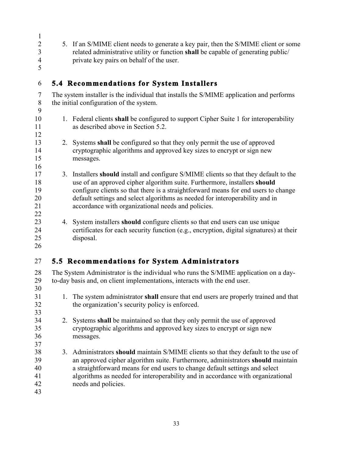- 
- 2 5. If an S/MIME client needs to generate a key pair, then the S/MIME client or some 3 related administrative utility or function **shall** be capable of generating public/ 4 private key pairs on behalf of the user.
- 6 **5.4 Recommendations for System Installers**

7 The system installer is the individual that installs the S/MIME application and performs 8 the initial configuration of the system. 9

- 1. Federal clients **shall** be configured to support Cipher Suite 1 for interoperability 11 as described above in Section 5.2.
- 13 2. Systems **shall** be configured so that they only permit the use of approved 14 cryptographic algorithms and approved key sizes to encrypt or sign new messages.
- 18 use of an approved cipher algorithm suite. Furthermore, installers **should**  20 17 3. Installers **should** install and configure S/MIME clients so that they default to the 19 configure clients so that there is a straightforward means for end users to change default settings and select algorithms as needed for interoperability and in 21 accordance with organizational needs and policies. 22
- 23 4. System installers **should** configure clients so that end users can use unique 25 24 certificates for each security function (e.g., encryption, digital signatures) at their disposal.
- 26

33

37

5

1

10

12

15

16

# 27 **5.5 Recommendations for System Administrators**

30 28 The System Administrator is the individual who runs the S/MIME application on a day-29 to-day basis and, on client implementations, interacts with the end user.

- 31 1. The system administrator **shall** ensure that end users are properly trained and that the organization's security policy is enforced. the organization's security policy is enforced.
- 34 2. Systems **shall** be maintained so that they only permit the use of approved 35 cryptographic algorithms and approved key sizes to encrypt or sign new 36 messages.
- 39 an approved cipher algorithm suite. Furthermore, administrators **should** maintain 40 38 3. Administrators **should** maintain S/MIME clients so that they default to the use of a straightforward means for end users to change default settings and select 41 algorithms as needed for interoperability and in accordance with organizational 42 needs and policies.
- 43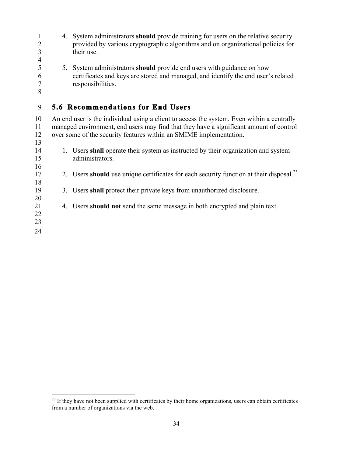1 4. System administrators **should** provide training for users on the relative security 5 5. System administrators **should** provide end users with guidance on how 17 2. Users **should** use unique certificates for each security function at their disposal.<sup>23</sup> 21 4. Users **should not** send the same message in both encrypted and plain text. 2 provided by various cryptographic algorithms and on organizational policies for 3 their use. 4 6 certificates and keys are stored and managed, and identify the end user's related 7 responsibilities. 8 9 **5.6 Recommendations for End Users**  10 An end user is the individual using a client to access the system. Even within a centrally 11 managed environment, end users may find that they have a significant amount of control 12 over some of the security features within an SMIME implementation. 13 14 1. Users **shall** operate their system as instructed by their organization and system 15 administrators. 16 18 19 3. Users **shall** protect their private keys from unauthorized disclosure. 20 22 23 24

 from a number of organizations via the web.  $2<sup>23</sup>$  If they have not been supplied with certificates by their home organizations, users can obtain certificates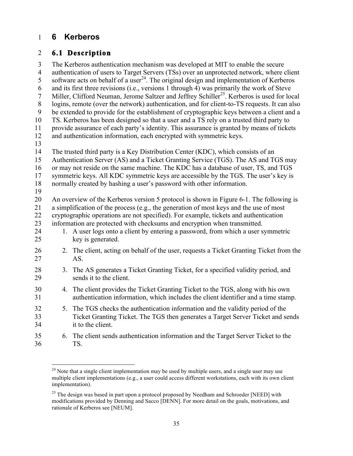### 1 **6 Kerberos**

 $\overline{a}$ 

### 2 **6.1 Description**

3 The Kerberos authentication mechanism was developed at MIT to enable the secure 4 authentication of users to Target Servers (TSs) over an unprotected network, where client 5 software acts on behalf of a user<sup>24</sup>. The original design and implementation of Kerberos 6 and its first three revisions (i.e., versions 1 through 4) was primarily the work of Steve 7 Miller, Clifford Neuman, Jerome Saltzer and Jeffrey Schiller<sup>25</sup>. Kerberos is used for local 8 logins, remote (over the network) authentication, and for client-to-TS requests. It can also 9 be extended to provide for the establishment of cryptographic keys between a client and a 10 TS. Kerberos has been designed so that a user and a TS rely on a trusted third party to 11 provide assurance of each party's identity. This assurance is granted by means of tickets 12 and authentication information, each encrypted with symmetric keys. 13 14 The trusted third party is a Key Distribution Center (KDC), which consists of an 15 Authentication Server (AS) and a Ticket Granting Service (TGS). The AS and TGS may 16 or may not reside on the same machine. The KDC has a database of user, TS, and TGS 17 symmetric keys. All KDC symmetric keys are accessible by the TGS. The user's key is 18 normally created by hashing a user's password with other information. 19 20 An overview of the Kerberos version 5 protocol is shown in Figure 6-1. The following is 21 a simplification of the process (e.g., the generation of most keys and the use of most 22 cryptographic operations are not specified). For example, tickets and authentication 23 information are protected with checksums and encryption when transmitted. 24 1. A user logs onto a client by entering a password, from which a user symmetric 25 key is generated. 26 2. The client, acting on behalf of the user, requests a Ticket Granting Ticket from the 27 AS. 28 3. The AS generates a Ticket Granting Ticket, for a specified validity period, and 29 sends it to the client. 30 4. The client provides the Ticket Granting Ticket to the TGS, along with his own 31 authentication information, which includes the client identifier and a time stamp. 32 5. The TGS checks the authentication information and the validity period of the 33 Ticket Granting Ticket. The TGS then generates a Target Server Ticket and sends 34 it to the client. 35 6. The client sends authentication information and the Target Server Ticket to the 36 TS.

 $2<sup>24</sup>$  Note that a single client implementation may be used by multiple users, and a single user may use multiple client implementations (e.g., a user could access different workstations, each with its own client implementation).

 $25$  The design was based in part upon a protocol proposed by Needham and Schroeder [NEED] with modifications provided by Denning and Sacco [DENN]. For more detail on the goals, motivations, and rationale of Kerberos see [NEUM].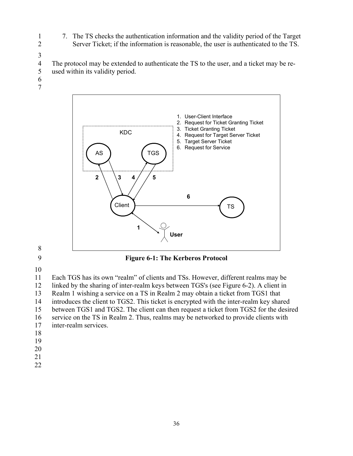- 1 7. The TS checks the authentication information and the validity period of the Target 2 Server Ticket; if the information is reasonable, the user is authenticated to the TS.
- 3

4 The protocol may be extended to authenticate the TS to the user, and a ticket may be re-5 used within its validity period.

- 6
- 7



8



10

11 Each TGS has its own "realm" of clients and TSs. However, different realms may be 12 linked by the sharing of inter-realm keys between TGS's (see Figure 6-2). A client in

13 Realm 1 wishing a service on a TS in Realm 2 may obtain a ticket from TGS1 that

14 introduces the client to TGS2. This ticket is encrypted with the inter-realm key shared

15 between TGS1 and TGS2. The client can then request a ticket from TGS2 for the desired

16 service on the TS in Realm 2. Thus, realms may be networked to provide clients with

- 17 inter-realm services.
- 18
- 19
- 20
- 21
- 22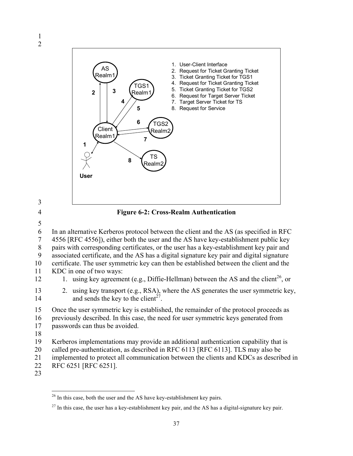







 19 Kerberos implementations may provide an additional authentication capability that is 20 called pre-authentication, as described in RFC 6113 [RFC 6113]. TLS may also be 6 In an alternative Kerberos protocol between the client and the AS (as specified in RFC 7 4556 [RFC 4556]), either both the user and the AS have key-establishment public key 8 pairs with corresponding certificates, or the user has a key-establishment key pair and 9 associated certificate, and the AS has a digital signature key pair and digital signature 10 certificate. The user symmetric key can then be established between the client and the 11 KDC in one of two ways: 12 1. using key agreement (e.g., Diffie-Hellman) between the AS and the client<sup>26</sup>, or 13 2. using key transport (e.g., RSA), where the AS generates the user symmetric key, 14 and sends the key to the client<sup>27</sup>. 15 Once the user symmetric key is established, the remainder of the protocol proceeds as 16 previously described. In this case, the need for user symmetric keys generated from 17 passwords can thus be avoided. 18 21 implemented to protect all communication between the clients and KDCs as described in

- 22 RFC 6251 [RFC 6251].
- 23

 $^{26}$  In this case, both the user and the AS have key-establishment key pairs.

 $^{27}$  In this case, the user has a key-establishment key pair, and the AS has a digital-signature key pair.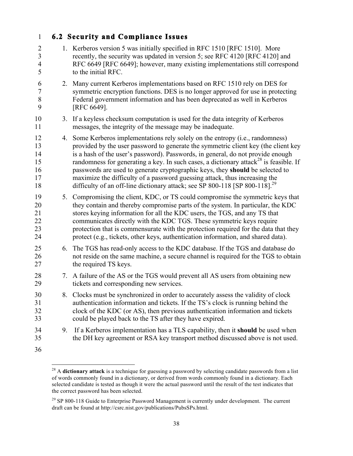### 2 1. Kerberos version 5 was initially specified in RFC 1510 [RFC 1510]. More 3 recently, the security was updated in version 5; see RFC 4120 [RFC 4120] and 1 **6.2 Security and Compliance Issues**  4 RFC 6649 [RFC 6649]; however, many existing implementations still correspond 5 to the initial RFC. 6 2. Many current Kerberos implementations based on RFC 1510 rely on DES for 7 symmetric encryption functions. DES is no longer approved for use in protecting 8 Federal government information and has been deprecated as well in Kerberos 9 [RFC 6649].

- 10 3. If a keyless checksum computation is used for the data integrity of Kerberos 11 messages, the integrity of the message may be inadequate.
- 12 4. Some Kerberos implementations rely solely on the entropy (i.e., randomness) 13 provided by the user password to generate the symmetric client key (the client key 14 is a hash of the user's password). Passwords, in general, do not provide enough 15 randomness for generating a key. In such cases, a dictionary attack<sup>28</sup> is feasible. If 16 passwords are used to generate cryptographic keys, they **should** be selected to 17 maximize the difficulty of a password guessing attack, thus increasing the 18 difficulty of an off-line dictionary attack; see SP 800-118 [SP 800-118].<sup>29</sup>
- 19 5. Compromising the client, KDC, or TS could compromise the symmetric keys that 20 they contain and thereby compromise parts of the system. In particular, the KDC 21 stores keying information for all the KDC users, the TGS, and any TS that 22 communicates directly with the KDC TGS. These symmetric keys require 23 protection that is commensurate with the protection required for the data that they 24 protect (e.g., tickets, other keys, authentication information, and shared data).
- 25 6. The TGS has read-only access to the KDC database. If the TGS and database do 26 not reside on the same machine, a secure channel is required for the TGS to obtain 27 the required TS keys.
- 28 7. A failure of the AS or the TGS would prevent all AS users from obtaining new 29 tickets and corresponding new services.
- 30 8. Clocks must be synchronized in order to accurately assess the validity of clock 31 authentication information and tickets. If the TS's clock is running behind the 32 clock of the KDC (or AS), then previous authentication information and tickets 33 could be played back to the TS after they have expired.
- 34 9. If a Kerberos implementation has a TLS capability, then it **should** be used when 35 the DH key agreement or RSA key transport method discussed above is not used.
- 36

<sup>1</sup>  of words commonly found in a dictionary, or derived from words commonly found in a dictionary. Each selected candidate is tested as though it were the actual password until the result of the test indicates that <sup>28</sup> A **dictionary attack** is a technique for guessing a password by selecting candidate passwords from a list the correct password has been selected.

<sup>&</sup>lt;sup>29</sup> SP 800-118 Guide to Enterprise Password Management is currently under development. The current draft can be found at http://csrc.nist.gov/publications/PubsSPs.html.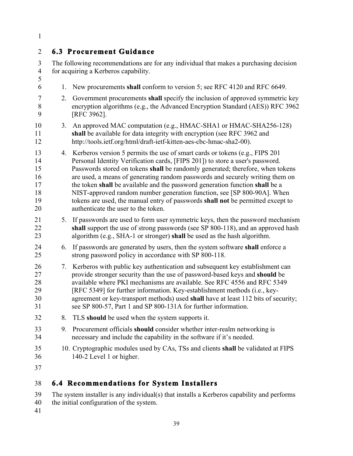# 2 **6.3 Procurement Guidance**

 4 for acquiring a Kerberos capability. 5 3 The following recommendations are for any individual that makes a purchasing decision

- 6 1. New procurements **shall** conform to version 5; see RFC 4120 and RFC 6649.
- 7 2. Government procurements **shall** specify the inclusion of approved symmetric key 8 encryption algorithms (e.g., the Advanced Encryption Standard (AES)) RFC 3962 9 [RFC 3962].
- 10 3. An approved MAC computation (e.g., HMAC-SHA1 or HMAC-SHA256-128) 11 **shall** be available for data integrity with encryption (see RFC 3962 and 12 http://tools.ietf.org/html/draft-ietf-kitten-aes-cbc-hmac-sha2-00).
- 17 the token **shall** be available and the password generation function **shall** be a 15 20 13 4. Kerberos version 5 permits the use of smart cards or tokens (e.g., FIPS 201 14 Personal Identity Verification cards, [FIPS 201]) to store a user's password. Passwords stored on tokens **shall** be randomly generated; therefore, when tokens 16 are used, a means of generating random passwords and securely writing them on 18 NIST-approved random number generation function, see [SP 800-90A]. When 19 tokens are used, the manual entry of passwords **shall not** be permitted except to authenticate the user to the token.
- 21 5. If passwords are used to form user symmetric keys, then the password mechanism 22 **shall** support the use of strong passwords (see SP 800-118), and an approved hash 23 algorithm (e.g., SHA-1 or stronger) **shall** be used as the hash algorithm.
- 25 24 6. If passwords are generated by users, then the system software **shall** enforce a strong password policy in accordance with SP 800-118.
- 27 provide stronger security than the use of password-based keys and **should** be 28 available where PKI mechanisms are available. See RFC 4556 and RFC 5349 30 26 7. Kerberos with public key authentication and subsequent key establishment can 29 [RFC 5349] for further information. Key-establishment methods (i.e., keyagreement or key-transport methods) used **shall** have at least 112 bits of security; 31 see SP 800-57, Part 1 and SP 800-131A for further information.
- 32 8. TLS **should** be used when the system supports it.
- 33 9. Procurement officials **should** consider whether inter-realm networking is 34 necessary and include the capability in the software if it's needed.
- 10. Cryptographic modules used by CAs, TSs and clients **shall** be validated at FIPS 35 36 140-2 Level 1 or higher.
- 37

### 38 **6.4 Recommendations for System Installers**

40 39 The system installer is any individual(s) that installs a Kerberos capability and performs the initial configuration of the system.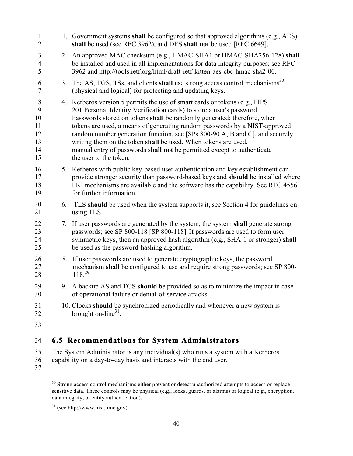| $\mathbf{1}$<br>$\overline{2}$             |    | 1. Government systems shall be configured so that approved algorithms (e.g., AES)<br>shall be used (see RFC 3962), and DES shall not be used [RFC 6649].                                                                                                                                                                                                                                                                                                                                                                                                            |
|--------------------------------------------|----|---------------------------------------------------------------------------------------------------------------------------------------------------------------------------------------------------------------------------------------------------------------------------------------------------------------------------------------------------------------------------------------------------------------------------------------------------------------------------------------------------------------------------------------------------------------------|
| 3<br>4<br>5                                | 2. | An approved MAC checksum (e.g., HMAC-SHA1 or HMAC-SHA256-128) shall<br>be installed and used in all implementations for data integrity purposes; see RFC<br>3962 and http://tools.ietf.org/html/draft-ietf-kitten-aes-cbc-hmac-sha2-00.                                                                                                                                                                                                                                                                                                                             |
| 6<br>7                                     | 3. | The AS, TGS, TSs, and clients shall use strong access control mechanisms <sup>30</sup><br>(physical and logical) for protecting and updating keys.                                                                                                                                                                                                                                                                                                                                                                                                                  |
| 8<br>9<br>10<br>11<br>12<br>13<br>14<br>15 |    | 4. Kerberos version 5 permits the use of smart cards or tokens (e.g., FIPS<br>201 Personal Identity Verification cards) to store a user's password.<br>Passwords stored on tokens shall be randomly generated; therefore, when<br>tokens are used, a means of generating random passwords by a NIST-approved<br>random number generation function, see [SPs 800-90 A, B and C], and securely<br>writing them on the token shall be used. When tokens are used,<br>manual entry of passwords shall not be permitted except to authenticate<br>the user to the token. |
| 16<br>17<br>18<br>19                       |    | 5. Kerberos with public key-based user authentication and key establishment can<br>provide stronger security than password-based keys and <b>should</b> be installed where<br>PKI mechanisms are available and the software has the capability. See RFC 4556<br>for further information.                                                                                                                                                                                                                                                                            |
| 20<br>21                                   | 6. | TLS should be used when the system supports it, see Section 4 for guidelines on<br>using TLS.                                                                                                                                                                                                                                                                                                                                                                                                                                                                       |
| 22<br>23<br>24<br>25                       |    | 7. If user passwords are generated by the system, the system shall generate strong<br>passwords; see SP 800-118 [SP 800-118]. If passwords are used to form user<br>symmetric keys, then an approved hash algorithm (e.g., SHA-1 or stronger) shall<br>be used as the password-hashing algorithm.                                                                                                                                                                                                                                                                   |
| 26<br>27<br>28                             |    | 8. If user passwords are used to generate cryptographic keys, the password<br>mechanism shall be configured to use and require strong passwords; see SP 800-<br>$118^{29}$                                                                                                                                                                                                                                                                                                                                                                                          |
| 29<br>30                                   |    | 9. A backup AS and TGS should be provided so as to minimize the impact in case<br>of operational failure or denial-of-service attacks.                                                                                                                                                                                                                                                                                                                                                                                                                              |
| 31<br>32                                   |    | 10. Clocks should be synchronized periodically and whenever a new system is<br>brought on-line <sup>31</sup> .                                                                                                                                                                                                                                                                                                                                                                                                                                                      |
| 33                                         |    |                                                                                                                                                                                                                                                                                                                                                                                                                                                                                                                                                                     |
|                                            |    |                                                                                                                                                                                                                                                                                                                                                                                                                                                                                                                                                                     |

# 34 **6.5** Recommendations for System Administrators

- 35 The System Administrator is any individual(s) who runs a system with a Kerberos
- 36 capability on a day-to-day basis and interacts with the end user.
- 37

 $\overline{a}$ 

 sensitive data. These controls may be physical (e.g., locks, guards, or alarms) or logical (e.g., encryption, data integrity, or entity authentication). <sup>30</sup> Strong access control mechanisms either prevent or detect unauthorized attempts to access or replace

<sup>31 (</sup>see http://www.nist.time.gov).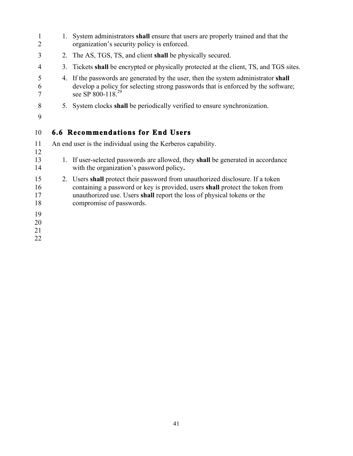| 1<br>2               | 1. | System administrators shall ensure that users are properly trained and that the<br>organization's security policy is enforced.                                                                                                                                        |
|----------------------|----|-----------------------------------------------------------------------------------------------------------------------------------------------------------------------------------------------------------------------------------------------------------------------|
| 3                    | 2. | The AS, TGS, TS, and client shall be physically secured.                                                                                                                                                                                                              |
| 4                    | 3. | Tickets shall be encrypted or physically protected at the client, TS, and TGS sites.                                                                                                                                                                                  |
| 5<br>6               | 4. | If the passwords are generated by the user, then the system administrator shall<br>develop a policy for selecting strong passwords that is enforced by the software;<br>see SP 800-118. <sup>29</sup>                                                                 |
| 8<br>9               | 5. | System clocks shall be periodically verified to ensure synchronization.                                                                                                                                                                                               |
| 10                   |    | 6.6 Recommendations for End Users                                                                                                                                                                                                                                     |
| 11<br>12             |    | An end user is the individual using the Kerberos capability.                                                                                                                                                                                                          |
| 13<br>14             |    | 1. If user-selected passwords are allowed, they shall be generated in accordance<br>with the organization's password policy.                                                                                                                                          |
| 15<br>16<br>17<br>18 |    | 2. Users shall protect their password from unauthorized disclosure. If a token<br>containing a password or key is provided, users shall protect the token from<br>unauthorized use. Users shall report the loss of physical tokens or the<br>compromise of passwords. |
| 19                   |    |                                                                                                                                                                                                                                                                       |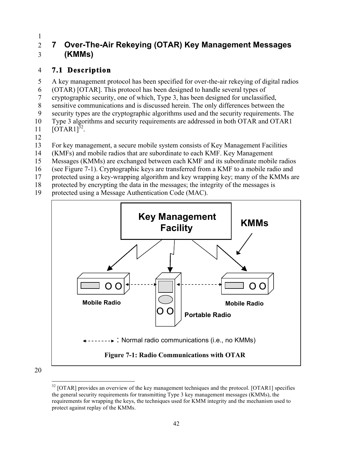### 2 **7 Over-The-Air Rekeying (OTAR) Key Management Messages** 1 3 **(KMMs)**

# 4 **7.1 Description**

5 A key management protocol has been specified for over-the-air rekeying of digital radios

6 (OTAR) [OTAR]. This protocol has been designed to handle several types of

7 cryptographic security, one of which, Type 3, has been designed for unclassified,

8 sensitive communications and is discussed herein. The only differences between the

9 security types are the cryptographic algorithms used and the security requirements. The

10 Type 3 algorithms and security requirements are addressed in both OTAR and OTAR1

- 11  $[OTARI]^{\frac{32}{2}}$ .
- 12

13 For key management, a secure mobile system consists of Key Management Facilities

- 14 (KMFs) and mobile radios that are subordinate to each KMF. Key Management
- 15 Messages (KMMs) are exchanged between each KMF and its subordinate mobile radios
- 16 (see Figure 7-1). Cryptographic keys are transferred from a KMF to a mobile radio and
- 17 protected using a key-wrapping algorithm and key wrapping key; many of the KMMs are
- 18 protected by encrypting the data in the messages; the integrity of the messages is
- 19 protected using a Message Authentication Code (MAC).



<sup>&</sup>lt;u>.</u> the general security requirements for transmitting Type 3 key management messages (KMMs), the requirements for wrapping the keys, the techniques used for KMM integrity and the mechanism used to protect against replay of the KMMs.  $32$  [OTAR] provides an overview of the key management techniques and the protocol. [OTAR1] specifies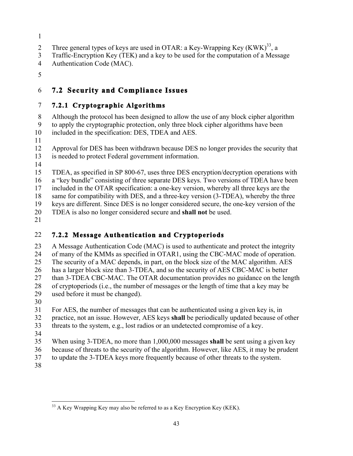- 2 Three general types of keys are used in OTAR: a Key-Wrapping Key  $(KWK)^{33}$ , a
- 3 Traffic-Encryption Key (TEK) and a key to be used for the computation of a Message
- 4 Authentication Code (MAC).
- 5

# 6 **7.2 Security and Compliance Issues**

### 7 **7.2.1 Cryptographic Algorithms**

8 Although the protocol has been designed to allow the use of any block cipher algorithm 9 to apply the cryptographic protection, only three block cipher algorithms have been 10 included in the specification: DES, TDEA and AES.

11

12 Approval for DES has been withdrawn because DES no longer provides the security that 13 is needed to protect Federal government information.

14

 15 TDEA, as specified in SP 800-67, uses three DES encryption/decryption operations with 16 a "key bundle" consisting of three separate DES keys. Two versions of TDEA have been

17 included in the OTAR specification: a one-key version, whereby all three keys are the

18 same for compatibility with DES, and a three-key version (3-TDEA), whereby the three 19 keys are different. Since DES is no longer considered secure, the one-key version of the

20 TDEA is also no longer considered secure and **shall not** be used.

21

# 22 **7.2.2 Message Authentication and Cryptoperiods**

23 A Message Authentication Code (MAC) is used to authenticate and protect the integrity 24 of many of the KMMs as specified in OTAR1, using the CBC-MAC mode of operation. 25 The security of a MAC depends, in part, on the block size of the MAC algorithm. AES 26 has a larger block size than 3-TDEA, and so the security of AES CBC-MAC is better 27 than 3-TDEA CBC-MAC. The OTAR documentation provides no guidance on the length 28 of cryptoperiods (i.e., the number of messages or the length of time that a key may be

29 used before it must be changed).

30 31 For AES, the number of messages that can be authenticated using a given key is, in

32 practice, not an issue. However, AES keys **shall** be periodically updated because of other 33 threats to the system, e.g., lost radios or an undetected compromise of a key.

34

35 When using 3-TDEA, no more than 1,000,000 messages **shall** be sent using a given key

- 36 because of threats to the security of the algorithm. However, like AES, it may be prudent
- 37 to update the 3-TDEA keys more frequently because of other threats to the system.
- 38

<sup>1</sup>  $33$  A Key Wrapping Key may also be referred to as a Key Encryption Key (KEK).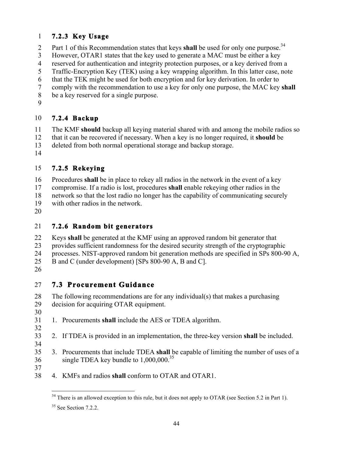### 1 **7.2.3 Key Usage**

- 2 Part 1 of this Recommendation states that keys **shall** be used for only one purpose.<sup>34</sup>
- 3 However, OTAR1 states that the key used to generate a MAC must be either a key
- 4 reserved for authentication and integrity protection purposes, or a key derived from a
- 5 Traffic-Encryption Key (TEK) using a key wrapping algorithm. In this latter case, note
- 6 that the TEK might be used for both encryption and for key derivation. In order to
- 7 comply with the recommendation to use a key for only one purpose, the MAC key **shall**
- 8 be a key reserved for a single purpose.
- 9

#### 10 **7.2.4 Backup**

11 The KMF **should** backup all keying material shared with and among the mobile radios so

- 12 that it can be recovered if necessary. When a key is no longer required, it **should** be
- 13 deleted from both normal operational storage and backup storage.
- 14

#### 15 **7.2.5 Rekeying**

16 Procedures **shall** be in place to rekey all radios in the network in the event of a key

- 17 compromise. If a radio is lost, procedures **shall** enable rekeying other radios in the
- 18 network so that the lost radio no longer has the capability of communicating securely
- 19 with other radios in the network.
- 20

### 21 **7.2.6 Random bit generators**

- 22 Keys **shall** be generated at the KMF using an approved random bit generator that
- 23 provides sufficient randomness for the desired security strength of the cryptographic
- 24 processes. NIST-approved random bit generation methods are specified in SPs 800-90 A,
- 25 B and C (under development) [SPs 800-90 A, B and C].
- 26

# 27 **7.3 Procurement Guidance**

- 28 The following recommendations are for any individual(s) that makes a purchasing 29 decision for acquiring OTAR equipment.
- 30
- 31 1. Procurements **shall** include the AES or TDEA algorithm. 32
- 33 2. If TDEA is provided in an implementation, the three-key version **shall** be included.
- 34
- 35 3. Procurements that include TDEA **shall** be capable of limiting the number of uses of a 36 single TDEA key bundle to 1,000,000.<sup>35</sup> 37
- 38 4. KMFs and radios **shall** conform to OTAR and OTAR1.

<sup>1</sup>  $34$  There is an allowed exception to this rule, but it does not apply to OTAR (see Section 5.2 in Part 1).

 $35$  See Section 7.2.2.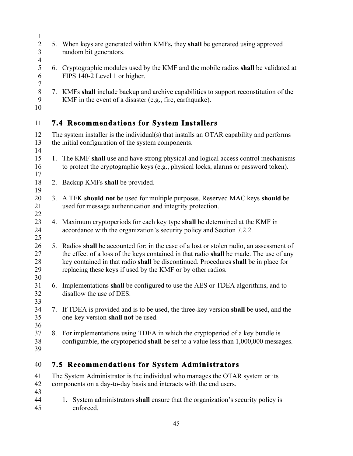|    | 5. When keys are generated within KMFs, they shall be generated using approved<br>random bit generators.                                                                                                                                                                                                                                  |
|----|-------------------------------------------------------------------------------------------------------------------------------------------------------------------------------------------------------------------------------------------------------------------------------------------------------------------------------------------|
|    |                                                                                                                                                                                                                                                                                                                                           |
|    | 6. Cryptographic modules used by the KMF and the mobile radios shall be validated at<br>FIPS 140-2 Level 1 or higher.                                                                                                                                                                                                                     |
|    | 7. KMFs shall include backup and archive capabilities to support reconstitution of the<br>KMF in the event of a disaster (e.g., fire, earthquake).                                                                                                                                                                                        |
|    | <b>7.4 Recommendations for System Installers</b>                                                                                                                                                                                                                                                                                          |
|    | The system installer is the individual(s) that installs an OTAR capability and performs                                                                                                                                                                                                                                                   |
|    | the initial configuration of the system components.                                                                                                                                                                                                                                                                                       |
|    | 1. The KMF shall use and have strong physical and logical access control mechanisms<br>to protect the cryptographic keys (e.g., physical locks, alarms or password token).                                                                                                                                                                |
| 2. | Backup KMFs shall be provided.                                                                                                                                                                                                                                                                                                            |
|    | 3. A TEK should not be used for multiple purposes. Reserved MAC keys should be<br>used for message authentication and integrity protection.                                                                                                                                                                                               |
| 4. | Maximum cryptoperiods for each key type shall be determined at the KMF in<br>accordance with the organization's security policy and Section 7.2.2.                                                                                                                                                                                        |
|    | 5. Radios shall be accounted for; in the case of a lost or stolen radio, an assessment of<br>the effect of a loss of the keys contained in that radio shall be made. The use of any<br>key contained in that radio shall be discontinued. Procedures shall be in place for<br>replacing these keys if used by the KMF or by other radios. |
|    | 6. Implementations shall be configured to use the AES or TDEA algorithms, and to<br>disallow the use of DES.                                                                                                                                                                                                                              |
|    | If TDEA is provided and is to be used, the three-key version shall be used, and the<br>one-key version shall not be used.                                                                                                                                                                                                                 |
|    | For implementations using TDEA in which the cryptoperiod of a key bundle is<br>configurable, the cryptoperiod shall be set to a value less than 1,000,000 messages.                                                                                                                                                                       |
|    | <b>7.5 Recommendations for System Administrators</b>                                                                                                                                                                                                                                                                                      |
|    | The System Administrator is the individual who manages the OTAR system or its                                                                                                                                                                                                                                                             |
|    | components on a day-to-day basis and interacts with the end users.                                                                                                                                                                                                                                                                        |
|    | System administrators shall ensure that the organization's security policy is<br>1.<br>enforced.                                                                                                                                                                                                                                          |
|    | 7.<br>8.                                                                                                                                                                                                                                                                                                                                  |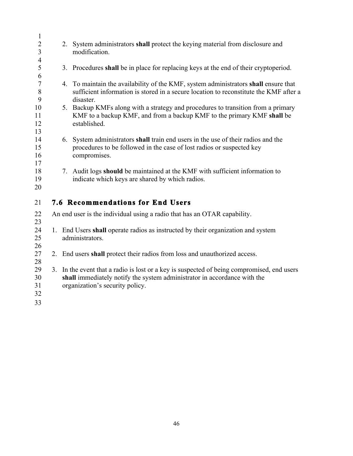| $\mathbf{1}$                    |    |                                                                                                                                                                                                           |
|---------------------------------|----|-----------------------------------------------------------------------------------------------------------------------------------------------------------------------------------------------------------|
| $\overline{2}$<br>3             |    | 2. System administrators shall protect the keying material from disclosure and<br>modification.                                                                                                           |
| $\overline{4}$                  |    |                                                                                                                                                                                                           |
| 5                               |    | Procedures shall be in place for replacing keys at the end of their cryptoperiod.<br>3.                                                                                                                   |
| 6<br>$\boldsymbol{7}$<br>8<br>9 |    | 4. To maintain the availability of the KMF, system administrators shall ensure that<br>sufficient information is stored in a secure location to reconstitute the KMF after a<br>disaster.                 |
| 10<br>11<br>12<br>13            |    | 5. Backup KMFs along with a strategy and procedures to transition from a primary<br>KMF to a backup KMF, and from a backup KMF to the primary KMF shall be<br>established.                                |
| 14<br>15<br>16<br>17            |    | 6. System administrators shall train end users in the use of their radios and the<br>procedures to be followed in the case of lost radios or suspected key<br>compromises.                                |
| 18<br>19<br>20                  |    | 7. Audit logs should be maintained at the KMF with sufficient information to<br>indicate which keys are shared by which radios.                                                                           |
| 21                              |    | <b>7.6 Recommendations for End Users</b>                                                                                                                                                                  |
| 22<br>23                        |    | An end user is the individual using a radio that has an OTAR capability.                                                                                                                                  |
| 24<br>25<br>26                  |    | 1. End Users shall operate radios as instructed by their organization and system<br>administrators.                                                                                                       |
| 27<br>28                        | 2. | End users shall protect their radios from loss and unauthorized access.                                                                                                                                   |
| 29<br>30<br>31<br>32<br>33      |    | 3. In the event that a radio is lost or a key is suspected of being compromised, end users<br>shall immediately notify the system administrator in accordance with the<br>organization's security policy. |
|                                 |    |                                                                                                                                                                                                           |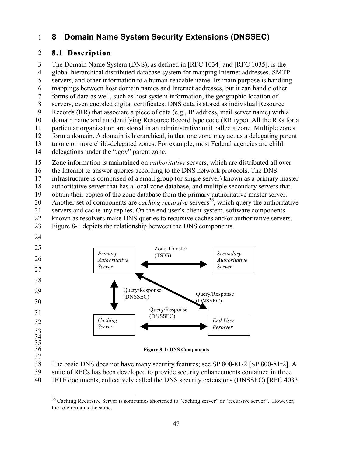# 1 **8 Domain Name System Security Extensions (DNSSEC)**

### 2 8.1 Description

 3 The Domain Name System (DNS), as defined in [RFC 1034] and [RFC 1035], is the 5 7 forms of data as well, such as host system information, the geographic location of 10 delegations under the ".gov" parent zone. 4 global hierarchical distributed database system for mapping Internet addresses, SMTP servers, and other information to a human-readable name. Its main purpose is handling 6 mappings between host domain names and Internet addresses, but it can handle other 8 servers, even encoded digital certificates. DNS data is stored as individual Resource 9 Records (RR) that associate a piece of data (e.g., IP address, mail server name) with a domain name and an identifying Resource Record type code (RR type). All the RRs for a 11 particular organization are stored in an administrative unit called a zone. Multiple zones 12 form a domain. A domain is hierarchical, in that one zone may act as a delegating parent 13 to one or more child-delegated zones. For example, most Federal agencies are child 14 delegations under the ".gov" parent zone.<br>15 Zone information is maintained on *authoritative* servers, which are distributed all over

15

16 the Internet to answer queries according to the DNS network protocols. The DNS

17 infrastructure is comprised of a small group (or single server) known as a primary master

18 authoritative server that has a local zone database, and multiple secondary servers that

19 obtain their copies of the zone database from the primary authoritative master server.

20 Another set of components are *caching recursive* servers<sup>36</sup>, which query the authoritative

21 servers and cache any replies. On the end user's client system, software components

22 known as resolvers make DNS queries to recursive caches and/or authoritative servers.

23 Figure 8-1 depicts the relationship between the DNS components.





38 The basic DNS does not have many security features; see SP 800-81-2 [SP 800-81r2]. A

39 suite of RFCs has been developed to provide security enhancements contained in three

40 IETF documents, collectively called the DNS security extensions (DNSSEC) [RFC 4033,

<sup>1</sup> <sup>36</sup> Caching Recursive Server is sometimes shortened to "caching server" or "recursive server". However, the role remains the same.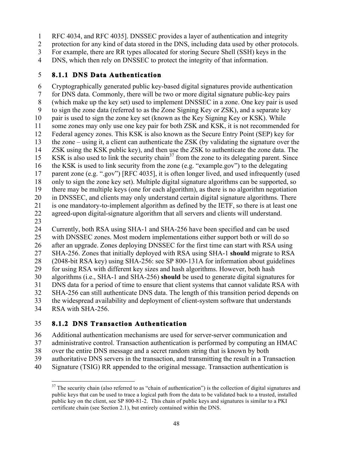- 1 RFC 4034, and RFC 4035]. DNSSEC provides a layer of authentication and integrity
- 2 protection for any kind of data stored in the DNS, including data used by other protocols.
- 3 For example, there are RR types allocated for storing Secure Shell (SSH) keys in the
- 4 DNS, which then rely on DNSSEC to protect the integrity of that information.

#### 5 **8.1.1 DNS Data Authentication**

10 pair is used to sign the zone key set (known as the Key Signing Key or KSK). While 13 the zone – using it, a client can authenticate the ZSK (by validating the signature over the 14 ZSK using the KSK public key), and then use the ZSK to authenticate the zone data. The 15 KSK is also used to link the security chain<sup>37</sup> from the zone to its delegating parent. Since 20 in DNSSEC, and clients may only understand certain digital signature algorithms. There 6 Cryptographically generated public key-based digital signatures provide authentication 7 for DNS data. Commonly, there will be two or more digital signature public-key pairs 8 (which make up the key set) used to implement DNSSEC in a zone. One key pair is used 9 to sign the zone data (referred to as the Zone Signing Key or ZSK), and a separate key 11 some zones may only use one key pair for both ZSK and KSK, it is not recommended for 12 Federal agency zones. This KSK is also known as the Secure Entry Point (SEP) key for 16 the KSK is used to link security from the zone (e.g. "example.gov") to the delegating 17 parent zone (e.g. ".gov") [RFC 4035], it is often longer lived, and used infrequently (used 18 only to sign the zone key set). Multiple digital signature algorithms can be supported, so 19 there may be multiple keys (one for each algorithm), as there is no algorithm negotiation 21 is one mandatory-to-implement algorithm as defined by the IETF, so there is at least one 22 agreed-upon digital-signature algorithm that all servers and clients will understand.

23

25 30 24 Currently, both RSA using SHA-1 and SHA-256 have been specified and can be used with DNSSEC zones. Most modern implementations either support both or will do so 26 after an upgrade. Zones deploying DNSSEC for the first time can start with RSA using 27 SHA-256. Zones that initially deployed with RSA using SHA-1 **should** migrate to RSA 28 (2048-bit RSA key) using SHA-256: see SP 800-131A for information about guidelines 29 for using RSA with different key sizes and hash algorithms. However, both hash algorithms (i.e., SHA-1 and SHA-256) **should** be used to generate digital signatures for 31 DNS data for a period of time to ensure that client systems that cannot validate RSA with 32 SHA-256 can still authenticate DNS data. The length of this transition period depends on 33 the widespread availability and deployment of client-system software that understands 34 RSA with SHA-256.

#### 35 **8.1.2 DNS Transaction Authentication**

- 36 Additional authentication mechanisms are used for server-server communication and
- 37 administrative control. Transaction authentication is performed by computing an HMAC
- 38 over the entire DNS message and a secret random string that is known by both
- 39 authoritative DNS servers in the transaction, and transmitting the result in a Transaction
- 40 Signature (TSIG) RR appended to the original message. Transaction authentication is

<sup>&</sup>lt;u>.</u> public keys that can be used to trace a logical path from the data to be validated back to a trusted, installed public key on the client, see SP 800-81-2. This chain of public keys and signatures is similar to a PKI certificate chain (see Section 2.1), but entirely contained within the DNS.  $37$  The security chain (also referred to as "chain of authentication") is the collection of digital signatures and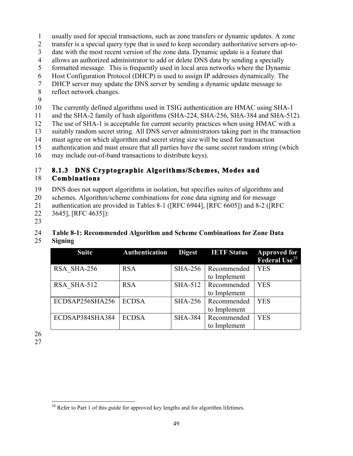- 1 usually used for special transactions, such as zone transfers or dynamic updates. A zone
- 2 transfer is a special query type that is used to keep secondary authoritative servers up-to-
- 3 date with the most recent version of the zone data. Dynamic update is a feature that
- 4 allows an authorized administrator to add or delete DNS data by sending a specially
- 5 formatted message. This is frequently used in local area networks where the Dynamic
- 6 Host Configuration Protocol (DHCP) is used to assign IP addresses dynamically. The
- 7 DHCP server may update the DNS server by sending a dynamic update message to
- 8 reflect network changes.
- 9

10 The currently defined algorithms used in TSIG authentication are HMAC using SHA-1

11 and the SHA-2 family of hash algorithms (SHA-224, SHA-256, SHA-384 and SHA-512).

12 The use of SHA-1 is acceptable for current security practices when using HMAC with a

13 suitably random secret string. All DNS server administrators taking part in the transaction

- 14 must agree on which algorithm and secret string size will be used for transaction
- 15 authentication and must ensure that all parties have the same secret random string (which
- 16 may include out-of-band transactions to distribute keys).

### 17 **8.1.3 DNS Cryptographic Algorithms/Schemes, Modes and**  18 **Combinations**

19 DNS does not support algorithms in isolation, but specifies suites of algorithms and

20 schemes. Algorithm/scheme combinations for zone data signing and for message

- 21 authentication are provided in Tables 8-1 ([RFC 6944], [RFC 6605]) and 8-2 ([RFC
- 22 3645], [RFC 4635]):
- 23

# 24 **Table 8-1: Recommended Algorithm and Scheme Combinations for Zone Data**

25 **Signing** 

| <b>Suite</b>    | Authentication | <b>Digest</b>  | <b>IETF Status</b> | <b>Approved for<br/>Federal Use<sup>38</sup></b> |
|-----------------|----------------|----------------|--------------------|--------------------------------------------------|
| RSA SHA-256     | <b>RSA</b>     | <b>SHA-256</b> | Recommended        | <b>YES</b>                                       |
|                 |                |                | to Implement       |                                                  |
| RSA SHA-512     | <b>RSA</b>     | <b>SHA-512</b> | Recommended        | <b>YES</b>                                       |
|                 |                |                | to Implement       |                                                  |
| ECDSAP256SHA256 | <b>ECDSA</b>   | <b>SHA-256</b> | Recommended        | <b>YES</b>                                       |
|                 |                |                | to Implement       |                                                  |
| ECDSAP384SHA384 | <b>ECDSA</b>   | <b>SHA-384</b> | Recommended        | <b>YES</b>                                       |
|                 |                |                | to Implement       |                                                  |

26 27

 $\overline{a}$ 

<sup>&</sup>lt;sup>38</sup> Refer to Part 1 of this guide for approved key lengths and for algorithm lifetimes.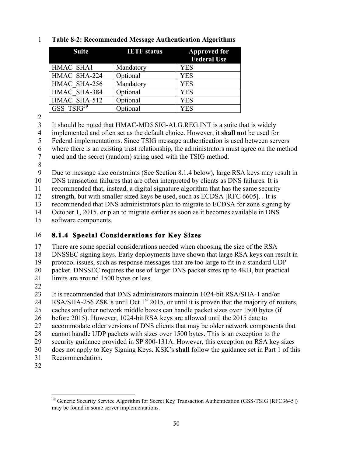| <b>Suite</b>   | <b>IETF</b> status | <b>Approved for</b><br><b>Federal Use</b> |
|----------------|--------------------|-------------------------------------------|
| HMAC SHA1      | Mandatory          | <b>YES</b>                                |
| HMAC SHA-224   | Optional           | <b>YES</b>                                |
| HMAC SHA-256   | Mandatory          | <b>YES</b>                                |
| HMAC SHA-384   | Optional           | <b>YES</b>                                |
| HMAC SHA-512   | Optional           | <b>YES</b>                                |
| $GSS$ $TSIG39$ | Optional           | YES                                       |

### 1 **Table 8-2: Recommended Message Authentication Algorithms**

2

3 It should be noted that HMAC-MD5.SIG-ALG.REG.INT is a suite that is widely

4 implemented and often set as the default choice. However, it **shall not** be used for

5 Federal implementations. Since TSIG message authentication is used between servers

6 where there is an existing trust relationship, the administrators must agree on the method

7 used and the secret (random) string used with the TSIG method.

8

9 Due to message size constraints (See Section 8.1.4 below), large RSA keys may result in

10 DNS transaction failures that are often interpreted by clients as DNS failures. It is

11 recommended that, instead, a digital signature algorithm that has the same security

12 strength, but with smaller sized keys be used, such as ECDSA [RFC 6605]. . It is

13 recommended that DNS administrators plan to migrate to ECDSA for zone signing by

14 October 1, 2015, or plan to migrate earlier as soon as it becomes available in DNS

15 software components.

### 16 **8.1.4 Special Considerations for Key Sizes**

17 There are some special considerations needed when choosing the size of the RSA

18 DNSSEC signing keys. Early deployments have shown that large RSA keys can result in

19 protocol issues, such as response messages that are too large to fit in a standard UDP

20 packet. DNSSEC requires the use of larger DNS packet sizes up to 4KB, but practical

- 21 limits are around 1500 bytes or less.
- 22

23 It is recommended that DNS administrators maintain 1024-bit RSA/SHA-1 and/or

RSA/SHA-256 ZSK's until Oct  $1<sup>st</sup>$  2015, or until it is proven that the majority of routers, 24

25 caches and other network middle boxes can handle packet sizes over 1500 bytes (if

26 before 2015). However, 1024-bit RSA keys are allowed until the 2015 date to

27 accommodate older versions of DNS clients that may be older network components that

28 cannot handle UDP packets with sizes over 1500 bytes. This is an exception to the

29 security guidance provided in SP 800-131A. However, this exception on RSA key sizes

30 does not apply to Key Signing Keys. KSK's **shall** follow the guidance set in Part 1 of this

- 31 Recommendation.
- 32

 $\overline{a}$ 

 may be found in some server implementations. <sup>39</sup> Generic Security Service Algorithm for Secret Key Transaction Authentication (GSS-TSIG [RFC3645])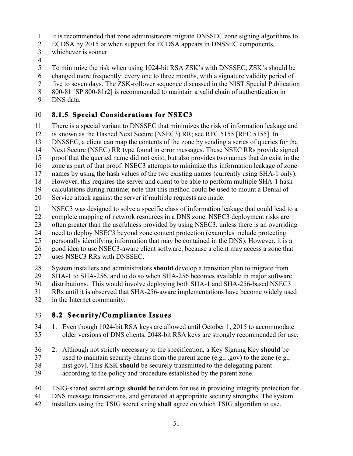- 1 It is recommended that zone administrators migrate DNSSEC zone signing algorithms to
- 2 ECDSA by 2015 or when support for ECDSA appears in DNSSEC components,
- 3 whichever is sooner.
- 4
- To minimize the risk when using 1024-bit RSA ZSK's with DNSSEC, ZSK's should be 5
- 6 changed more frequently: every one to three months, with a signature validity period of
- 7 five to seven days. The ZSK-rollover sequence discussed in the NIST Special Publication
- 8 800-81 [SP 800-81r2] is recommended to maintain a valid chain of authentication in
- 9 DNS data.

#### 10 **8.1.5 Special Considerations for NSEC3**

- 11 There is a special variant to DNSSEC that minimizes the risk of information leakage and
- 12 is known as the Hashed Next Secure (NSEC3) RR; see RFC 5155 [RFC 5155]. In
- 13 DNSSEC, a client can map the contents of the zone by sending a series of queries for the
- 14 Next Secure (NSEC) RR type found in error messages. These NSEC RRs provide signed
- 15 proof that the queried name did not exist, but also provides two names that do exist in the
- 16 zone as part of that proof. NSEC3 attempts to minimize this information leakage of zone
- 17 names by using the hash values of the two existing names (currently using SHA-1 only).
- 18 However, this requires the server and client to be able to perform multiple SHA-1 hash
- 19 calculations during runtime; note that this method could be used to mount a Denial of
- 20 Service attack against the server if multiple requests are made.
- 21 NSEC3 was designed to solve a specific class of information leakage that could lead to a
- 22 complete mapping of network resources in a DNS zone. NSEC3 deployment risks are
- 23 often greater than the usefulness provided by using NSEC3, unless there is an overriding
- 24 need to deploy NSEC3 beyond zone content protection (examples include protecting
- 25 personally identifying information that may be contained in the DNS). However, it is a
- 26 good idea to use NSEC3-aware client software, because a client may access a zone that
- 27 uses NSEC3 RRs with DNSSEC.
- 28 System installers and administrators **should** develop a transition plan to migrate from
- 29 SHA-1 to SHA-256, and to do so when SHA-256 becomes available in major software
- distributions. This would involve deploying both SHA-1 and SHA-256-based NSEC3 30
- 31 RRs until it is observed that SHA-256-aware implementations have become widely used
- 32 in the Internet community.

# 33 **8.2 Security/Compliance Issues**

- older versions of DNS clients, 2048-bit RSA keys are strongly recommended for use. 35 34 1. Even though 1024-bit RSA keys are allowed until October 1, 2015 to accommodate
- 36 2. Although not strictly necessary to the specification, a Key Signing Key **should** be
- 37 used to maintain security chains from the parent zone (e.g., .gov) to the zone (e.g.,
- 38 nist.gov). This KSK **should** be securely transmitted to the delegating parent
- 39 according to the policy and procedure established by the parent zone.
- TSIG-shared secret strings **should** be random for use in providing integrity protection for 40
- 41 DNS message transactions, and generated at appropriate security strengths. The system
- 42 installers using the TSIG secret string **shall** agree on which TSIG algorithm to use. 51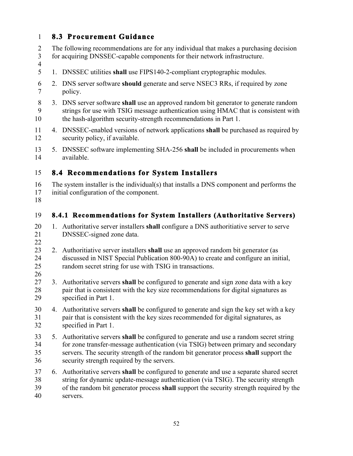#### 1 **8.3 Procurement Guidance**

- 2 3 The following recommendations are for any individual that makes a purchasing decision for acquiring DNSSEC-capable components for their network infrastructure.
- 1. DNSSEC utilities shall use FIPS140-2-compliant cryptographic modules. 4 5
- 6 7 2. DNS server software **should** generate and serve NSEC3 RRs, if required by zone policy.
- 3. DNS server software **shall** use an approved random bit generator to generate random 8 9 10 strings for use with TSIG message authentication using HMAC that is consistent with the hash-algorithm security-strength recommendations in Part 1.
- 4. DNSSEC-enabled versions of network applications **shall** be purchased as required by 11 12 security policy, if available.
- 13 14 5. DNSSEC software implementing SHA-256 **shall** be included in procurements when available.

#### **8.4 Recommendations for System Installers**  15

- 16 17 The system installer is the individual(s) that installs a DNS component and performs the initial configuration of the component.
- 18

#### 19 **8.4.1 Recommendations for System Installers (Authoritative Servers)**

- 1. Authoritative server installers **shall** configure a DNS authoritiative server to serve 20 21 DNSSEC-signed zone data.
- 22
- 23 24 25 2. Authoritiative server installers **shall** use an approved random bit generator (as discussed in NIST Special Publication 800-90A) to create and configure an initial, random secret string for use with TSIG in transactions.
- 26
- 3. Authoritative servers **shall** be configured to generate and sign zone data with a key 27 28 29 pair that is consistent with the key size recommendations for digital signatures as specified in Part 1.
- 4. Authoritative servers **shall** be configured to generate and sign the key set with a key 30 31 32 pair that is consistent with the key sizes recommended for digital signatures, as specified in Part 1.
- 5. Authoritative servers **shall** be configured to generate and use a random secret string servers. The security strength of the random bit generator process **shall** support the 33 34 35 36 for zone transfer-message authentication (via TSIG) between primary and secondary security strength required by the servers.
- 6. Authoritative servers **shall** be configured to generate and use a separate shared secret of the random bit generator process **shall** support the security strength required by the 37 38 39 40 string for dynamic update-message authentication (via TSIG). The security strength servers.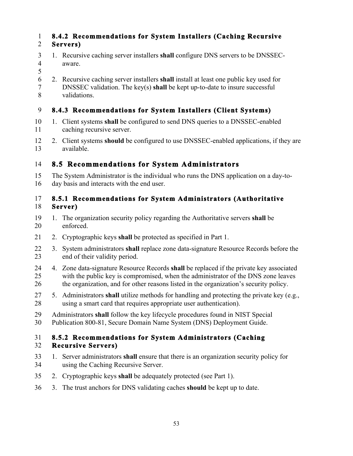### 1 **8.4.2 Recommendations for System Installers (Caching Recursive**  2 **Servers)**

- 3 1. Recursive caching server installers **shall** configure DNS servers to be DNSSEC-4 aware.
- 5
- 6 2. Recursive caching server installers **shall** install at least one public key used for 7 DNSSEC validation. The key(s) **shall** be kept up-to-date to insure successful 8 validations.

### 9 **8.4.3 Recommendations for System Installers (Client Systems)**

- 1. Client systems **shall** be configured to send DNS queries to a DNSSEC-enabled 10 11 caching recursive server.
- 12 2. Client systems **should** be configured to use DNSSEC-enabled applications, if they are 13 available.

# 14 **8.5 Recommendations for System Administrators**

15 The System Administrator is the individual who runs the DNS application on a day-to-16 day basis and interacts with the end user.

### 17 **8.5.1 Recommendations for System Administrators (Authoritative**  18 **Server)**

- 19 1. The organization security policy regarding the Authoritative servers **shall** be 20 enforced.
- 21 2. Cryptographic keys shall be protected as specified in Part 1.
- 22 3. System administrators **shall** replace zone data-signature Resource Records before the 23 end of their validity period.
- 25 24 4. Zone data-signature Resource Records **shall** be replaced if the private key associated with the public key is compromised, when the administrator of the DNS zone leaves 26 the organization, and for other reasons listed in the organization's security policy.
- 27 5. Administrators **shall** utilize methods for handling and protecting the private key (e.g., 28 using a smart card that requires appropriate user authentication).
- 29 Administrators **shall** follow the key lifecycle procedures found in NIST Special
- 30 Publication 800-81, Secure Domain Name System (DNS) Deployment Guide.

### 31 **8.5.2 Recommendations for System Administrators (Caching**  32 **Recursive Servers)**

- 33 1. Server administrators **shall** ensure that there is an organization security policy for 34 using the Caching Recursive Server.
- 2. Cryptographic keys **shall** be adequately protected (see Part 1). 35
- 36 3. The trust anchors for DNS validating caches **should** be kept up to date.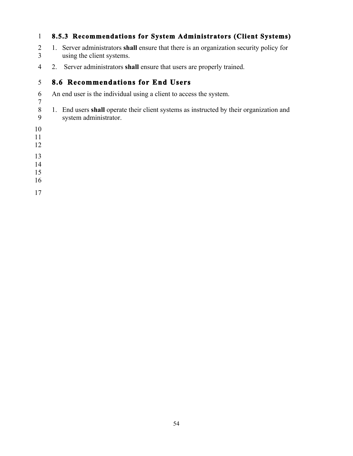#### **8.5.3 Recommendations for System Administrators (Client Systems)**

- 1. Server administrators **shall** ensure that there is an organization security policy for using the client systems.
- 2. Server administrators **shall** ensure that users are properly trained.

#### **8.6 Recommendations for End Users**

- An end user is the individual using a client to access the system.
- 1. End users **shall** operate their client systems as instructed by their organization and system administrator.
- 
- 
- 
- 
- 
- 
- 
- 
-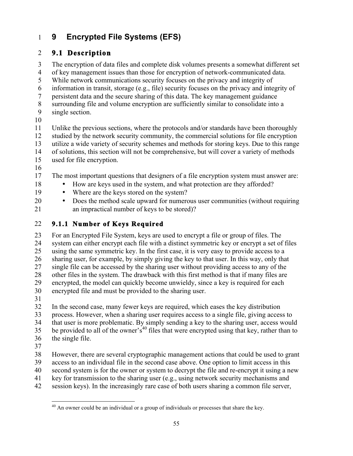#### 1 **9 Encrypted File Systems (EFS)**

# 2 **9.1 Description**

3 The encryption of data files and complete disk volumes presents a somewhat different set 4 of key management issues than those for encryption of network-communicated data.

5 While network communications security focuses on the privacy and integrity of

6 information in transit, storage (e.g., file) security focuses on the privacy and integrity of

7 persistent data and the secure sharing of this data. The key management guidance

8 surrounding file and volume encryption are sufficiently similar to consolidate into a

- 9 single section.
- 10

11 Unlike the previous sections, where the protocols and/or standards have been thoroughly 12 studied by the network security community, the commercial solutions for file encryption 13 utilize a wide variety of security schemes and methods for storing keys. Due to this range 14 of solutions, this section will not be comprehensive, but will cover a variety of methods used for file encryption.

- 15
- 16

17 The most important questions that designers of a file encryption system must answer are:

- 18 How are keys used in the system, and what protection are they afforded?
- 19 Where are the keys stored on the system?

20 • Does the method scale upward for numerous user communities (without requiring 21 an impractical number of keys to be stored)?

### 22 **9.1.1 Number of Keys Required**

 23 For an Encrypted File System, keys are used to encrypt a file or group of files. The 25 30 24 system can either encrypt each file with a distinct symmetric key or encrypt a set of files using the same symmetric key. In the first case, it is very easy to provide access to a 26 sharing user, for example, by simply giving the key to that user. In this way, only that 27 single file can be accessed by the sharing user without providing access to any of the 28 other files in the system. The drawback with this first method is that if many files are<br>29 encrypted, the model can quickly become unwieldy, since a key is required for each 29 encrypted, the model can quickly become unwieldy, since a key is required for each encrypted file and must be provided to the sharing user.

31

35 32 In the second case, many fewer keys are required, which eases the key distribution 33 process. However, when a sharing user requires access to a single file, giving access to 34 that user is more problematic. By simply sending a key to the sharing user, access would be provided to all of the owner's<sup>40</sup> files that were encrypted using that key, rather than to 36 the single file.

37

1

38 However, there are several cryptographic management actions that could be used to grant 39 access to an individual file in the second case above. One option to limit access in this

40 second system is for the owner or system to decrypt the file and re-encrypt it using a new

41 key for transmission to the sharing user (e.g., using network security mechanisms and

42 session keys). In the increasingly rare case of both users sharing a common file server,

 $^{40}$  An owner could be an individual or a group of individuals or processes that share the key.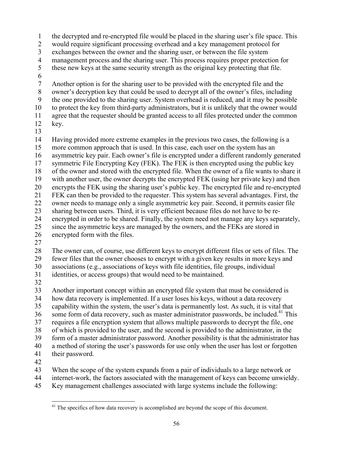1 the decrypted and re-encrypted file would be placed in the sharing user's file space. This

2 would require significant processing overhead and a key management protocol for

3 exchanges between the owner and the sharing user, or between the file system

4 management process and the sharing user. This process requires proper protection for

- 5 these new keys at the same security strength as the original key protecting that file.
- 6

10 7 Another option is for the sharing user to be provided with the encrypted file and the 8 owner's decryption key that could be used to decrypt all of the owner's files, including 9 the one provided to the sharing user. System overhead is reduced, and it may be possible to protect the key from third-party administrators, but it is unlikely that the owner would

11 agree that the requester should be granted access to all files protected under the common

12 key. 13

15 20 21 FEK can then be provided to the requester. This system has several advantages. First, the 25 14 Having provided more extreme examples in the previous two cases, the following is a more common approach that is used. In this case, each user on the system has an 16 asymmetric key pair. Each owner's file is encrypted under a different randomly generated 17 symmetric File Encrypting Key (FEK). The FEK is then encrypted using the public key 18 of the owner and stored with the encrypted file. When the owner of a file wants to share it 19 with another user, the owner decrypts the encrypted FEK (using her private key) and then encrypts the FEK using the sharing user's public key. The encrypted file and re-encrypted 22 owner needs to manage only a single asymmetric key pair. Second, it permits easier file 23 sharing between users. Third, it is very efficient because files do not have to be re-24 encrypted in order to be shared. Finally, the system need not manage any keys separately, since the asymmetric keys are managed by the owners, and the FEKs are stored in

- 26 encrypted form with the files.
- 27

 28 The owner can, of course, use different keys to encrypt different files or sets of files. The 30 29 fewer files that the owner chooses to encrypt with a given key results in more keys and associations (e.g., associations of keys with file identities, file groups, individual 31 identities, or access groups) that would need to be maintained.

32

35 some form of data recovery, such as master administrator passwords, be included.<sup>41</sup> This 40 33 Another important concept within an encrypted file system that must be considered is 34 how data recovery is implemented. If a user loses his keys, without a data recovery 36 capability within the system, the user's data is permanently lost. As such, it is vital that 37 requires a file encryption system that allows multiple passwords to decrypt the file, one 38 of which is provided to the user, and the second is provided to the administrator, in the 39 form of a master administrator password. Another possibility is that the administrator has a method of storing the user's passwords for use only when the user has lost or forgotten 41 their password.

42

43 When the scope of the system expands from a pair of individuals to a large network or

44 internet-work, the factors associated with the management of keys can become unwieldy.

45 Key management challenges associated with large systems include the following:

 $\overline{a}$  $41$ <sup>41</sup> The specifics of how data recovery is accomplished are beyond the scope of this document.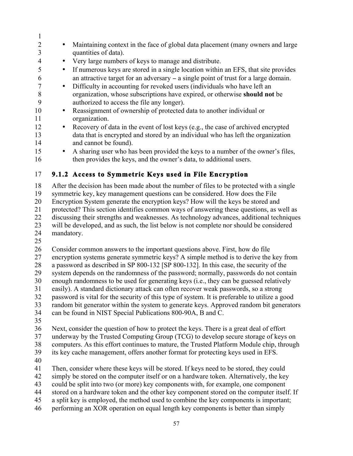6 an attractive target for an adversary − a single point of trust for a large domain. 8 organization, whose subscriptions have expired, or otherwise **should not** be 5 10 15 1 <sup>2</sup> • Maintaining context in the face of global data placement (many owners and large quantities of data). quantities of data). 4 • Very large numbers of keys to manage and distribute. • If numerous keys are stored in a single location within an EFS, that site provides 7 • Difficulty in accounting for revoked users (individuals who have left an 9 authorized to access the file any longer). • Reassignment of ownership of protected data to another individual or 11 organization. 12 • Recovery of data in the event of lost keys (e.g., the case of archived encrypted 13 data that is encrypted and stored by an individual who has left the organization 14 and cannot be found). • A sharing user who has been provided the keys to a number of the owner's files, 16 then provides the keys, and the owner's data, to additional users. 17 **9.1.2 Access to Symmetric Keys used in File Encryption** 

20 18 After the decision has been made about the number of files to be protected with a single 19 symmetric key, key management questions can be considered. How does the File Encryption System generate the encryption keys? How will the keys be stored and 21 protected? This section identifies common ways of answering these questions, as well as 22 discussing their strengths and weaknesses. As technology advances, additional techniques 23 will be developed, and as such, the list below is not complete nor should be considered 24 mandatory.

25

 31 easily). A standard dictionary attack can often recover weak passwords, so a strong  $\frac{30}{31}$ 26 Consider common answers to the important questions above. First, how do file 27 encryption systems generate symmetric keys? A simple method is to derive the key from 28 a password as described in SP 800-132 [SP 800-132]. In this case, the security of the 29 system depends on the randomness of the password; normally, passwords do not contain enough randomness to be used for generating keys (i.e., they can be guessed relatively 32 password is vital for the security of this type of system. It is preferable to utilize a good 33 random bit generator within the system to generate keys. Approved random bit generators 34 can be found in NIST Special Publications 800-90A, B and C.

35

36 Next, consider the question of how to protect the keys. There is a great deal of effort 37 underway by the Trusted Computing Group (TCG) to develop secure storage of keys on

38 computers. As this effort continues to mature, the Trusted Platform Module chip, through

39 its key cache management, offers another format for protecting keys used in EFS.

40

41 Then, consider where these keys will be stored. If keys need to be stored, they could

42 simply be stored on the computer itself or on a hardware token. Alternatively, the key

43 could be split into two (or more) key components with, for example, one component

44 stored on a hardware token and the other key component stored on the computer itself. If

- 45 a split key is employed, the method used to combine the key components is important;
- 46 performing an XOR operation on equal length key components is better than simply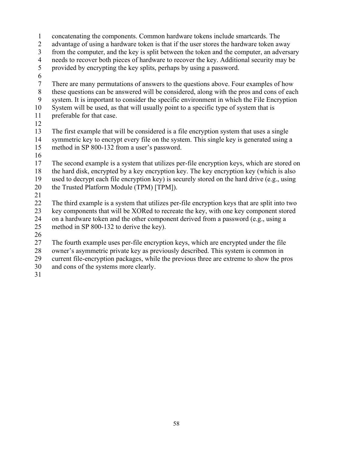- concatenating the components. Common hardware tokens include smartcards. The advantage of using a hardware token is that if the user stores the hardware token away There are many permutations of answers to the questions above. Four examples of how system. It is important to consider the specific environment in which the File Encryption the Trusted Platform Module (TPM) [TPM]). 2 3 4 5 6 7 8 9 10 11 12 13 14 15 16 17 18 19 20 from the computer, and the key is split between the token and the computer, an adversary needs to recover both pieces of hardware to recover the key. Additional security may be provided by encrypting the key splits, perhaps by using a password. these questions can be answered will be considered, along with the pros and cons of each System will be used, as that will usually point to a specific type of system that is preferable for that case. The first example that will be considered is a file encryption system that uses a single symmetric key to encrypt every file on the system. This single key is generated using a method in SP 800-132 from a user's password. The second example is a system that utilizes per-file encryption keys, which are stored on the hard disk, encrypted by a key encryption key. The key encryption key (which is also used to decrypt each file encryption key) is securely stored on the hard drive (e.g., using
- 21

22 23 24 25 The third example is a system that utilizes per-file encryption keys that are split into two key components that will be XORed to recreate the key, with one key component stored on a hardware token and the other component derived from a password (e.g., using a method in SP 800-132 to derive the key).

26

27 The fourth example uses per-file encryption keys, which are encrypted under the file

28 owner's asymmetric private key as previously described. This system is common in

29 current file-encryption packages, while the previous three are extreme to show the pros

- 30 and cons of the systems more clearly.
- 31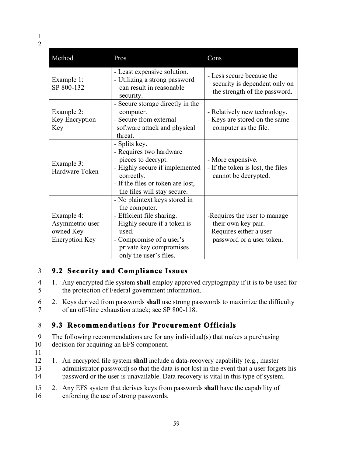| Method                                                              | Pros                                                                                                                                                                                                   | Cons                                                                                                          |
|---------------------------------------------------------------------|--------------------------------------------------------------------------------------------------------------------------------------------------------------------------------------------------------|---------------------------------------------------------------------------------------------------------------|
| Example 1:<br>SP 800-132                                            | - Least expensive solution.<br>- Utilizing a strong password<br>can result in reasonable<br>security.                                                                                                  | - Less secure because the<br>security is dependent only on<br>the strength of the password.                   |
| Example 2:<br>Key Encryption<br>Key                                 | - Secure storage directly in the<br>computer.<br>- Secure from external<br>software attack and physical<br>threat.                                                                                     | - Relatively new technology.<br>- Keys are stored on the same<br>computer as the file.                        |
| Example 3:<br>Hardware Token                                        | - Splits key.<br>- Requires two hardware<br>pieces to decrypt.<br>- Highly secure if implemented<br>correctly.<br>- If the files or token are lost,<br>the files will stay secure.                     | - More expensive.<br>- If the token is lost, the files<br>cannot be decrypted.                                |
| Example 4:<br>Asymmetric user<br>owned Key<br><b>Encryption Key</b> | - No plaintext keys stored in<br>the computer.<br>- Efficient file sharing.<br>- Highly secure if a token is<br>used.<br>- Compromise of a user's<br>private key compromises<br>only the user's files. | -Requires the user to manage.<br>their own key pair.<br>- Requires either a user<br>password or a user token. |

# 3 **9.2 Security and Compliance Issues**

- 4 1. Any encrypted file system **shall** employ approved cryptography if it is to be used for 5 the protection of Federal government information.
- 6 2. Keys derived from passwords **shall** use strong passwords to maximize the difficulty 7 of an off-line exhaustion attack; see SP 800-118.

# 8 **9.3 Recommendations for Procurement Officials**

9 The following recommendations are for any individual(s) that makes a purchasing 10 decision for acquiring an EFS component.

- 11
- 12 1. An encrypted file system **shall** include a data-recovery capability (e.g., master 13 administrator password) so that the data is not lost in the event that a user forgets his 14 password or the user is unavailable. Data recovery is vital in this type of system.
- 15 2. Any EFS system that derives keys from passwords **shall** have the capability of 16 enforcing the use of strong passwords.<br>59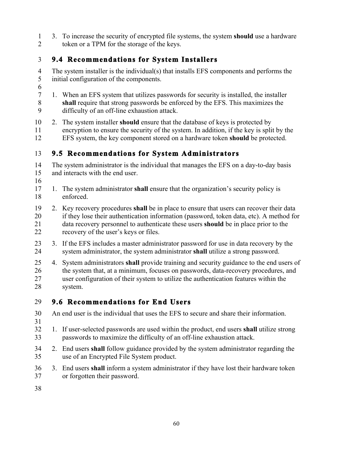1 3. To increase the security of encrypted file systems, the system **should** use a hardware 2 token or a TPM for the storage of the keys.

# 3 **9.4 Recommendations for System Installers**

- 5 4 The system installer is the individual(s) that installs EFS components and performs the initial configuration of the components.
- 6
- 7 1. When an EFS system that utilizes passwords for security is installed, the installer 8 **shall** require that strong passwords be enforced by the EFS. This maximizes the 9 difficulty of an off-line exhaustion attack.
- 10 2. The system installer **should** ensure that the database of keys is protected by 11 encryption to ensure the security of the system. In addition, if the key is split by the 12 EFS system, the key component stored on a hardware token **should** be protected.

### 13 **9.5 Recommendations for System Administrators**

15 14 The system administrator is the individual that manages the EFS on a day-to-day basis and interacts with the end user.

- 16
- 17 1. The system administrator **shall** ensure that the organization's security policy is 18 enforced.
- 19 2. Key recovery procedures **shall** be in place to ensure that users can recover their data 21 data recovery personnel to authenticate these users **should** be in place prior to the 20 if they lose their authentication information (password, token data, etc). A method for 22 recovery of the user's keys or files.
- 23 3. If the EFS includes a master administrator password for use in data recovery by the 24 system administrator, the system administrator **shall** utilize a strong password.
- 4. System administrators **shall** provide training and security guidance to the end users of 25 26 the system that, at a minimum, focuses on passwords, data-recovery procedures, and 27 user configuration of their system to utilize the authentication features within the 28 system.

### 29 **9.6 Recommendations for End Users**

- 30 An end user is the individual that uses the EFS to secure and share their information.
- 31
- 32 1. If user-selected passwords are used within the product, end users **shall** utilize strong 33 passwords to maximize the difficulty of an off-line exhaustion attack.
- 34 2. End users **shall** follow guidance provided by the system administrator regarding the 35 use of an Encrypted File System product.
- 36 3. End users **shall** inform a system administrator if they have lost their hardware token 37 or forgotten their password.
- 38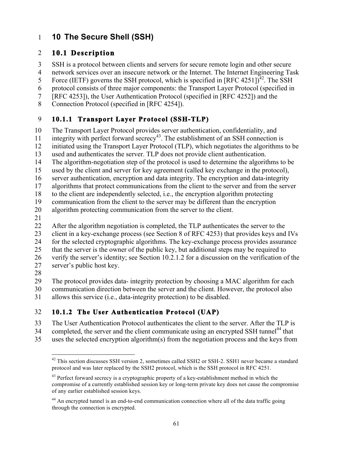# 1 **10 The Secure Shell (SSH)**

### 2 **10.1 Description**

3 SSH is a protocol between clients and servers for secure remote login and other secure

4 network services over an insecure network or the Internet. The Internet Engineering Task

Force (IETF) governs the SSH protocol, which is specified in [RFC 4251])<sup>42</sup>. The SSH 5

6 protocol consists of three major components: the Transport Layer Protocol (specified in

7 [RFC 4253]), the User Authentication Protocol (specified in [RFC 4252]) and the

Connection Protocol (specified in [RFC 4254]).

# 8 Connection Protocol (specified in [RFC 4254]). 9 **10.1.1 Transport Layer Protocol (SSH-TLP)**

10 The Transport Layer Protocol provides server authentication, confidentiality, and

11 integrity with perfect forward  $\sec$  and  $\sec$  and  $\sec$  and  $\sec$  and  $\sec$  and  $\sec$  and  $\sec$  and  $\sec$  and  $\sec$  and  $\sec$  and  $\sec$  and  $\sec$  and  $\sec$  and  $\sec$  and  $\sec$  and  $\sec$  and  $\sec$  and  $\sec$  and  $\sec$  and  $\sec$  and  $\sec$  and

12 initiated using the Transport Layer Protocol (TLP), which negotiates the algorithms to be

13 used and authenticates the server. TLP does not provide client authentication.

14 The algorithm-negotiation step of the protocol is used to determine the algorithms to be

15 used by the client and server for key agreement (called key exchange in the protocol),

16 server authentication, encryption and data integrity. The encryption and data-integrity

17 algorithms that protect communications from the client to the server and from the server

18 to the client are independently selected, i.e., the encryption algorithm protecting

19 communication from the client to the server may be different than the encryption<br>20 algorithm protecting communication from the server to the client.

algorithm protecting communication from the server to the client.

21

22 After the algorithm negotiation is completed, the TLP authenticates the server to the

23 client in a key-exchange process (see Section 8 of RFC 4253) that provides keys and IVs

24 for the selected cryptographic algorithms. The key-exchange process provides assurance

25 that the server is the owner of the public key, but additional steps may be required to

26 verify the server's identity; see Section 10.2.1.2 for a discussion on the verification of the

- server's public host key. 27
- 28

29 The protocol provides data- integrity protection by choosing a MAC algorithm for each 30 communication direction between the server and the client. However, the protocol also

31 allows this service (i.e., data-integrity protection) to be disabled.

# 32 **10.1.2 The User Authentication Protocol (UAP)**

33 The User Authentication Protocol authenticates the client to the server. After the TLP is

34 completed, the server and the client communicate using an encrypted SSH tunnel<sup>44</sup> that

35 uses the selected encryption algorithm(s) from the negotiation process and the keys from

 $\overline{a}$  protocol and was later replaced by the SSH2 protocol, which is the SSH protocol in RFC 4251. <sup>42</sup> This section discusses SSH version 2, sometimes called SSH2 or SSH-2. SSH1 never became a standard

 $43$  Perfect forward secrecy is a cryptographic property of a key-establishment method in which the compromise of a currently established session key or long-term private key does not cause the compromise of any earlier established session keys.

<sup>&</sup>lt;sup>44</sup> An encrypted tunnel is an end-to-end communication connection where all of the data traffic going through the connection is encrypted.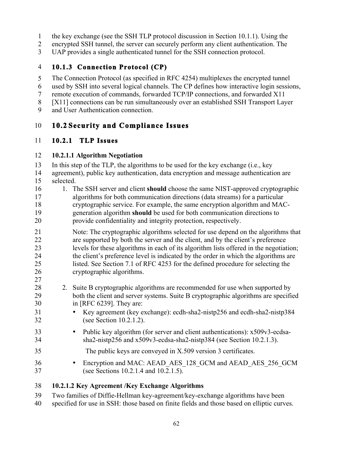- 1 the key exchange (see the SSH TLP protocol discussion in Section 10.1.1). Using the
- 2 encrypted SSH tunnel, the server can securely perform any client authentication. The
- 3 UAP provides a single authenticated tunnel for the SSH connection protocol.

### 4 **10.1.3 Connection Protocol (CP)**

5 The Connection Protocol (as specified in RFC 4254) multiplexes the encrypted tunnel

- 6 used by SSH into several logical channels. The CP defines how interactive login sessions,
- 7 remote execution of commands, forwarded TCP/IP connections, and forwarded X11
- 8 [X11] connections can be run simultaneously over an established SSH Transport Layer
- 9 and User Authentication connection.

#### 10 **10.2 Security and Compliance Issues**

### 11 **10.2.1 TLP Issues**

### 12 **10.2.1.1 Algorithm Negotiation**

 16 1. The SSH server and client **should** choose the same NIST-approved cryptographic 19 generation algorithm **should** be used for both communication directions to 28 2. Suite B cryptographic algorithms are recommended for use when supported by 34 sha2-nistp256 and x509v3-ecdsa-sha2-nistp384 (see Section 10.2.1.3). 15 20 25 30 35 13 In this step of the TLP, the algorithms to be used for the key exchange (i.e., key 14 agreement), public key authentication, data encryption and message authentication are selected. 17 algorithms for both communication directions (data streams) for a particular 18 cryptographic service. For example, the same encryption algorithm and MACprovide confidentiality and integrity protection, respectively. 21 Note: The cryptographic algorithms selected for use depend on the algorithms that 22 are supported by both the server and the client, and by the client's preference 23 levels for these algorithms in each of its algorithm lists offered in the negotiation; 24 the client's preference level is indicated by the order in which the algorithms are listed. See Section 7.1 of RFC 4253 for the defined procedure for selecting the 26 cryptographic algorithms. 27 29 both the client and server systems. Suite B cryptographic algorithms are specified in [RFC 6239]. They are: • Key agreement (key exchange): ecdh-sha2-nistp256 and ecdh-sha2-nistp384<br>
(see Section 10.2.1.2). (see Section  $10.2.1.2$ ). • Public key algorithm (for server and client authentications): x509v3-ecdsa-<br>34 sha2-nistp256 and x509v3-ecdsa-sha2-nistp384 (see Section 10.2.1.3). The public keys are conveyed in X.509 version 3 certificates. <sup>36</sup> Encryption and MAC: AEAD\_AES\_128\_GCM and AEAD\_AES\_256\_GCM<br>37 (see Sections 10.2.1.4 and 10.2.1.5) (see Sections  $10.2.1.4$  and  $10.2.1.5$ ).

### 38 **10.2.1.2 Key Agreement /Key Exchange Algorithms**

- 39 Two families of Diffie-Hellman key-agreement/key-exchange algorithms have been
- 40 specified for use in SSH: those based on finite fields and those based on elliptic curves.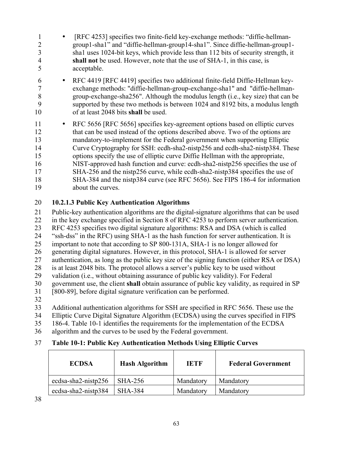- 1 [RFC 4253] specifies two finite-field key-exchange methods: "diffie-hellman-2 group1-sha1" and "diffie-hellman-group14-sha1". Since diffie-hellman-group1- 3 sha1 uses 1024-bit keys, which provide less than 112 bits of security strength, it 4 **shall not** be used. However, note that the use of SHA-1, in this case, is 5 acceptable.
- 10 of at least 2048 bits **shall** be used. 6 • RFC 4419 [RFC 4419] specifies two additional finite-field Diffie-Hellman keyexchange methods: "diffie-hellman-group-exchange-sha1" and "diffie-hellman-8 group-exchange-sha256". Although the modulus length (i.e., key size) that can be 9 supported by these two methods is between 1024 and 8192 bits, a modulus length
- 11 RFC 5656 [RFC 5656] specifies key-agreement options based on elliptic curves 12 that can be used instead of the options described above. Two of the options are 13 mandatory-to-implement for the Federal government when supporting Elliptic 14 Curve Cryptography for SSH: ecdh-sha2-nistp256 and ecdh-sha2-nistp384. These 15 options specify the use of elliptic curve Diffie Hellman with the appropriate, 16 NIST-approved hash function and curve: ecdh-sha2-nistp256 specifies the use of 17 SHA-256 and the nistp256 curve, while ecdh-sha2-nistp384 specifies the use of 18 SHA-384 and the nistp384 curve (see RFC 5656). See FIPS 186-4 for information 19 about the curves.

#### 20 **10.2.1.3 Public Key Authentication Algorithms**

21 Public-key authentication algorithms are the digital-signature algorithms that can be used

- 22 in the key exchange specified in Section 8 of RFC 4253 to perform server authentication.
- 23 RFC 4253 specifies two digital signature algorithms: RSA and DSA (which is called
- 24 "ssh-dss" in the RFC) using SHA-1 as the hash function for server authentication. It is
- 25 important to note that according to SP 800-131A, SHA-1 is no longer allowed for
- 26 generating digital signatures. However, in this protocol, SHA-1 is allowed for server
- 27 authentication, as long as the public key size of the signing function (either RSA or DSA)
- 28 is at least 2048 bits. The protocol allows a server's public key to be used without 29 validation (i.e., without obtaining assurance of public key validity). For Federal
- 30 government use, the client **shall** obtain assurance of public key validity, as required in SP
- 31 [800-89], before digital signature verification can be performed.
- 32
- 33 Additional authentication algorithms for SSH are specified in RFC 5656. These use the
- 34 Elliptic Curve Digital Signature Algorithm (ECDSA) using the curves specified in FIPS
- 35 186-4. Table 10-1 identifies the requirements for the implementation of the ECDSA
- 36 algorithm and the curves to be used by the Federal government.

# 37 **Table 10-1: Public Key Authentication Methods Using Elliptic Curves**

| <b>ECDSA</b>        | <b>Hash Algorithm</b> | <b>TETF</b> | <b>Federal Government</b> |
|---------------------|-----------------------|-------------|---------------------------|
| ecdsa-sha2-nistp256 | <b>SHA-256</b>        | Mandatory   | Mandatory                 |
| ecdsa-sha2-nistp384 | SHA-384               | Mandatory   | Mandatory                 |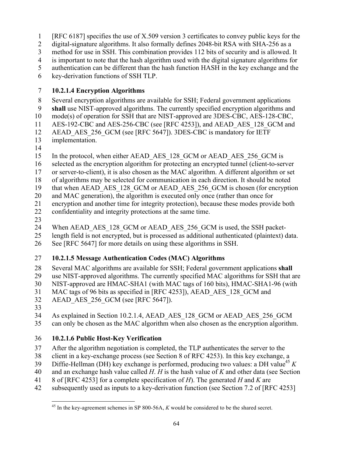- 1 [RFC 6187] specifies the use of X.509 version 3 certificates to convey public keys for the
- 2 digital-signature algorithms. It also formally defines 2048-bit RSA with SHA-256 as a
- 3 method for use in SSH. This combination provides 112 bits of security and is allowed. It
- 4 is important to note that the hash algorithm used with the digital signature algorithms for
- 5 authentication can be different than the hash function HASH in the key exchange and the

6 key-derivation functions of SSH TLP.

### 7 **10.2.1.4 Encryption Algorithms**

8 Several encryption algorithms are available for SSH; Federal government applications

- 9 **shall** use NIST-approved algorithms. The currently specified encryption algorithms and
- 10 mode(s) of operation for SSH that are NIST-approved are 3DES-CBC, AES-128-CBC,
- 11 AES-192-CBC and AES-256-CBC (see [RFC 4253]), and AEAD\_AES\_128\_GCM and
- 12 AEAD AES 256 GCM (see [RFC 5647]). 3DES-CBC is mandatory for IETF
- 13 implementation.
- 14

15 In the protocol, when either AEAD\_AES\_128\_GCM or AEAD\_AES\_256\_GCM is

- 16 selected as the encryption algorithm for protecting an encrypted tunnel (client-to-server
- 17 or server-to-client), it is also chosen as the MAC algorithm. A different algorithm or set
- 18 of algorithms may be selected for communication in each direction. It should be noted
- 19 that when AEAD AES 128 GCM or AEAD AES 256 GCM is chosen (for encryption
- 20 and MAC generation), the algorithm is executed only once (rather than once for
- 21 encryption and another time for integrity protection), because these modes provide both 22 confidentiality and integrity protections at the same time.
- 23
- 24 When AEAD AES 128 GCM or AEAD AES 256 GCM is used, the SSH packet-
- 25 length field is not encrypted, but is processed as additional authenticated (plaintext) data.
- 26 See [RFC 5647] for more details on using these algorithms in SSH.

# 27 **10.2.1.5 Message Authentication Codes (MAC) Algorithms**

- 28 Several MAC algorithms are available for SSH; Federal government applications **shall**
- 29 use NIST-approved algorithms. The currently specified MAC algorithms for SSH that are
- 30 NIST-approved are HMAC-SHA1 (with MAC tags of 160 bits), HMAC-SHA1-96 (with
- 31 MAC tags of 96 bits as specified in [RFC 4253]), AEAD\_AES\_128\_GCM and
- 32 AEAD AES 256 GCM (see [RFC 5647]).
- 33
- 34 As explained in Section 10.2.1.4, AEAD\_AES\_128\_GCM or AEAD\_AES\_256\_GCM
- 35 can only be chosen as the MAC algorithm when also chosen as the encryption algorithm.

# 36 **10.2.1.6 Public Host-Key Verification**

- 37 After the algorithm negotiation is completed, the TLP authenticates the server to the
- 38 client in a key-exchange process (see Section 8 of RFC 4253). In this key exchange, a
- Diffie-Hellman (DH) key exchange is performed, producing two values: a DH value<sup>45</sup>  $K$ 39
- 40 and an exchange hash value called *H*. *H* is the hash value of *K* and other data (see Section
- 41 8 of [RFC 4253] for a complete specification of *H*). The generated *H* and *K* are
- 42 subsequently used as inputs to a key-derivation function (see Section 7.2 of [RFC 4253]

 $\overline{a}$ 45 In the key-agreement schemes in SP 800-56A, *K* would be considered to be the shared secret.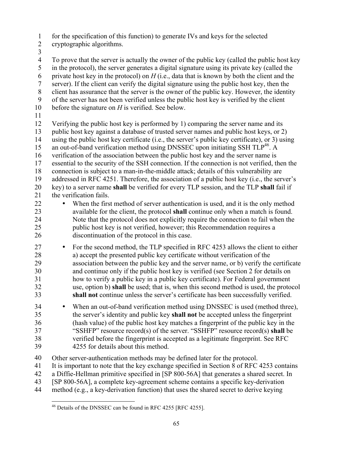1 for the specification of this function) to generate IVs and keys for the selected

- 2 cryptographic algorithms.
- 3

5 7 server). If the client can verify the digital signature using the public host key, then the 9 of the server has not been verified unless the public host key is verified by the client 10 4 To prove that the server is actually the owner of the public key (called the public host key in the protocol), the server generates a digital signature using its private key (called the 6 private host key in the protocol) on *H* (i.e., data that is known by both the client and the 8 client has assurance that the server is the owner of the public key. However, the identity before the signature on *H* is verified. See below. 11 12 Verifying the public host key is performed by 1) comparing the server name and its

13 public host key against a database of trusted server names and public host keys, or 2)

14 using the public host key certificate (i.e., the server's public key certificate), or 3) using

15 an out-of-band verification method using DNSSEC upon initiating SSH  $TLP^{46}$ . A

16 verification of the association between the public host key and the server name is

17 essential to the security of the SSH connection. If the connection is not verified, then the

20 key) to a server name **shall** be verified for every TLP session, and the TLP **shall** fail if 18 connection is subject to a man-in-the-middle attack; details of this vulnerability are 19 addressed in RFC 4251. Therefore, the association of a public host key (i.e., the server's

- 21 the verification fails.
- 23 available for the client, the protocol **shall** continue only when a match is found. 25 26 discontinuation of the protocol in this case. 22 • When the first method of server authentication is used, and it is the only method 24 Note that the protocol does not explicitly require the connection to fail when the public host key is not verified, however; this Recommendation requires a
- 30 <sup>27</sup> • For the second method, the TLP specified in RFC 4253 allows the client to either a) accept the presented public key certificate without verification of the a) accept the presented public key certificate without verification of the 29 association between the public key and the server name, or b) verify the certificate and continue only if the public host key is verified (see Section 2 for details on 31 how to verify a public key in a public key certificate). For Federal government 32 use, option b) **shall** be used; that is, when this second method is used, the protocol 33 **shall not** continue unless the server's certificate has been successfully verified.

35 36 (hash value) of the public host key matches a fingerprint of the public key in the 37 "SSHFP" resource record(s) of the server. "SSHFP" resource record(s) **shall** be 34 • When an out-of-band verification method using DNSSEC is used (method three), the server's identity and public key **shall not** be accepted unless the fingerprint 38 verified before the fingerprint is accepted as a legitimate fingerprint. See RFC 39 4255 for details about this method.

40 Other server-authentication methods may be defined later for the protocol.

- 41 It is important to note that the key exchange specified in Section 8 of RFC 4253 contains
- 42 a Diffie-Hellman primitive specified in [SP 800-56A] that generates a shared secret. In
- 43 [SP 800-56A], a complete key-agreement scheme contains a specific key-derivation
- 44 method (e.g., a key-derivation function) that uses the shared secret to derive keying

 $\overline{a}$  $^{46}$  Details of the DNSSEC can be found in RFC 4255 [RFC 4255].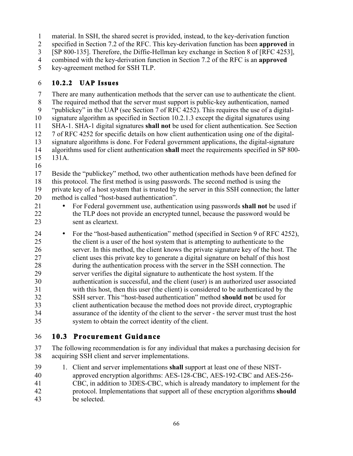1 material. In SSH, the shared secret is provided, instead, to the key-derivation function

2 specified in Section 7.2 of the RFC. This key-derivation function has been **approved** in

3 [SP 800-135]. Therefore, the Diffie-Hellman key exchange in Section 8 of [RFC 4253],

4 combined with the key-derivation function in Section 7.2 of the RFC is an **approved** 

5 key-agreement method for SSH TLP.

## 6 **10.2.2 UAP Issues**

7 There are many authentication methods that the server can use to authenticate the client.

8 The required method that the server must support is public-key authentication, named

10 9 "publickey" in the UAP (see Section 7 of RFC 4252). This requires the use of a digitalsignature algorithm as specified in Section 10.2.1.3 except the digital signatures using

11 SHA-1. SHA-1 digital signatures **shall not** be used for client authentication. See Section

12 7 of RFC 4252 for specific details on how client authentication using one of the digital-

13 signature algorithms is done. For Federal government applications, the digital-signature

- 15 14 algorithms used for client authentication **shall** meet the requirements specified in SP 800- 131A.
- 16

 18 this protocol. The first method is using passwords. The second method is using the 19 private key of a host system that is trusted by the server in this SSH connection; the latter 20 17 Beside the "publickey" method, two other authentication methods have been defined for method is called "host-based authentication".

- 21 For Federal government use, authentication using passwords **shall not** be used if 22 the TLP does not provide an encrypted tunnel, because the password would be 23 sent as cleartext.
- 26 server. In this method, the client knows the private signature key of the host. The 28 during the authentication process with the server in the SSH connection. The 34 assurance of the identity of the client to the server - the server must trust the host system to obtain the correct identity of the client. 25 30 35 24 • For the "host-based authentication" method (specified in Section 9 of RFC 4252), the client is a user of the host system that is attempting to authenticate to the 27 client uses this private key to generate a digital signature on behalf of this host 29 server verifies the digital signature to authenticate the host system. If the authentication is successful, and the client (user) is an authorized user associated 31 with this host, then this user (the client) is considered to be authenticated by the 32 SSH server. This "host-based authentication" method **should not** be used for 33 client authentication because the method does not provide direct, cryptographic

# 36 **10.3 Procurement Guidance**

37 The following recommendation is for any individual that makes a purchasing decision for 38 acquiring SSH client and server implementations.

- 39 1. Client and server implementations **shall** support at least one of these NIST-
- 40 approved encryption algorithms: AES-128-CBC, AES-192-CBC and AES-256-
- 41 CBC, in addition to 3DES-CBC, which is already mandatory to implement for the
- 42 protocol. Implementations that support all of these encryption algorithms **should**
- 43 be selected.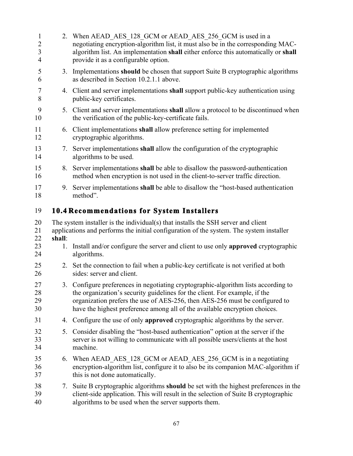| $\mathbf{1}$<br>$\overline{2}$<br>$\overline{3}$<br>$\overline{4}$ |        | 2. When AEAD AES 128 GCM or AEAD AES 256 GCM is used in a<br>negotiating encryption-algorithm list, it must also be in the corresponding MAC-<br>algorithm list. An implementation shall either enforce this automatically or shall<br>provide it as a configurable option.                                                   |
|--------------------------------------------------------------------|--------|-------------------------------------------------------------------------------------------------------------------------------------------------------------------------------------------------------------------------------------------------------------------------------------------------------------------------------|
| 5<br>6                                                             | 3.     | Implementations should be chosen that support Suite B cryptographic algorithms<br>as described in Section 10.2.1.1 above.                                                                                                                                                                                                     |
| $\tau$<br>8                                                        |        | 4. Client and server implementations shall support public-key authentication using<br>public-key certificates.                                                                                                                                                                                                                |
| 9<br>10                                                            |        | 5. Client and server implementations shall allow a protocol to be discontinued when<br>the verification of the public-key-certificate fails.                                                                                                                                                                                  |
| 11<br>12                                                           |        | 6. Client implementations shall allow preference setting for implemented<br>cryptographic algorithms.                                                                                                                                                                                                                         |
| 13<br>14                                                           |        | 7. Server implementations shall allow the configuration of the cryptographic<br>algorithms to be used.                                                                                                                                                                                                                        |
| 15<br>16                                                           |        | 8. Server implementations shall be able to disallow the password-authentication<br>method when encryption is not used in the client-to-server traffic direction.                                                                                                                                                              |
| 17<br>18                                                           | 9.     | Server implementations shall be able to disallow the "host-based authentication"<br>method".                                                                                                                                                                                                                                  |
| 19                                                                 |        | <b>10.4 Recommendations for System Installers</b>                                                                                                                                                                                                                                                                             |
| 20<br>21<br>22                                                     | shall: | The system installer is the individual(s) that installs the SSH server and client<br>applications and performs the initial configuration of the system. The system installer                                                                                                                                                  |
| 23<br>24                                                           | 1.     | Install and/or configure the server and client to use only approved cryptographic<br>algorithms.                                                                                                                                                                                                                              |
| 25<br>26                                                           |        | 2. Set the connection to fail when a public-key certificate is not verified at both<br>sides: server and client.                                                                                                                                                                                                              |
| 27<br>28<br>29<br>30                                               |        | 3. Configure preferences in negotiating cryptographic-algorithm lists according to<br>the organization's security guidelines for the client. For example, if the<br>organization prefers the use of AES-256, then AES-256 must be configured to<br>have the highest preference among all of the available encryption choices. |
| 31                                                                 | 4.     | Configure the use of only <b>approved</b> cryptographic algorithms by the server.                                                                                                                                                                                                                                             |
| 32<br>33<br>34                                                     | 5.     | Consider disabling the "host-based authentication" option at the server if the<br>server is not willing to communicate with all possible users/clients at the host<br>machine.                                                                                                                                                |
| 35<br>36<br>37                                                     |        | 6. When AEAD AES 128 GCM or AEAD AES 256 GCM is in a negotiating<br>encryption-algorithm list, configure it to also be its companion MAC-algorithm if<br>this is not done automatically.                                                                                                                                      |
| 38<br>39<br>40                                                     | 7.     | Suite B cryptographic algorithms should be set with the highest preferences in the<br>client-side application. This will result in the selection of Suite B cryptographic<br>algorithms to be used when the server supports them.                                                                                             |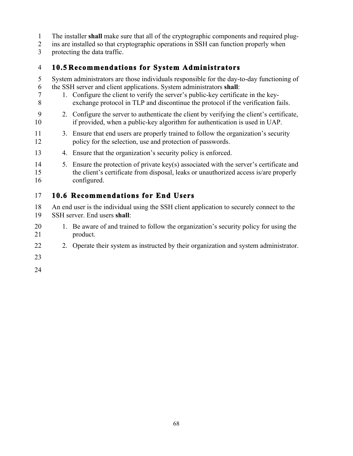- 1 The installer **shall** make sure that all of the cryptographic components and required plug-
- 2 ins are installed so that cryptographic operations in SSH can function properly when
- 3 protecting the data traffic.

### 4 **10.5 Recommendations for System Administrators**

- 6 the SSH server and client applications. System administrators **shall**: 5 System administrators are those individuals responsible for the day-to-day functioning of
- 7 1. Configure the client to verify the server's public-key certificate in the key-8 exchange protocol in TLP and discontinue the protocol if the verification fails.
- 9 2. Configure the server to authenticate the client by verifying the client's certificate, 10 if provided, when a public-key algorithm for authentication is used in UAP.
- 11 3. Ensure that end users are properly trained to follow the organization's security 12 policy for the selection, use and protection of passwords.
- 13 4. Ensure that the organization's security policy is enforced.
- configured. 14 5. Ensure the protection of private key(s) associated with the server's certificate and 15 the client's certificate from disposal, leaks or unauthorized access is/are properly

# 16 configured. 17 **10.6 Recommendations for End Users**

- 19 SSH server. End users **shall**: 18 An end user is the individual using the SSH client application to securely connect to the
- 20 1. Be aware of and trained to follow the organization's security policy for using the 21 product.
- 22 2. Operate their system as instructed by their organization and system administrator.
- 23
- 24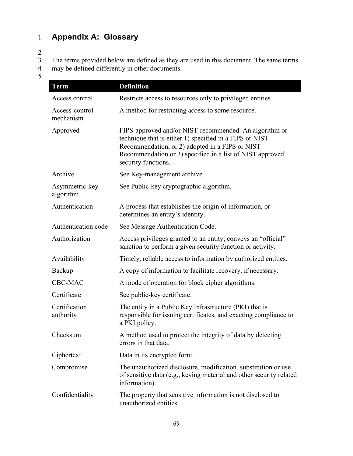# 1 **Appendix A: Glossary**

2

The terms provided below are defined as they are used in this document. The same terms may be defined differently in other documents.

| <b>Term</b>                 | <b>Definition</b>                                                                                                                                                                                                                                        |
|-----------------------------|----------------------------------------------------------------------------------------------------------------------------------------------------------------------------------------------------------------------------------------------------------|
| Access control              | Restricts access to resources only to privileged entities.                                                                                                                                                                                               |
| Access-control<br>mechanism | A method for restricting access to some resource.                                                                                                                                                                                                        |
| Approved                    | FIPS-approved and/or NIST-recommended. An algorithm or<br>technique that is either 1) specified in a FIPS or NIST<br>Recommendation, or 2) adopted in a FIPS or NIST<br>Recommendation or 3) specified in a list of NIST approved<br>security functions. |
| Archive                     | See Key-management archive.                                                                                                                                                                                                                              |
| Asymmetric-key<br>algorithm | See Public-key cryptographic algorithm.                                                                                                                                                                                                                  |
| Authentication              | A process that establishes the origin of information, or<br>determines an entity's identity.                                                                                                                                                             |
| Authentication code         | See Message Authentication Code.                                                                                                                                                                                                                         |
| Authorization               | Access privileges granted to an entity; conveys an "official"<br>sanction to perform a given security function or activity.                                                                                                                              |
| Availability                | Timely, reliable access to information by authorized entities.                                                                                                                                                                                           |
| Backup                      | A copy of information to facilitate recovery, if necessary.                                                                                                                                                                                              |
| CBC-MAC                     | A mode of operation for block cipher algorithms.                                                                                                                                                                                                         |
| Certificate                 | See public-key certificate.                                                                                                                                                                                                                              |
| Certification<br>authority  | The entity in a Public Key Infrastructure (PKI) that is<br>responsible for issuing certificates, and exacting compliance to<br>a PKI policy.                                                                                                             |
| Checksum                    | A method used to protect the integrity of data by detecting<br>errors in that data.                                                                                                                                                                      |
| Ciphertext                  | Data in its encrypted form.                                                                                                                                                                                                                              |
| Compromise                  | The unauthorized disclosure, modification, substitution or use<br>of sensitive data (e.g., keying material and other security related<br>information).                                                                                                   |
| Confidentiality             | The property that sensitive information is not disclosed to<br>unauthorized entities.                                                                                                                                                                    |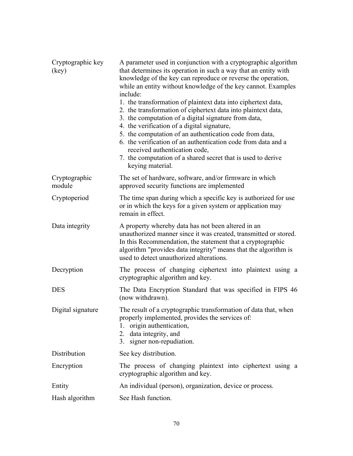| Cryptographic key<br>(key) | A parameter used in conjunction with a cryptographic algorithm<br>that determines its operation in such a way that an entity with<br>knowledge of the key can reproduce or reverse the operation,<br>while an entity without knowledge of the key cannot. Examples<br>include:<br>1. the transformation of plaintext data into ciphertext data,<br>2. the transformation of ciphertext data into plaintext data,<br>3. the computation of a digital signature from data,<br>4. the verification of a digital signature,<br>5. the computation of an authentication code from data,<br>6. the verification of an authentication code from data and a<br>received authentication code,<br>7. the computation of a shared secret that is used to derive<br>keying material. |
|----------------------------|--------------------------------------------------------------------------------------------------------------------------------------------------------------------------------------------------------------------------------------------------------------------------------------------------------------------------------------------------------------------------------------------------------------------------------------------------------------------------------------------------------------------------------------------------------------------------------------------------------------------------------------------------------------------------------------------------------------------------------------------------------------------------|
| Cryptographic<br>module    | The set of hardware, software, and/or firmware in which<br>approved security functions are implemented                                                                                                                                                                                                                                                                                                                                                                                                                                                                                                                                                                                                                                                                   |
| Cryptoperiod               | The time span during which a specific key is authorized for use<br>or in which the keys for a given system or application may<br>remain in effect.                                                                                                                                                                                                                                                                                                                                                                                                                                                                                                                                                                                                                       |
| Data integrity             | A property whereby data has not been altered in an<br>unauthorized manner since it was created, transmitted or stored.<br>In this Recommendation, the statement that a cryptographic<br>algorithm "provides data integrity" means that the algorithm is<br>used to detect unauthorized alterations.                                                                                                                                                                                                                                                                                                                                                                                                                                                                      |
| Decryption                 | The process of changing ciphertext into plaintext using a<br>cryptographic algorithm and key.                                                                                                                                                                                                                                                                                                                                                                                                                                                                                                                                                                                                                                                                            |
| <b>DES</b>                 | The Data Encryption Standard that was specified in FIPS 46<br>(now withdrawn).                                                                                                                                                                                                                                                                                                                                                                                                                                                                                                                                                                                                                                                                                           |
| Digital signature          | The result of a cryptographic transformation of data that, when<br>properly implemented, provides the services of:<br>origin authentication,<br>1.<br>2. data integrity, and<br>3. signer non-repudiation.                                                                                                                                                                                                                                                                                                                                                                                                                                                                                                                                                               |
| Distribution               | See key distribution.                                                                                                                                                                                                                                                                                                                                                                                                                                                                                                                                                                                                                                                                                                                                                    |
| Encryption                 | The process of changing plaintext into ciphertext using a<br>cryptographic algorithm and key.                                                                                                                                                                                                                                                                                                                                                                                                                                                                                                                                                                                                                                                                            |
| Entity                     | An individual (person), organization, device or process.                                                                                                                                                                                                                                                                                                                                                                                                                                                                                                                                                                                                                                                                                                                 |
| Hash algorithm             | See Hash function.                                                                                                                                                                                                                                                                                                                                                                                                                                                                                                                                                                                                                                                                                                                                                       |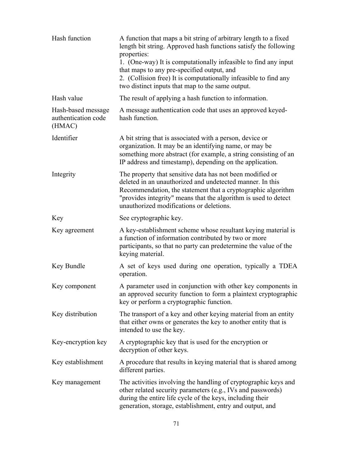| Hash function                                       | A function that maps a bit string of arbitrary length to a fixed<br>length bit string. Approved hash functions satisfy the following<br>properties:<br>1. (One-way) It is computationally infeasible to find any input<br>that maps to any pre-specified output, and<br>2. (Collision free) It is computationally infeasible to find any |
|-----------------------------------------------------|------------------------------------------------------------------------------------------------------------------------------------------------------------------------------------------------------------------------------------------------------------------------------------------------------------------------------------------|
|                                                     | two distinct inputs that map to the same output.                                                                                                                                                                                                                                                                                         |
| Hash value                                          | The result of applying a hash function to information.                                                                                                                                                                                                                                                                                   |
| Hash-based message<br>authentication code<br>(HMAC) | A message authentication code that uses an approved keyed-<br>hash function.                                                                                                                                                                                                                                                             |
| Identifier                                          | A bit string that is associated with a person, device or<br>organization. It may be an identifying name, or may be<br>something more abstract (for example, a string consisting of an<br>IP address and timestamp), depending on the application.                                                                                        |
| Integrity                                           | The property that sensitive data has not been modified or<br>deleted in an unauthorized and undetected manner. In this<br>Recommendation, the statement that a cryptographic algorithm<br>"provides integrity" means that the algorithm is used to detect<br>unauthorized modifications or deletions.                                    |
| Key                                                 | See cryptographic key.                                                                                                                                                                                                                                                                                                                   |
| Key agreement                                       | A key-establishment scheme whose resultant keying material is<br>a function of information contributed by two or more<br>participants, so that no party can predetermine the value of the<br>keying material.                                                                                                                            |
| Key Bundle                                          | A set of keys used during one operation, typically a TDEA<br>operation.                                                                                                                                                                                                                                                                  |
| Key component                                       | A parameter used in conjunction with other key components in<br>an approved security function to form a plaintext cryptographic<br>key or perform a cryptographic function.                                                                                                                                                              |
| Key distribution                                    | The transport of a key and other keying material from an entity<br>that either owns or generates the key to another entity that is<br>intended to use the key.                                                                                                                                                                           |
| Key-encryption key                                  | A cryptographic key that is used for the encryption or<br>decryption of other keys.                                                                                                                                                                                                                                                      |
| Key establishment                                   | A procedure that results in keying material that is shared among<br>different parties.                                                                                                                                                                                                                                                   |
| Key management                                      | The activities involving the handling of cryptographic keys and<br>other related security parameters (e.g., IVs and passwords)<br>during the entire life cycle of the keys, including their<br>generation, storage, establishment, entry and output, and                                                                                 |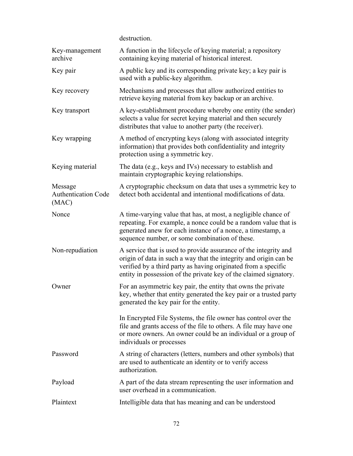|                                                | destruction.                                                                                                                                                                                                                                                                 |
|------------------------------------------------|------------------------------------------------------------------------------------------------------------------------------------------------------------------------------------------------------------------------------------------------------------------------------|
| Key-management<br>archive                      | A function in the lifecycle of keying material; a repository<br>containing keying material of historical interest.                                                                                                                                                           |
| Key pair                                       | A public key and its corresponding private key; a key pair is<br>used with a public-key algorithm.                                                                                                                                                                           |
| Key recovery                                   | Mechanisms and processes that allow authorized entities to<br>retrieve keying material from key backup or an archive.                                                                                                                                                        |
| Key transport                                  | A key-establishment procedure whereby one entity (the sender)<br>selects a value for secret keying material and then securely<br>distributes that value to another party (the receiver).                                                                                     |
| Key wrapping                                   | A method of encrypting keys (along with associated integrity<br>information) that provides both confidentiality and integrity<br>protection using a symmetric key.                                                                                                           |
| Keying material                                | The data (e.g., keys and IVs) necessary to establish and<br>maintain cryptographic keying relationships.                                                                                                                                                                     |
| Message<br><b>Authentication Code</b><br>(MAC) | A cryptographic checksum on data that uses a symmetric key to<br>detect both accidental and intentional modifications of data.                                                                                                                                               |
| Nonce                                          | A time-varying value that has, at most, a negligible chance of<br>repeating. For example, a nonce could be a random value that is<br>generated anew for each instance of a nonce, a timestamp, a<br>sequence number, or some combination of these.                           |
| Non-repudiation                                | A service that is used to provide assurance of the integrity and<br>origin of data in such a way that the integrity and origin can be<br>verified by a third party as having originated from a specific<br>entity in possession of the private key of the claimed signatory. |
| Owner                                          | For an asymmetric key pair, the entity that owns the private<br>key, whether that entity generated the key pair or a trusted party<br>generated the key pair for the entity.                                                                                                 |
|                                                | In Encrypted File Systems, the file owner has control over the<br>file and grants access of the file to others. A file may have one<br>or more owners. An owner could be an individual or a group of<br>individuals or processes                                             |
| Password                                       | A string of characters (letters, numbers and other symbols) that<br>are used to authenticate an identity or to verify access<br>authorization.                                                                                                                               |
| Payload                                        | A part of the data stream representing the user information and<br>user overhead in a communication.                                                                                                                                                                         |
| Plaintext                                      | Intelligible data that has meaning and can be understood                                                                                                                                                                                                                     |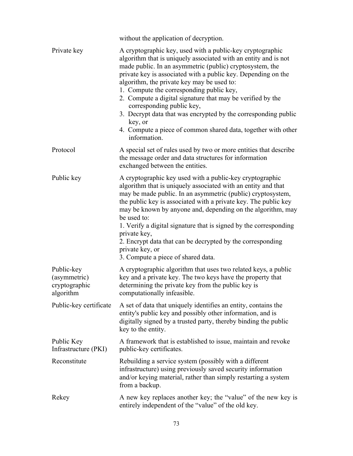|                                                          | without the application of decryption.                                                                                                                                                                                                                                                                                                                                                                                                                                                                                                                                                                       |
|----------------------------------------------------------|--------------------------------------------------------------------------------------------------------------------------------------------------------------------------------------------------------------------------------------------------------------------------------------------------------------------------------------------------------------------------------------------------------------------------------------------------------------------------------------------------------------------------------------------------------------------------------------------------------------|
| Private key                                              | A cryptographic key, used with a public-key cryptographic<br>algorithm that is uniquely associated with an entity and is not<br>made public. In an asymmetric (public) cryptosystem, the<br>private key is associated with a public key. Depending on the<br>algorithm, the private key may be used to:<br>1. Compute the corresponding public key,<br>2. Compute a digital signature that may be verified by the<br>corresponding public key,<br>3. Decrypt data that was encrypted by the corresponding public<br>key, or<br>4. Compute a piece of common shared data, together with other<br>information. |
| Protocol                                                 | A special set of rules used by two or more entities that describe<br>the message order and data structures for information<br>exchanged between the entities.                                                                                                                                                                                                                                                                                                                                                                                                                                                |
| Public key                                               | A cryptographic key used with a public-key cryptographic<br>algorithm that is uniquely associated with an entity and that<br>may be made public. In an asymmetric (public) cryptosystem,<br>the public key is associated with a private key. The public key<br>may be known by anyone and, depending on the algorithm, may<br>be used to:<br>1. Verify a digital signature that is signed by the corresponding<br>private key,<br>2. Encrypt data that can be decrypted by the corresponding<br>private key, or<br>3. Compute a piece of shared data.                                                        |
| Public-key<br>(asymmetric)<br>cryptographic<br>algorithm | A cryptographic algorithm that uses two related keys, a public<br>key and a private key. The two keys have the property that<br>determining the private key from the public key is<br>computationally infeasible.                                                                                                                                                                                                                                                                                                                                                                                            |
| Public-key certificate                                   | A set of data that uniquely identifies an entity, contains the<br>entity's public key and possibly other information, and is<br>digitally signed by a trusted party, thereby binding the public<br>key to the entity.                                                                                                                                                                                                                                                                                                                                                                                        |
| Public Key<br>Infrastructure (PKI)                       | A framework that is established to issue, maintain and revoke<br>public-key certificates.                                                                                                                                                                                                                                                                                                                                                                                                                                                                                                                    |
| Reconstitute                                             | Rebuilding a service system (possibly with a different<br>infrastructure) using previously saved security information<br>and/or keying material, rather than simply restarting a system<br>from a backup.                                                                                                                                                                                                                                                                                                                                                                                                    |
| Rekey                                                    | A new key replaces another key; the "value" of the new key is<br>entirely independent of the "value" of the old key.                                                                                                                                                                                                                                                                                                                                                                                                                                                                                         |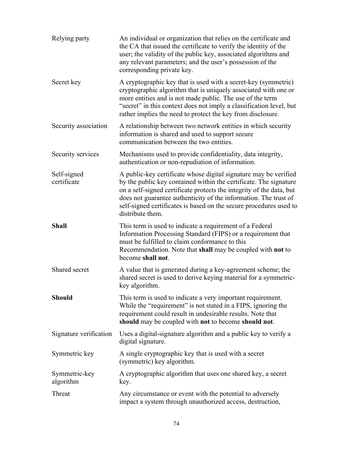| Relying party              | An individual or organization that relies on the certificate and<br>the CA that issued the certificate to verify the identity of the<br>user; the validity of the public key, associated algorithms and<br>any relevant parameters; and the user's possession of the<br>corresponding private key.                                                                          |
|----------------------------|-----------------------------------------------------------------------------------------------------------------------------------------------------------------------------------------------------------------------------------------------------------------------------------------------------------------------------------------------------------------------------|
| Secret key                 | A cryptographic key that is used with a secret-key (symmetric)<br>cryptographic algorithm that is uniquely associated with one or<br>more entities and is not made public. The use of the term<br>"secret" in this context does not imply a classification level, but<br>rather implies the need to protect the key from disclosure.                                        |
| Security association       | A relationship between two network entities in which security<br>information is shared and used to support secure<br>communication between the two entities.                                                                                                                                                                                                                |
| Security services          | Mechanisms used to provide confidentiality, data integrity,<br>authentication or non-repudiation of information.                                                                                                                                                                                                                                                            |
| Self-signed<br>certificate | A public-key certificate whose digital signature may be verified<br>by the public key contained within the certificate. The signature<br>on a self-signed certificate protects the integrity of the data, but<br>does not guarantee authenticity of the information. The trust of<br>self-signed certificates is based on the secure procedures used to<br>distribute them. |
| <b>Shall</b>               | This term is used to indicate a requirement of a Federal<br>Information Processing Standard (FIPS) or a requirement that<br>must be fulfilled to claim conformance to this<br>Recommendation. Note that shall may be coupled with not to<br>become shall not.                                                                                                               |
| Shared secret              | A value that is generated during a key-agreement scheme; the<br>shared secret is used to derive keying material for a symmetric-<br>key algorithm.                                                                                                                                                                                                                          |
| <b>Should</b>              | This term is used to indicate a very important requirement.<br>While the "requirement" is not stated in a FIPS, ignoring the<br>requirement could result in undesirable results. Note that<br>should may be coupled with not to become should not.                                                                                                                          |
| Signature verification     | Uses a digital-signature algorithm and a public key to verify a<br>digital signature.                                                                                                                                                                                                                                                                                       |
| Symmetric key              | A single cryptographic key that is used with a secret<br>(symmetric) key algorithm.                                                                                                                                                                                                                                                                                         |
| Symmetric-key<br>algorithm | A cryptographic algorithm that uses one shared key, a secret<br>key.                                                                                                                                                                                                                                                                                                        |
| Threat                     | Any circumstance or event with the potential to adversely<br>impact a system through unauthorized access, destruction,                                                                                                                                                                                                                                                      |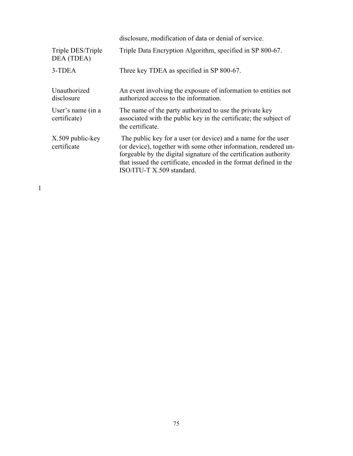|                                   | disclosure, modification of data or denial of service.                                                                                                                                                                                                                                                  |
|-----------------------------------|---------------------------------------------------------------------------------------------------------------------------------------------------------------------------------------------------------------------------------------------------------------------------------------------------------|
| Triple DES/Triple<br>DEA (TDEA)   | Triple Data Encryption Algorithm, specified in SP 800-67.                                                                                                                                                                                                                                               |
| 3-TDEA                            | Three key TDEA as specified in SP 800-67.                                                                                                                                                                                                                                                               |
| Unauthorized<br>disclosure        | An event involving the exposure of information to entities not<br>authorized access to the information.                                                                                                                                                                                                 |
| User's name (in a<br>certificate) | The name of the party authorized to use the private key<br>associated with the public key in the certificate; the subject of<br>the certificate.                                                                                                                                                        |
| X.509 public-key<br>certificate   | The public key for a user (or device) and a name for the user<br>(or device), together with some other information, rendered un-<br>forgeable by the digital signature of the certification authority<br>that issued the certificate, encoded in the format defined in the<br>ISO/ITU-T X.509 standard. |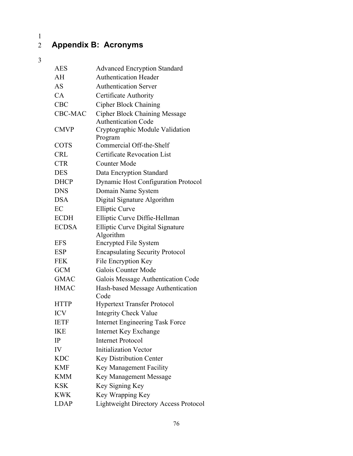# $\frac{1}{2}$

## 2 **Appendix B: Acronyms**

| AES                      | <b>Advanced Encryption Standard</b>               |
|--------------------------|---------------------------------------------------|
| AH                       | <b>Authentication Header</b>                      |
| AS                       | <b>Authentication Server</b>                      |
| CA                       | Certificate Authority                             |
| <b>CBC</b>               | <b>Cipher Block Chaining</b>                      |
| <b>CBC-MAC</b>           | <b>Cipher Block Chaining Message</b>              |
|                          | <b>Authentication Code</b>                        |
| <b>CMVP</b>              | Cryptographic Module Validation                   |
|                          | Program<br>Commercial Off-the-Shelf               |
| <b>COTS</b>              |                                                   |
| <b>CRL</b>               | <b>Certificate Revocation List</b>                |
| <b>CTR</b>               | <b>Counter Mode</b>                               |
| <b>DES</b>               | Data Encryption Standard                          |
| <b>DHCP</b>              | <b>Dynamic Host Configuration Protocol</b>        |
| <b>DNS</b>               | Domain Name System                                |
| <b>DSA</b>               | Digital Signature Algorithm                       |
| EC                       | <b>Elliptic Curve</b>                             |
| <b>ECDH</b>              | Elliptic Curve Diffie-Hellman                     |
| <b>ECDSA</b>             | Elliptic Curve Digital Signature                  |
| <b>EFS</b>               | Algorithm<br><b>Encrypted File System</b>         |
|                          |                                                   |
| <b>ESP</b><br><b>FEK</b> | <b>Encapsulating Security Protocol</b>            |
| <b>GCM</b>               | File Encryption Key<br><b>Galois Counter Mode</b> |
|                          |                                                   |
| <b>GMAC</b>              | Galois Message Authentication Code                |
| <b>HMAC</b>              | Hash-based Message Authentication<br>Code         |
| <b>HTTP</b>              | <b>Hypertext Transfer Protocol</b>                |
| <b>ICV</b>               | <b>Integrity Check Value</b>                      |
| <b>IETF</b>              | <b>Internet Engineering Task Force</b>            |
| <b>IKE</b>               | <b>Internet Key Exchange</b>                      |
| IP                       | <b>Internet Protocol</b>                          |
| IV                       | <b>Initialization Vector</b>                      |
| <b>KDC</b>               | Key Distribution Center                           |
| <b>KMF</b>               | Key Management Facility                           |
| KMM                      | Key Management Message                            |
| <b>KSK</b>               | Key Signing Key                                   |
| <b>KWK</b>               | Key Wrapping Key                                  |
| <b>LDAP</b>              | <b>Lightweight Directory Access Protocol</b>      |
|                          |                                                   |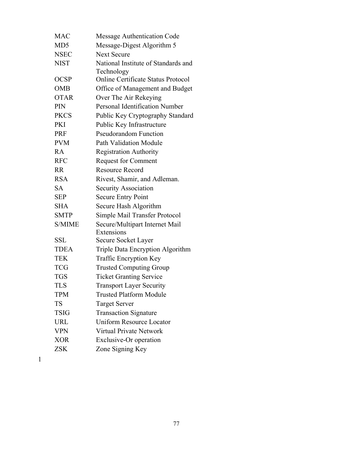| <b>MAC</b>      | <b>Message Authentication Code</b>        |
|-----------------|-------------------------------------------|
| MD <sub>5</sub> | Message-Digest Algorithm 5                |
| <b>NSEC</b>     | <b>Next Secure</b>                        |
| <b>NIST</b>     | National Institute of Standards and       |
|                 | Technology                                |
| <b>OCSP</b>     | <b>Online Certificate Status Protocol</b> |
| <b>OMB</b>      | Office of Management and Budget           |
| <b>OTAR</b>     | Over The Air Rekeying                     |
| <b>PIN</b>      | Personal Identification Number            |
| <b>PKCS</b>     | Public Key Cryptography Standard          |
| <b>PKI</b>      | Public Key Infrastructure                 |
| <b>PRF</b>      | <b>Pseudorandom Function</b>              |
| <b>PVM</b>      | <b>Path Validation Module</b>             |
| RA              | <b>Registration Authority</b>             |
| <b>RFC</b>      | Request for Comment                       |
| <b>RR</b>       | <b>Resource Record</b>                    |
| <b>RSA</b>      | Rivest, Shamir, and Adleman.              |
| <b>SA</b>       | <b>Security Association</b>               |
| <b>SEP</b>      | <b>Secure Entry Point</b>                 |
| <b>SHA</b>      | Secure Hash Algorithm                     |
| <b>SMTP</b>     | Simple Mail Transfer Protocol             |
| <b>S/MIME</b>   | Secure/Multipart Internet Mail            |
|                 | Extensions                                |
| SSL             | Secure Socket Layer                       |
| <b>TDEA</b>     | Triple Data Encryption Algorithm          |
| <b>TEK</b>      | <b>Traffic Encryption Key</b>             |
| <b>TCG</b>      | <b>Trusted Computing Group</b>            |
| <b>TGS</b>      | <b>Ticket Granting Service</b>            |
| <b>TLS</b>      | <b>Transport Layer Security</b>           |
| <b>TPM</b>      | <b>Trusted Platform Module</b>            |
| <b>TS</b>       | <b>Target Server</b>                      |
| <b>TSIG</b>     | <b>Transaction Signature</b>              |
| <b>URL</b>      | <b>Uniform Resource Locator</b>           |
| <b>VPN</b>      | Virtual Private Network                   |
| <b>XOR</b>      | Exclusive-Or operation                    |
| <b>ZSK</b>      | Zone Signing Key                          |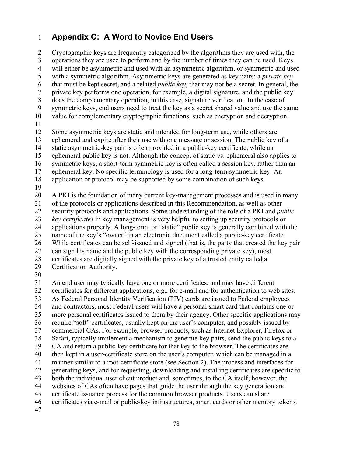# 1 **Appendix C: A Word to Novice End Users**

 3 operations they are used to perform and by the number of times they can be used. Keys with a symmetric algorithm. Asymmetric keys are generated as key pairs: a *private key*  9 symmetric keys, end users need to treat the key as a secret shared value and use the same 16 symmetric keys, a short-term symmetric key is often called a session key, rather than an name of the key's "owner" in an electronic document called a public-key certificate. 36 require "soft" certificates, usually kept on the user's computer, and possibly issued by 44 websites of CAs often have pages that guide the user through the key generation and 46 certificates via e-mail or public-key infrastructures, smart cards or other memory tokens. 5 10 15 20 25 30 35 40 45 2 Cryptographic keys are frequently categorized by the algorithms they are used with, the 4 will either be asymmetric and used with an asymmetric algorithm, or symmetric and used 6 that must be kept secret, and a related *public key*, that may not be a secret. In general, the 7 private key performs one operation, for example, a digital signature, and the public key 8 does the complementary operation, in this case, signature verification. In the case of value for complementary cryptographic functions, such as encryption and decryption. 11 12 Some asymmetric keys are static and intended for long-term use, while others are 13 ephemeral and expire after their use with one message or session. The public key of a 14 static asymmetric-key pair is often provided in a public-key certificate, while an ephemeral public key is not. Although the concept of static vs. ephemeral also applies to 17 ephemeral key. No specific terminology is used for a long-term symmetric key. An 18 application or protocol may be supported by some combination of such keys. 19 A PKI is the foundation of many current key-management processes and is used in many 21 of the protocols or applications described in this Recommendation, as well as other 22 security protocols and applications. Some understanding of the role of a PKI and *public*  23 *key certificates* in key management is very helpful to setting up security protocols or 24 applications properly. A long-term, or "static" public key is generally combined with the 26 While certificates can be self-issued and signed (that is, the party that created the key pair 27 can sign his name and the public key with the corresponding private key), most 28 certificates are digitally signed with the private key of a trusted entity called a 29 Certification Authority. 31 An end user may typically have one or more certificates, and may have different 32 certificates for different applications, e.g., for e-mail and for authentication to web sites. 33 As Federal Personal Identity Verification (PIV) cards are issued to Federal employees 34 and contractors, most Federal users will have a personal smart card that contains one or more personal certificates issued to them by their agency. Other specific applications may 37 commercial CAs. For example, browser products, such as Internet Explorer, Firefox or 38 Safari, typically implement a mechanism to generate key pairs, send the public keys to a 39 CA and return a public-key certificate for that key to the browser. The certificates are then kept in a user-certificate store on the user's computer, which can be managed in a 41 manner similar to a root-certificate store (see Section 2). The process and interfaces for 42 generating keys, and for requesting, downloading and installing certificates are specific to 43 both the individual user client product and, sometimes, to the CA itself; however, the certificate issuance process for the common browser products. Users can share 47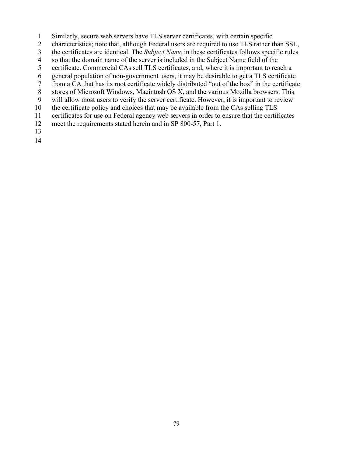- 1 Similarly, secure web servers have TLS server certificates, with certain specific
- 2 characteristics; note that, although Federal users are required to use TLS rather than SSL,
- 3 the certificates are identical. The *Subject Name* in these certificates follows specific rules
- 4 so that the domain name of the server is included in the Subject Name field of the
- 5 certificate. Commercial CAs sell TLS certificates, and, where it is important to reach a
- 6 general population of non-government users, it may be desirable to get a TLS certificate
- 7 from a CA that has its root certificate widely distributed "out of the box" in the certificate
- stores of Microsoft Windows, Macintosh OS X, and the various Mozilla browsers. This 8
- 9 will allow most users to verify the server certificate. However, it is important to review
- 10 the certificate policy and choices that may be available from the CAs selling TLS
- 11 certificates for use on Federal agency web servers in order to ensure that the certificates
- 12 meet the requirements stated herein and in SP 800-57, Part 1.
- 13
- 14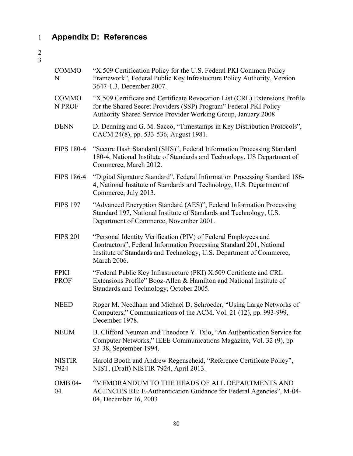# 1 **Appendix D: References**

| <b>COMMO</b><br>N          | "X.509 Certification Policy for the U.S. Federal PKI Common Policy<br>Framework", Federal Public Key Infrastucture Policy Authority, Version<br>3647-1.3, December 2007.                                                    |
|----------------------------|-----------------------------------------------------------------------------------------------------------------------------------------------------------------------------------------------------------------------------|
| <b>COMMO</b><br>N PROF     | "X.509 Certificate and Certificate Revocation List (CRL) Extensions Profile<br>for the Shared Secret Providers (SSP) Program" Federal PKI Policy<br>Authority Shared Service Provider Working Group, January 2008           |
| <b>DENN</b>                | D. Denning and G. M. Sacco, "Timestamps in Key Distribution Protocols",<br>CACM 24(8), pp. 533-536, August 1981.                                                                                                            |
| <b>FIPS 180-4</b>          | "Secure Hash Standard (SHS)", Federal Information Processing Standard<br>180-4, National Institute of Standards and Technology, US Department of<br>Commerce, March 2012.                                                   |
| <b>FIPS 186-4</b>          | "Digital Signature Standard", Federal Information Processing Standard 186-<br>4, National Institute of Standards and Technology, U.S. Department of<br>Commerce, July 2013.                                                 |
| <b>FIPS 197</b>            | "Advanced Encryption Standard (AES)", Federal Information Processing<br>Standard 197, National Institute of Standards and Technology, U.S.<br>Department of Commerce, November 2001.                                        |
| <b>FIPS 201</b>            | "Personal Identity Verification (PIV) of Federal Employees and<br>Contractors", Federal Information Processing Standard 201, National<br>Institute of Standards and Technology, U.S. Department of Commerce,<br>March 2006. |
| <b>FPKI</b><br><b>PROF</b> | "Federal Public Key Infrastructure (PKI) X.509 Certificate and CRL<br>Extensions Profile" Booz-Allen & Hamilton and National Institute of<br>Standards and Technology, October 2005.                                        |
| <b>NEED</b>                | Roger M. Needham and Michael D. Schroeder, "Using Large Networks of<br>Computers," Communications of the ACM, Vol. 21 (12), pp. 993-999,<br>December 1978.                                                                  |
| <b>NEUM</b>                | B. Clifford Neuman and Theodore Y. Ts'o, "An Authentication Service for<br>Computer Networks," IEEE Communications Magazine, Vol. 32 (9), pp.<br>33-38, September 1994.                                                     |
| <b>NISTIR</b><br>7924      | Harold Booth and Andrew Regenscheid, "Reference Certificate Policy",<br>NIST, (Draft) NISTIR 7924, April 2013.                                                                                                              |
| <b>OMB 04-</b><br>04       | "MEMORANDUM TO THE HEADS OF ALL DEPARTMENTS AND<br>AGENCIES RE: E-Authentication Guidance for Federal Agencies", M-04-<br>04, December 16, 2003                                                                             |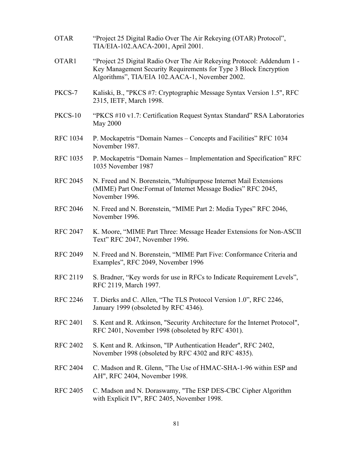| <b>OTAR</b>     | "Project 25 Digital Radio Over The Air Rekeying (OTAR) Protocol",<br>TIA/EIA-102.AACA-2001, April 2001.                                                                                       |
|-----------------|-----------------------------------------------------------------------------------------------------------------------------------------------------------------------------------------------|
| OTAR1           | "Project 25 Digital Radio Over The Air Rekeying Protocol: Addendum 1 -<br>Key Management Security Requirements for Type 3 Block Encryption<br>Algorithms", TIA/EIA 102.AACA-1, November 2002. |
| PKCS-7          | Kaliski, B., "PKCS #7: Cryptographic Message Syntax Version 1.5", RFC<br>2315, IETF, March 1998.                                                                                              |
| <b>PKCS-10</b>  | "PKCS #10 v1.7: Certification Request Syntax Standard" RSA Laboratories<br>May 2000                                                                                                           |
| <b>RFC 1034</b> | P. Mockapetris "Domain Names – Concepts and Facilities" RFC 1034<br>November 1987.                                                                                                            |
| <b>RFC 1035</b> | P. Mockapetris "Domain Names – Implementation and Specification" RFC<br>1035 November 1987                                                                                                    |
| <b>RFC 2045</b> | N. Freed and N. Borenstein, "Multipurpose Internet Mail Extensions<br>(MIME) Part One: Format of Internet Message Bodies" RFC 2045,<br>November 1996.                                         |
| <b>RFC 2046</b> | N. Freed and N. Borenstein, "MIME Part 2: Media Types" RFC 2046,<br>November 1996.                                                                                                            |
| <b>RFC 2047</b> | K. Moore, "MIME Part Three: Message Header Extensions for Non-ASCII<br>Text" RFC 2047, November 1996.                                                                                         |
| <b>RFC 2049</b> | N. Freed and N. Borenstein, "MIME Part Five: Conformance Criteria and<br>Examples", RFC 2049, November 1996                                                                                   |
| <b>RFC 2119</b> | S. Bradner, "Key words for use in RFCs to Indicate Requirement Levels",<br>RFC 2119, March 1997.                                                                                              |
| <b>RFC 2246</b> | T. Dierks and C. Allen, "The TLS Protocol Version 1.0", RFC 2246,<br>January 1999 (obsoleted by RFC 4346).                                                                                    |
| <b>RFC 2401</b> | S. Kent and R. Atkinson, "Security Architecture for the Internet Protocol",<br>RFC 2401, November 1998 (obsoleted by RFC 4301).                                                               |
| <b>RFC 2402</b> | S. Kent and R. Atkinson, "IP Authentication Header", RFC 2402,<br>November 1998 (obsoleted by RFC 4302 and RFC 4835).                                                                         |
| <b>RFC 2404</b> | C. Madson and R. Glenn, "The Use of HMAC-SHA-1-96 within ESP and<br>AH", RFC 2404, November 1998.                                                                                             |
| <b>RFC 2405</b> | C. Madson and N. Doraswamy, "The ESP DES-CBC Cipher Algorithm<br>with Explicit IV", RFC 2405, November 1998.                                                                                  |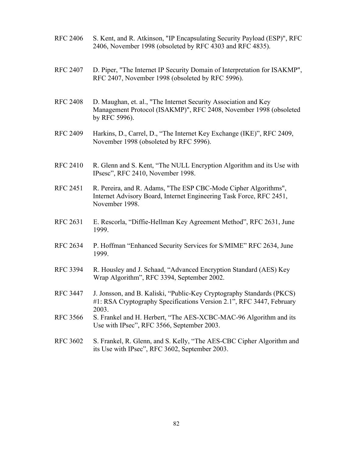- RFC 2406 S. Kent, and R. Atkinson, "IP Encapsulating Security Payload (ESP)", RFC 2406, November 1998 (obsoleted by RFC 4303 and RFC 4835).
- RFC 2407 D. Piper, "The Internet IP Security Domain of Interpretation for ISAKMP", RFC 2407, November 1998 (obsoleted by RFC 5996).
- RFC 2408 D. Maughan, et. al., "The Internet Security Association and Key Management Protocol (ISAKMP)", RFC 2408, November 1998 (obsoleted by RFC 5996).
- RFC 2409 Harkins, D., Carrel, D., "The Internet Key Exchange (IKE)", RFC 2409, November 1998 (obsoleted by RFC 5996).
- RFC 2410 R. Glenn and S. Kent, "The NULL Encryption Algorithm and its Use with IPsesc", RFC 2410, November 1998.
- RFC 2451 R. Pereira, and R. Adams, "The ESP CBC-Mode Cipher Algorithms", Internet Advisory Board, Internet Engineering Task Force, RFC 2451, November 1998.
- RFC 2631 E. Rescorla, "Diffie-Hellman Key Agreement Method", RFC 2631, June 1999.
- RFC 2634 P. Hoffman "Enhanced Security Services for S/MIME" RFC 2634, June 1999.
- RFC 3394 R. Housley and J. Schaad, "Advanced Encryption Standard (AES) Key Wrap Algorithm", RFC 3394, September 2002.
- RFC 3447 J. Jonsson, and B. Kaliski, "Public-Key Cryptography Standards (PKCS) #1: RSA Cryptography Specifications Version 2.1", RFC 3447, February 2003.
- RFC 3566 S. Frankel and H. Herbert, "The AES-XCBC-MAC-96 Algorithm and its Use with IPsec", RFC 3566, September 2003.
- RFC 3602 S. Frankel, R. Glenn, and S. Kelly, "The AES-CBC Cipher Algorithm and its Use with IPsec", RFC 3602, September 2003.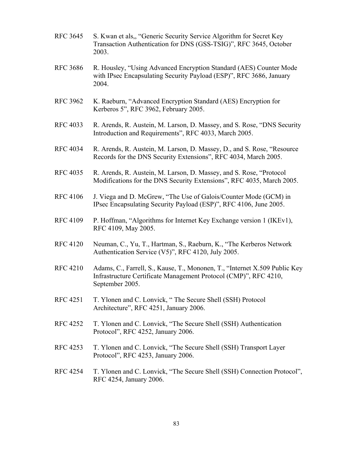- RFC 3645 S. Kwan et als,, "Generic Security Service Algorithm for Secret Key Transaction Authentication for DNS (GSS-TSIG)", RFC 3645, October 2003.
- RFC 3686 R. Housley, "Using Advanced Encryption Standard (AES) Counter Mode with IPsec Encapsulating Security Payload (ESP)", RFC 3686, January 2004.
- RFC 3962 K. Raeburn, "Advanced Encryption Standard (AES) Encryption for Kerberos 5", RFC 3962, February 2005.
- RFC 4033 R. Arends, R. Austein, M. Larson, D. Massey, and S. Rose, "DNS Security Introduction and Requirements", RFC 4033, March 2005.
- RFC 4034 R. Arends, R. Austein, M. Larson, D. Massey, D., and S. Rose, "Resource Records for the DNS Security Extensions", RFC 4034, March 2005.
- RFC 4035 R. Arends, R. Austein, M. Larson, D. Massey, and S. Rose, "Protocol Modifications for the DNS Security Extensions", RFC 4035, March 2005.
- RFC 4106 J. Viega and D. McGrew, "The Use of Galois/Counter Mode (GCM) in IPsec Encapsulating Security Payload (ESP)", RFC 4106, June 2005.
- RFC 4109 P. Hoffman, "Algorithms for Internet Key Exchange version 1 (IKEv1), RFC 4109, May 2005.
- RFC 4120 Neuman, C., Yu, T., Hartman, S., Raeburn, K., "The Kerberos Network Authentication Service (V5)", RFC 4120, July 2005.
- RFC 4210 Adams, C., Farrell, S., Kause, T., Mononen, T., "Internet X.509 Public Key Infrastructure Certificate Management Protocol (CMP)", RFC 4210, September 2005.
- RFC 4251 T. Ylonen and C. Lonvick, " The Secure Shell (SSH) Protocol Architecture", RFC 4251, January 2006.
- RFC 4252 T. Ylonen and C. Lonvick, "The Secure Shell (SSH) Authentication Protocol", RFC 4252, January 2006.
- RFC 4253 T. Ylonen and C. Lonvick, "The Secure Shell (SSH) Transport Layer Protocol", RFC 4253, January 2006.
- RFC 4254 T. Ylonen and C. Lonvick, "The Secure Shell (SSH) Connection Protocol", RFC 4254, January 2006.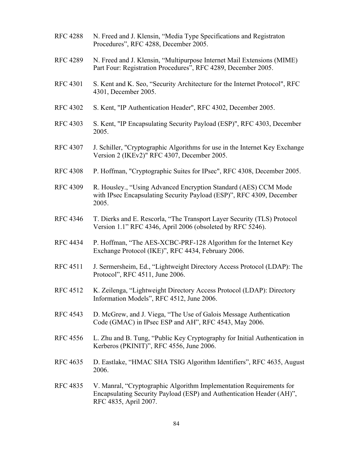- RFC 4288 N. Freed and J. Klensin, "Media Type Specifications and Registraton Procedures", RFC 4288, December 2005.
- RFC 4289 N. Freed and J. Klensin, "Multipurpose Internet Mail Extensions (MIME) Part Four: Registration Procedures", RFC 4289, December 2005.
- RFC 4301 S. Kent and K. Seo, "Security Architecture for the Internet Protocol", RFC 4301, December 2005.
- RFC 4302 S. Kent, "IP Authentication Header", RFC 4302, December 2005.
- RFC 4303 S. Kent, "IP Encapsulating Security Payload (ESP)", RFC 4303, December 2005.
- RFC 4307 J. Schiller, "Cryptographic Algorithms for use in the Internet Key Exchange Version 2 (IKEv2)" RFC 4307, December 2005.
- RFC 4308 P. Hoffman, "Cryptographic Suites for IPsec", RFC 4308, December 2005.
- RFC 4309 R. Housley., "Using Advanced Encryption Standard (AES) CCM Mode with IPsec Encapsulating Security Payload (ESP)", RFC 4309, December 2005.
- RFC 4346 T. Dierks and E. Rescorla, "The Transport Layer Security (TLS) Protocol Version 1.1" RFC 4346, April 2006 (obsoleted by RFC 5246).
- RFC 4434 P. Hoffman, "The AES-XCBC-PRF-128 Algorithm for the Internet Key Exchange Protocol (IKE)", RFC 4434, February 2006.
- RFC 4511 J. Sermersheim, Ed., "Lightweight Directory Access Protocol (LDAP): The Protocol", RFC 4511, June 2006.
- RFC 4512 K. Zeilenga, "Lightweight Directory Access Protocol (LDAP): Directory Information Models", RFC 4512, June 2006.
- RFC 4543 D. McGrew, and J. Viega, "The Use of Galois Message Authentication Code (GMAC) in IPsec ESP and AH", RFC 4543, May 2006.
- RFC 4556 L. Zhu and B. Tung, "Public Key Cryptography for Initial Authentication in Kerberos (PKINIT)", RFC 4556, June 2006.
- RFC 4635 D. Eastlake, "HMAC SHA TSIG Algorithm Identifiers", RFC 4635, August 2006.
- RFC 4835 V. Manral, "Cryptographic Algorithm Implementation Requirements for Encapsulating Security Payload (ESP) and Authentication Header (AH)", RFC 4835, April 2007.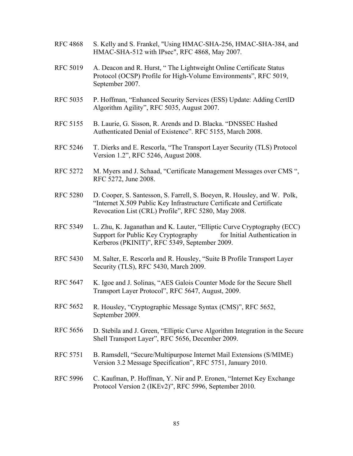- RFC 4868 S. Kelly and S. Frankel, "Using HMAC-SHA-256, HMAC-SHA-384, and HMAC-SHA-512 with IPsec", RFC 4868, May 2007.
- RFC 5019 A. Deacon and R. Hurst, "The Lightweight Online Certificate Status Protocol (OCSP) Profile for High-Volume Environments", RFC 5019, September 2007.
- RFC 5035 P. Hoffman, "Enhanced Security Services (ESS) Update: Adding CertID Algorithm Agility", RFC 5035, August 2007.
- RFC 5155 B. Laurie, G. Sisson, R. Arends and D. Blacka. "DNSSEC Hashed Authenticated Denial of Existence". RFC 5155, March 2008.
- RFC 5246 T. Dierks and E. Rescorla, "The Transport Layer Security (TLS) Protocol Version 1.2", RFC 5246, August 2008.
- RFC 5272 M. Myers and J. Schaad, "Certificate Management Messages over CMS", RFC 5272, June 2008.
- RFC 5280 D. Cooper, S. Santesson, S. Farrell, S. Boeyen, R. Housley, and W. Polk, "Internet X.509 Public Key Infrastructure Certificate and Certificate Revocation List (CRL) Profile", RFC 5280, May 2008.
- Support for Public Key Cryptography for Initial Authentication in RFC 5349 L. Zhu, K. Jaganathan and K. Lauter, "Elliptic Curve Cryptography (ECC) Kerberos (PKINIT)", RFC 5349, September 2009.
- RFC 5430 M. Salter, E. Rescorla and R. Housley, "Suite B Profile Transport Layer Security (TLS), RFC 5430, March 2009.
- RFC 5647 K. Igoe and J. Solinas, "AES Galois Counter Mode for the Secure Shell Transport Layer Protocol", RFC 5647, August, 2009.
- RFC 5652 R. Housley, "Cryptographic Message Syntax (CMS)", RFC 5652, September 2009.
- RFC 5656 D. Stebila and J. Green, "Elliptic Curve Algorithm Integration in the Secure Shell Transport Layer", RFC 5656, December 2009.
- RFC 5751 B. Ramsdell, "Secure/Multipurpose Internet Mail Extensions (S/MIME) Version 3.2 Message Specification", RFC 5751, January 2010.
- RFC 5996 C. Kaufman, P. Hoffman, Y. Nir and P. Eronen, "Internet Key Exchange Protocol Version 2 (IKEv2)", RFC 5996, September 2010.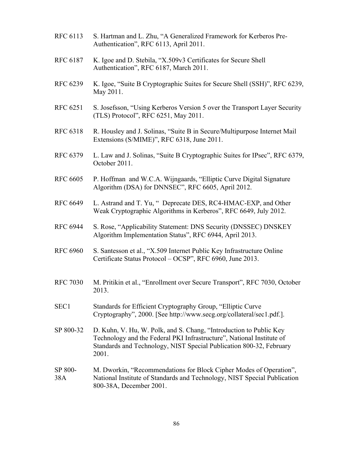- RFC 6113 S. Hartman and L. Zhu, "A Generalized Framework for Kerberos Pre-Authentication", RFC 6113, April 2011.
- RFC 6187 K. Igoe and D. Stebila, "X.509v3 Certificates for Secure Shell Authentication", RFC 6187, March 2011.
- RFC 6239 K. Igoe, "Suite B Cryptographic Suites for Secure Shell (SSH)", RFC 6239, May 2011.
- RFC 6251 S. Josefsson, "Using Kerberos Version 5 over the Transport Layer Security (TLS) Protocol", RFC 6251, May 2011.
- RFC 6318 R. Housley and J. Solinas, "Suite B in Secure/Multipurpose Internet Mail Extensions (S/MIME)", RFC 6318, June 2011.
- RFC 6379 L. Law and J. Solinas, "Suite B Cryptographic Suites for IPsec", RFC 6379, October 2011.
- RFC 6605 P. Hoffman and W.C.A. Wijngaards, "Elliptic Curve Digital Signature Algorithm (DSA) for DNNSEC", RFC 6605, April 2012.
- RFC 6649 L. Astrand and T. Yu, "Deprecate DES, RC4-HMAC-EXP, and Other Weak Cryptographic Algorithms in Kerberos", RFC 6649, July 2012.
- **RFC 6944** S. Rose, "Applicability Statement: DNS Security (DNSSEC) DNSKEY Algorithm Implementation Status", RFC 6944, April 2013.
- **RFC 6960**  Certificate Status Protocol – OCSP", RFC 6960, June 2013. S. Santesson et al., "X.509 Internet Public Key Infrastructure Online
- RFC 7030 M. Pritikin et al., "Enrollment over Secure Transport", RFC 7030, October 2013.
- Cryptography", 2000. [See http://www.secg.org/collateral/sec1.pdf.]. SEC1 Standards for Efficient Cryptography Group, "Elliptic Curve
- SP 800-32 D. Kuhn, V. Hu, W. Polk, and S. Chang, "Introduction to Public Key Technology and the Federal PKI Infrastructure", National Institute of Standards and Technology, NIST Special Publication 800-32, February 2001.
- SP 800- 38A M. Dworkin, "Recommendations for Block Cipher Modes of Operation", National Institute of Standards and Technology, NIST Special Publication 800-38A, December 2001.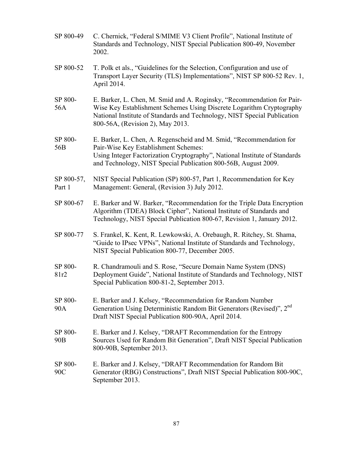| SP 800-49                  | C. Chernick, "Federal S/MIME V3 Client Profile", National Institute of<br>Standards and Technology, NIST Special Publication 800-49, November<br>2002.                                                                                                         |
|----------------------------|----------------------------------------------------------------------------------------------------------------------------------------------------------------------------------------------------------------------------------------------------------------|
| SP 800-52                  | T. Polk et als., "Guidelines for the Selection, Configuration and use of<br>Transport Layer Security (TLS) Implementations", NIST SP 800-52 Rev. 1,<br>April 2014.                                                                                             |
| SP 800-<br>56A             | E. Barker, L. Chen, M. Smid and A. Roginsky, "Recommendation for Pair-<br>Wise Key Establishment Schemes Using Discrete Logarithm Cryptography<br>National Institute of Standards and Technology, NIST Special Publication<br>800-56A, (Revision 2), May 2013. |
| SP 800-<br>56B             | E. Barker, L. Chen, A. Regenscheid and M. Smid, "Recommendation for<br>Pair-Wise Key Establishment Schemes:<br>Using Integer Factorization Cryptography", National Institute of Standards<br>and Technology, NIST Special Publication 800-56B, August 2009.    |
| SP 800-57,<br>Part 1       | NIST Special Publication (SP) 800-57, Part 1, Recommendation for Key<br>Management: General, (Revision 3) July 2012.                                                                                                                                           |
| SP 800-67                  | E. Barker and W. Barker, "Recommendation for the Triple Data Encryption<br>Algorithm (TDEA) Block Cipher", National Institute of Standards and<br>Technology, NIST Special Publication 800-67, Revision 1, January 2012.                                       |
| SP 800-77                  | S. Frankel, K. Kent, R. Lewkowski, A. Orebaugh, R. Ritchey, St. Shama,<br>"Guide to IPsec VPNs", National Institute of Standards and Technology,<br>NIST Special Publication 800-77, December 2005.                                                            |
| SP 800-<br>81r2            | R. Chandramouli and S. Rose, "Secure Domain Name System (DNS)<br>Deployment Guide", National Institute of Standards and Technology, NIST<br>Special Publication 800-81-2, September 2013.                                                                      |
| SP 800-<br>90A             | E. Barker and J. Kelsey, "Recommendation for Random Number<br>Generation Using Deterministic Random Bit Generators (Revised)", 2 <sup>nd</sup><br>Draft NIST Special Publication 800-90A, April 2014.                                                          |
| SP 800-<br>90 <sub>B</sub> | E. Barker and J. Kelsey, "DRAFT Recommendation for the Entropy<br>Sources Used for Random Bit Generation", Draft NIST Special Publication<br>800-90B, September 2013.                                                                                          |
| SP 800-<br>90C             | E. Barker and J. Kelsey, "DRAFT Recommendation for Random Bit<br>Generator (RBG) Constructions", Draft NIST Special Publication 800-90C,<br>September 2013.                                                                                                    |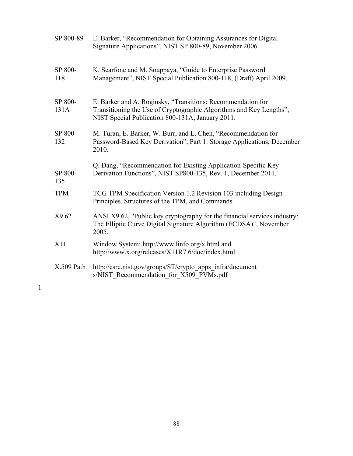| SP 800-89       | E. Barker, "Recommendation for Obtaining Assurances for Digital<br>Signature Applications", NIST SP 800-89, November 2006.                                                             |
|-----------------|----------------------------------------------------------------------------------------------------------------------------------------------------------------------------------------|
| SP 800-<br>118  | K. Scarfone and M. Souppaya, "Guide to Enterprise Password<br>Management", NIST Special Publication 800-118, (Draft) April 2009.                                                       |
| SP 800-<br>131A | E. Barker and A. Roginsky, "Transitions: Recommendation for<br>Transitioning the Use of Cryptographic Algorithms and Key Lengths",<br>NIST Special Publication 800-131A, January 2011. |
| SP 800-<br>132  | M. Turan, E. Barker, W. Burr, and L. Chen, "Recommendation for<br>Password-Based Key Derivation", Part 1: Storage Applications, December<br>2010.                                      |
| SP 800-<br>135  | Q. Dang, "Recommendation for Existing Application-Specific Key<br>Derivation Functions", NIST SP800-135, Rev. 1, December 2011.                                                        |
| <b>TPM</b>      | TCG TPM Specification Version 1.2 Revision 103 including Design<br>Principles, Structures of the TPM, and Commands.                                                                    |
| X9.62           | ANSI X9.62, "Public key cryptography for the financial services industry:<br>The Elliptic Curve Digital Signature Algorithm (ECDSA)", November<br>2005.                                |
| X11             | Window System: http://www.linfo.org/x.html and<br>http://www.x.org/releases/X11R7.6/doc/index.html                                                                                     |
| $X.509$ Path    | http://csrc.nist.gov/groups/ST/crypto_apps_infra/document<br>s/NIST Recommendation for X509 PVMs.pdf                                                                                   |

88